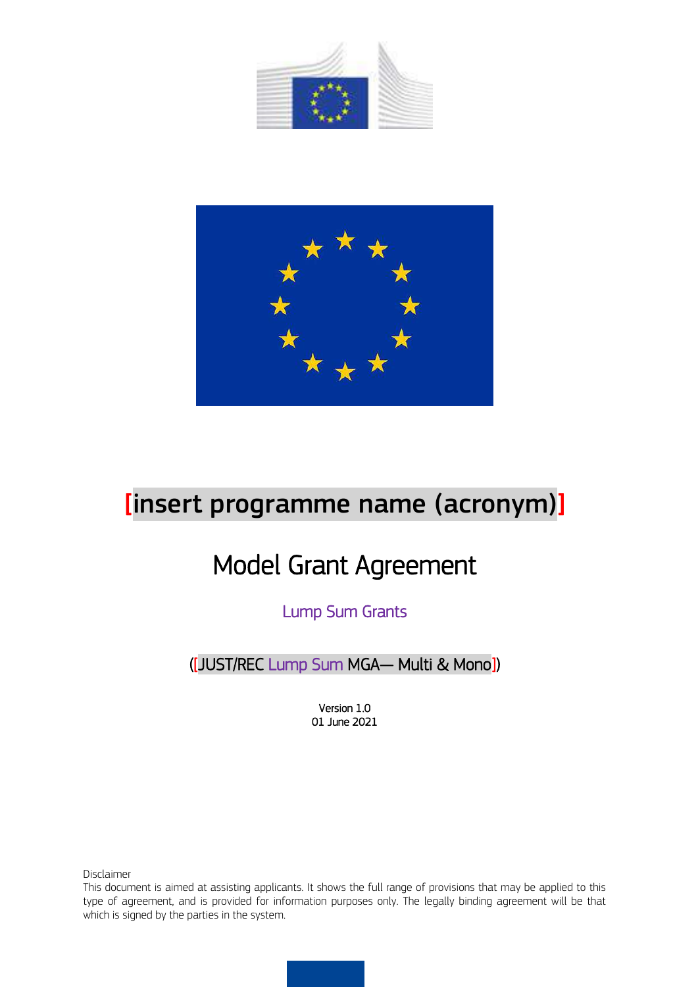



# [insert programme name (acronym)]

# Model Grant Agreement

Lump Sum Grants

([JUST/REC Lump Sum MGA— Multi & Mono])

Version 1.0 01 June 2021

Disclaimer

This document is aimed at assisting applicants. It shows the full range of provisions that may be applied to this type of agreement, and is provided for information purposes only. The legally binding agreement will be that which is signed by the parties in the system.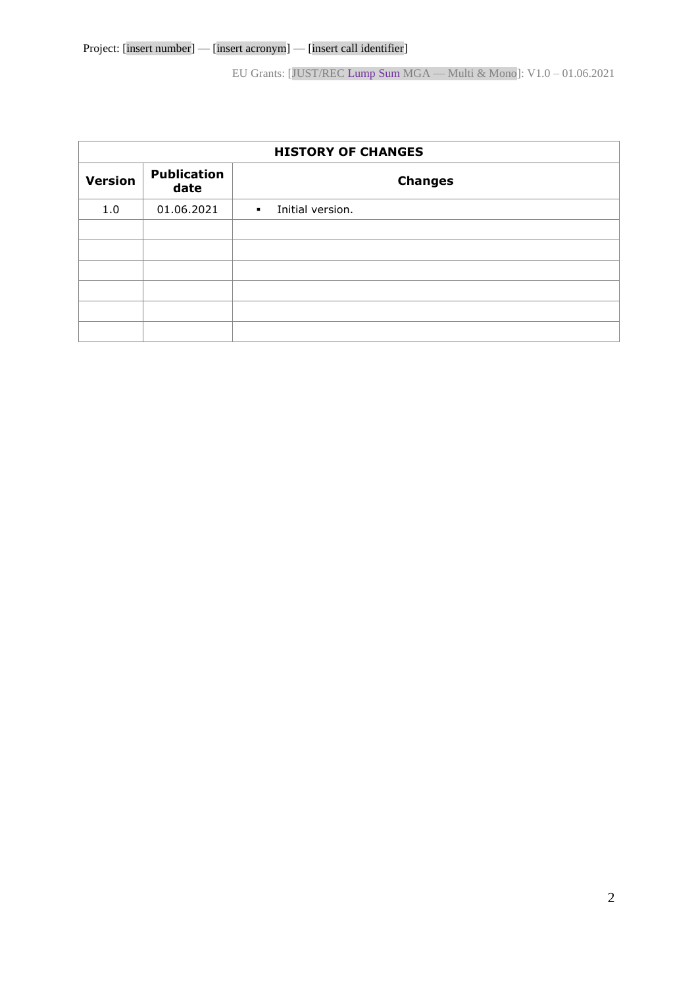| <b>HISTORY OF CHANGES</b> |                            |                                    |  |  |  |  |  |  |
|---------------------------|----------------------------|------------------------------------|--|--|--|--|--|--|
| <b>Version</b>            | <b>Publication</b><br>date | <b>Changes</b>                     |  |  |  |  |  |  |
| 1.0                       | 01.06.2021                 | Initial version.<br>$\mathbf{r}$ . |  |  |  |  |  |  |
|                           |                            |                                    |  |  |  |  |  |  |
|                           |                            |                                    |  |  |  |  |  |  |
|                           |                            |                                    |  |  |  |  |  |  |
|                           |                            |                                    |  |  |  |  |  |  |
|                           |                            |                                    |  |  |  |  |  |  |
|                           |                            |                                    |  |  |  |  |  |  |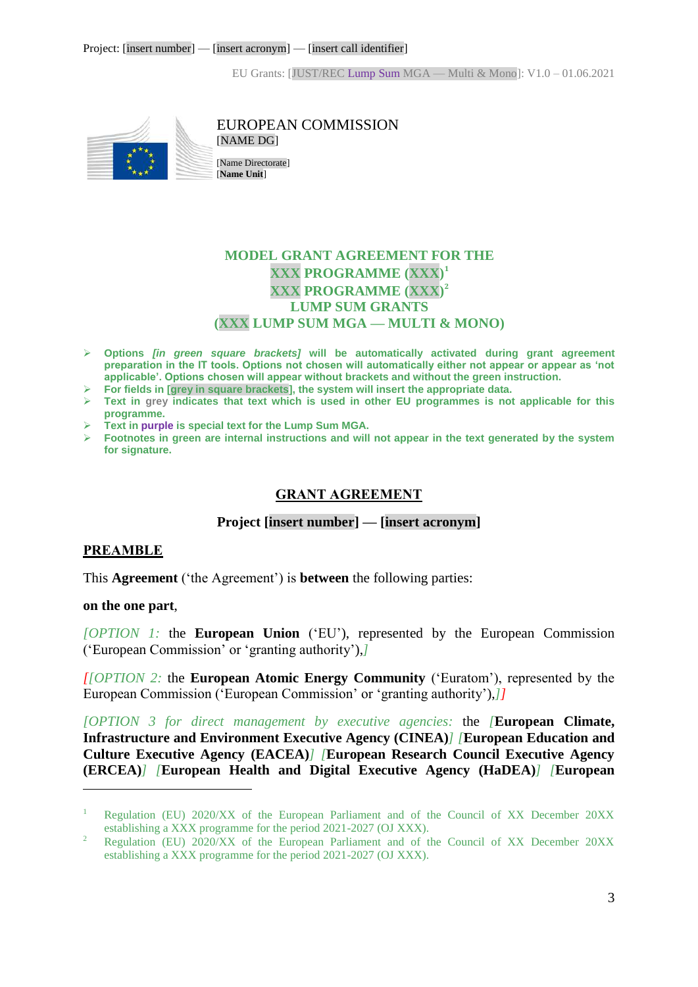

EUROPEAN COMMISSION [NAME DG]

[Name Directorate] [**Name Unit**]

# **MODEL GRANT AGREEMENT FOR THE XXX PROGRAMME (XXX) 1 XXX PROGRAMME (XXX) 2 LUMP SUM GRANTS (XXX LUMP SUM MGA — MULTI & MONO)**

- **Options** *[in green square brackets]* **will be automatically activated during grant agreement preparation in the IT tools. Options not chosen will automatically either not appear or appear as 'not applicable'. Options chosen will appear without brackets and without the green instruction.**
- **For fields in [grey in square brackets], the system will insert the appropriate data.**
- **Text in grey indicates that text which is used in other EU programmes is not applicable for this programme.**
- **Text in purple is special text for the Lump Sum MGA.**
- <span id="page-2-0"></span> **Footnotes in green are internal instructions and will not appear in the text generated by the system for signature.**

## **GRANT AGREEMENT**

#### **Project [insert number] — [insert acronym]**

#### <span id="page-2-1"></span>**PREAMBLE**

This **Agreement** ('the Agreement') is **between** the following parties:

#### **on the one part**,

 $\overline{a}$ 

*[OPTION 1:* the **European Union** ('EU'), represented by the European Commission ('European Commission' or 'granting authority'),*]*

*[[OPTION 2:* the **European Atomic Energy Community** ('Euratom'), represented by the European Commission ('European Commission' or 'granting authority'),*]]*

*[OPTION 3 for direct management by executive agencies:* the *[***European Climate, Infrastructure and Environment Executive Agency (CINEA)***] [***European Education and Culture Executive Agency (EACEA)***] [***European Research Council Executive Agency (ERCEA)***] [***European Health and Digital Executive Agency (HaDEA)***] [***European**

<sup>&</sup>lt;sup>1</sup> Regulation (EU) 2020/XX of the European Parliament and of the Council of XX December 20XX establishing a XXX programme for the period 2021-2027 (OJ XXX).

<sup>2</sup> Regulation (EU) 2020/XX of the European Parliament and of the Council of XX December 20XX establishing a XXX programme for the period 2021-2027 (OJ XXX).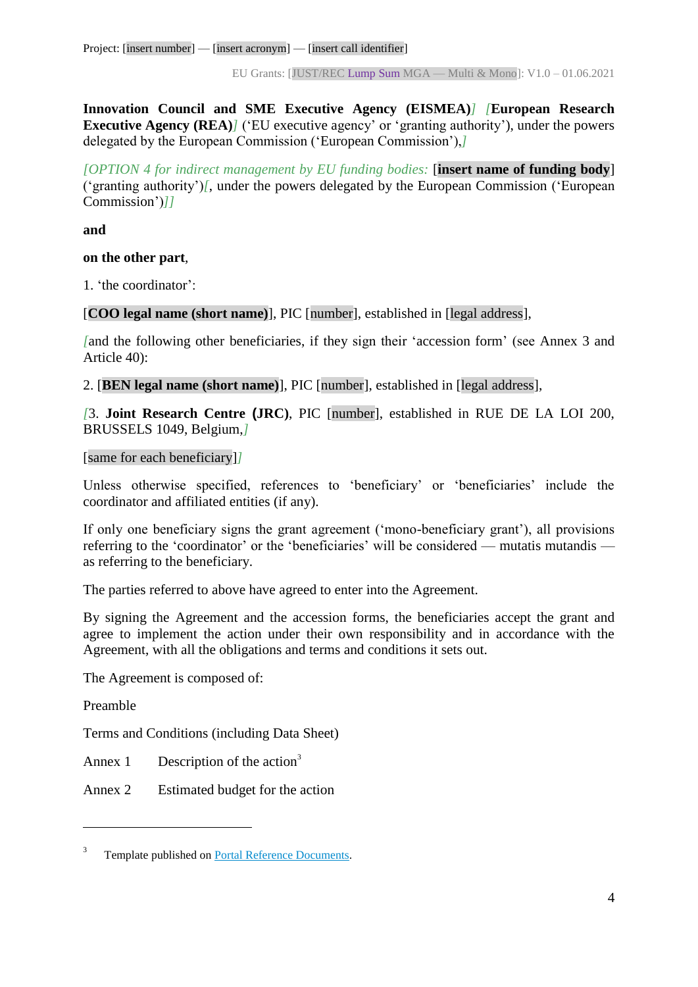Project: [insert number] — [insert acronym] — [insert call identifier]

EU Grants: [JUST/REC Lump Sum MGA — Multi & Mono]: V1.0 – 01.06.2021

**Innovation Council and SME Executive Agency (EISMEA)***] [***European Research Executive Agency (REA)<sup>***]***</sup> ('EU executive agency' or 'granting authority'), under the powers** delegated by the European Commission ('European Commission'),*]*

*[OPTION 4 for indirect management by EU funding bodies:* [**insert name of funding body**] ('granting authority')*[*, under the powers delegated by the European Commission ('European Commission')*]]*

**and**

#### **on the other part**,

1. 'the coordinator':

[**COO legal name (short name)**], PIC [number], established in [legal address],

*[*and the following other beneficiaries, if they sign their 'accession form' (see Annex 3 and Article 40):

2. [**BEN legal name (short name)**], PIC [number], established in [legal address],

*[*3. **Joint Research Centre (JRC)**, PIC [number], established in RUE DE LA LOI 200, BRUSSELS 1049, Belgium,*]*

#### [same for each beneficiary]*]*

Unless otherwise specified, references to 'beneficiary' or 'beneficiaries' include the coordinator and affiliated entities (if any).

If only one beneficiary signs the grant agreement ('mono-beneficiary grant'), all provisions referring to the 'coordinator' or the 'beneficiaries' will be considered — mutatis mutandis as referring to the beneficiary.

The parties referred to above have agreed to enter into the Agreement.

By signing the Agreement and the accession forms, the beneficiaries accept the grant and agree to implement the action under their own responsibility and in accordance with the Agreement, with all the obligations and terms and conditions it sets out.

The Agreement is composed of:

Preamble

 $\overline{a}$ 

Terms and Conditions (including Data Sheet)

Annex 1 Description of the action<sup>3</sup>

Annex 2 Estimated budget for the action

<sup>3</sup> Template published on [Portal Reference Documents.](https://ec.europa.eu/info/funding-tenders/opportunities/portal/screen/how-to-participate/reference-documents)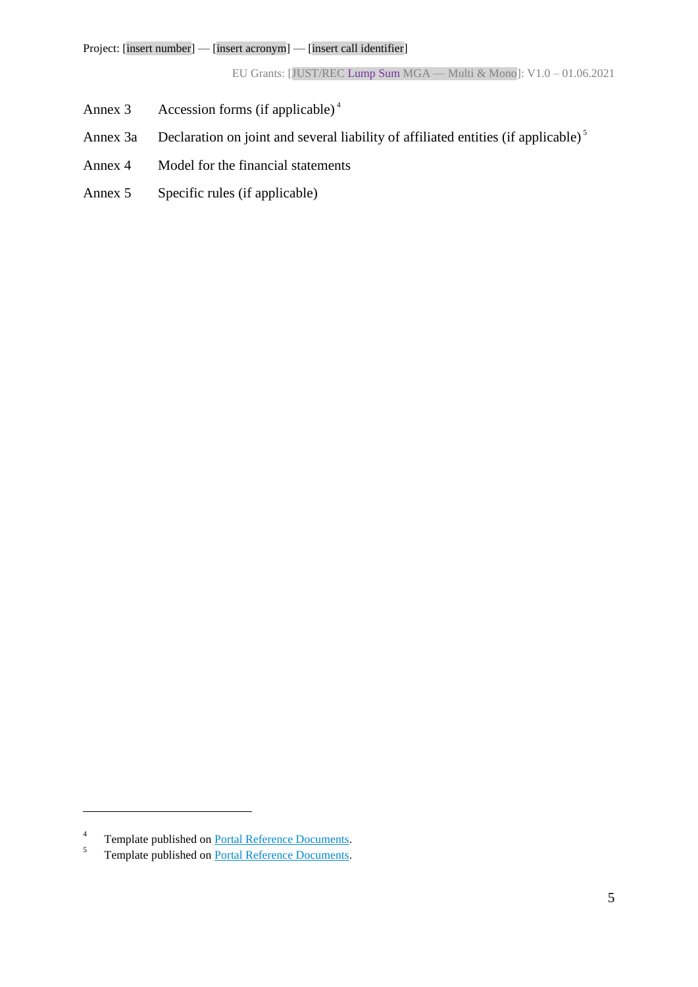- Annex 3 Accession forms (if applicable)<sup>4</sup>
- Annex 3a Declaration on joint and several liability of affiliated entities (if applicable)<sup>5</sup>
- Annex 4 Model for the financial statements
- Annex 5 Specific rules (if applicable)

 $\overline{a}$ 

<sup>4</sup> Template published on [Portal Reference Documents.](https://ec.europa.eu/info/funding-tenders/opportunities/portal/screen/how-to-participate/reference-documents)

<sup>5</sup> Template published on [Portal Reference Documents.](https://ec.europa.eu/info/funding-tenders/opportunities/portal/screen/how-to-participate/reference-documents)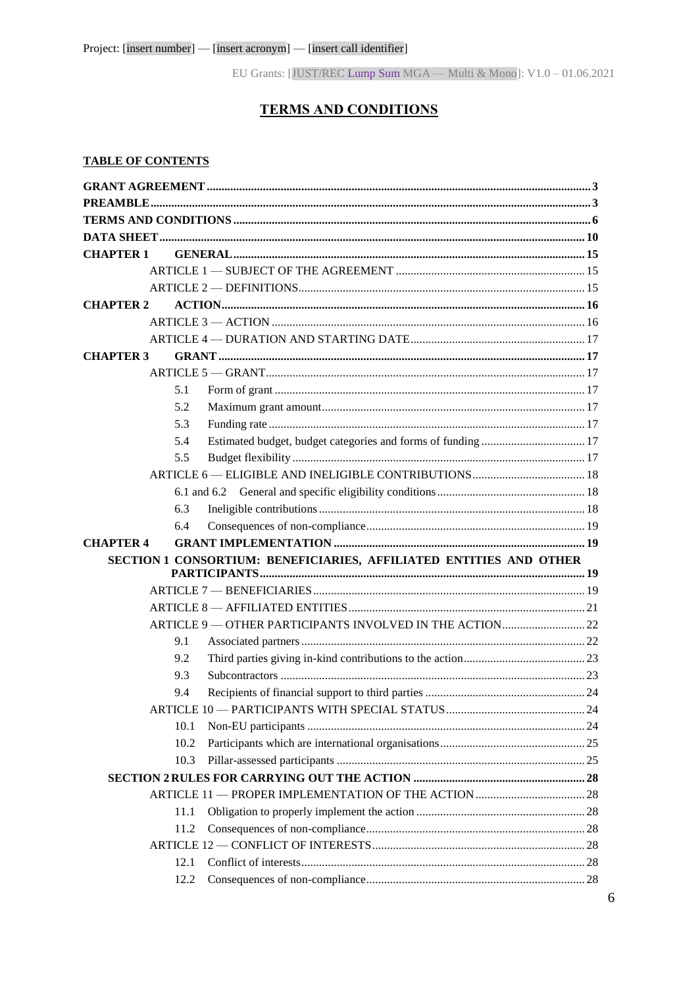# **TERMS AND CONDITIONS**

#### <span id="page-5-0"></span>**TABLE OF CONTENTS**

| <b>CHAPTER 1</b> |                                                                    |  |
|------------------|--------------------------------------------------------------------|--|
|                  |                                                                    |  |
|                  |                                                                    |  |
| <b>CHAPTER 2</b> |                                                                    |  |
|                  |                                                                    |  |
|                  |                                                                    |  |
| <b>CHAPTER 3</b> |                                                                    |  |
|                  |                                                                    |  |
|                  | 5.1                                                                |  |
|                  | 5.2                                                                |  |
|                  | 5.3                                                                |  |
|                  | 5.4                                                                |  |
|                  | 5.5                                                                |  |
|                  |                                                                    |  |
|                  |                                                                    |  |
|                  | 6.3                                                                |  |
|                  | 6.4                                                                |  |
| <b>CHAPTER 4</b> |                                                                    |  |
|                  | SECTION 1 CONSORTIUM: BENEFICIARIES, AFFILIATED ENTITIES AND OTHER |  |
|                  |                                                                    |  |
|                  |                                                                    |  |
|                  |                                                                    |  |
|                  | ARTICLE 9 - OTHER PARTICIPANTS INVOLVED IN THE ACTION 22           |  |
|                  | 9.1                                                                |  |
|                  | 9.2                                                                |  |
|                  | 9.3                                                                |  |
|                  | 9.4                                                                |  |
|                  |                                                                    |  |
|                  | 10.1                                                               |  |
|                  | 10.2                                                               |  |
|                  | 10.3                                                               |  |
|                  |                                                                    |  |
|                  |                                                                    |  |
|                  | 11.1                                                               |  |
|                  | 11.2                                                               |  |
|                  |                                                                    |  |
|                  | 12.1                                                               |  |
|                  | 12.2                                                               |  |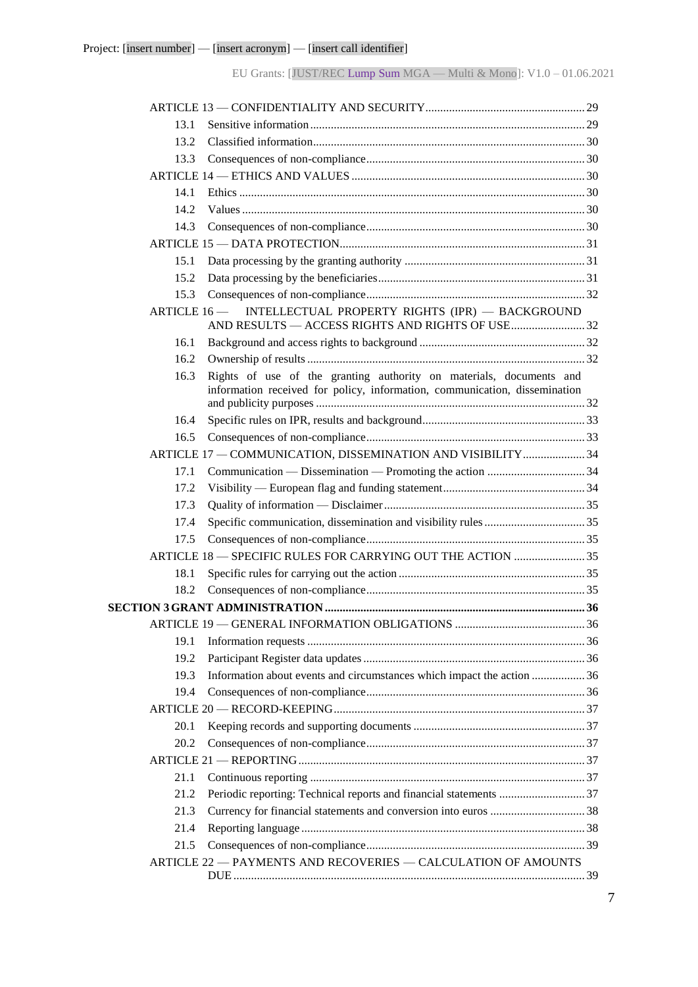| 13.1          |                                                                                                                                                   |  |
|---------------|---------------------------------------------------------------------------------------------------------------------------------------------------|--|
| 13.2          |                                                                                                                                                   |  |
| 13.3          |                                                                                                                                                   |  |
|               |                                                                                                                                                   |  |
| 14.1          |                                                                                                                                                   |  |
| 14.2          |                                                                                                                                                   |  |
| 14.3          |                                                                                                                                                   |  |
|               |                                                                                                                                                   |  |
| 15.1          |                                                                                                                                                   |  |
| 15.2          |                                                                                                                                                   |  |
| 15.3          |                                                                                                                                                   |  |
| ARTICLE $16-$ | INTELLECTUAL PROPERTY RIGHTS (IPR) - BACKGROUND                                                                                                   |  |
| 16.1          |                                                                                                                                                   |  |
| 16.2          |                                                                                                                                                   |  |
| 16.3          | Rights of use of the granting authority on materials, documents and<br>information received for policy, information, communication, dissemination |  |
| 16.4          |                                                                                                                                                   |  |
| 16.5          |                                                                                                                                                   |  |
|               | ARTICLE 17 - COMMUNICATION, DISSEMINATION AND VISIBILITY  34                                                                                      |  |
| 17.1          |                                                                                                                                                   |  |
| 17.2          |                                                                                                                                                   |  |
| 17.3          |                                                                                                                                                   |  |
| 17.4          |                                                                                                                                                   |  |
| 17.5          |                                                                                                                                                   |  |
|               | ARTICLE 18 - SPECIFIC RULES FOR CARRYING OUT THE ACTION  35                                                                                       |  |
| 18.1          |                                                                                                                                                   |  |
| 18.2          |                                                                                                                                                   |  |
|               |                                                                                                                                                   |  |
|               |                                                                                                                                                   |  |
| 19.1          |                                                                                                                                                   |  |
| 19.2          |                                                                                                                                                   |  |
| 19.3          | Information about events and circumstances which impact the action  36                                                                            |  |
| 19.4          |                                                                                                                                                   |  |
|               |                                                                                                                                                   |  |
| 20.1          |                                                                                                                                                   |  |
| 20.2          |                                                                                                                                                   |  |
|               |                                                                                                                                                   |  |
| 21.1          |                                                                                                                                                   |  |
| 21.2          |                                                                                                                                                   |  |
| 21.3          |                                                                                                                                                   |  |
| 21.4          |                                                                                                                                                   |  |
| 21.5          |                                                                                                                                                   |  |
|               | ARTICLE 22 - PAYMENTS AND RECOVERIES - CALCULATION OF AMOUNTS                                                                                     |  |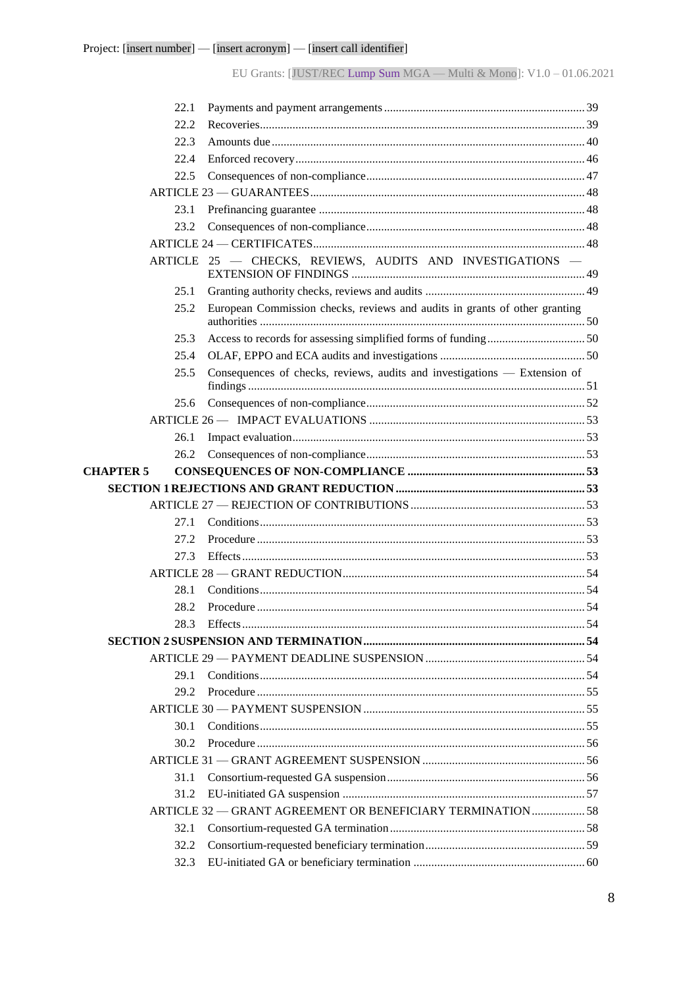| 22.1             |                                                                            |  |
|------------------|----------------------------------------------------------------------------|--|
| 22.2             |                                                                            |  |
| 22.3             |                                                                            |  |
| 22.4             |                                                                            |  |
| 22.5             |                                                                            |  |
|                  |                                                                            |  |
| 23.1             |                                                                            |  |
| 23.2             |                                                                            |  |
|                  |                                                                            |  |
|                  | ARTICLE 25 - CHECKS, REVIEWS, AUDITS AND INVESTIGATIONS -                  |  |
| 25.1             |                                                                            |  |
| 25.2             | European Commission checks, reviews and audits in grants of other granting |  |
| 25.3             |                                                                            |  |
| 25.4             |                                                                            |  |
| 25.5             | Consequences of checks, reviews, audits and investigations — Extension of  |  |
| 25.6             |                                                                            |  |
|                  |                                                                            |  |
| 26.1             |                                                                            |  |
| 26.2             |                                                                            |  |
| <b>CHAPTER 5</b> |                                                                            |  |
|                  |                                                                            |  |
|                  |                                                                            |  |
| 27.1             |                                                                            |  |
| 27.2             |                                                                            |  |
| 27.3             |                                                                            |  |
|                  |                                                                            |  |
| 28.1             |                                                                            |  |
| 28.2             |                                                                            |  |
|                  |                                                                            |  |
|                  |                                                                            |  |
|                  |                                                                            |  |
| 29.1             |                                                                            |  |
| 29.2             |                                                                            |  |
|                  |                                                                            |  |
| 30.1             |                                                                            |  |
| 302              |                                                                            |  |
|                  |                                                                            |  |
| 31.1             |                                                                            |  |
| 31.2             |                                                                            |  |
|                  |                                                                            |  |
|                  | ARTICLE 32 - GRANT AGREEMENT OR BENEFICIARY TERMINATION  58                |  |
| 32.1             |                                                                            |  |
| 32.2<br>32.3     |                                                                            |  |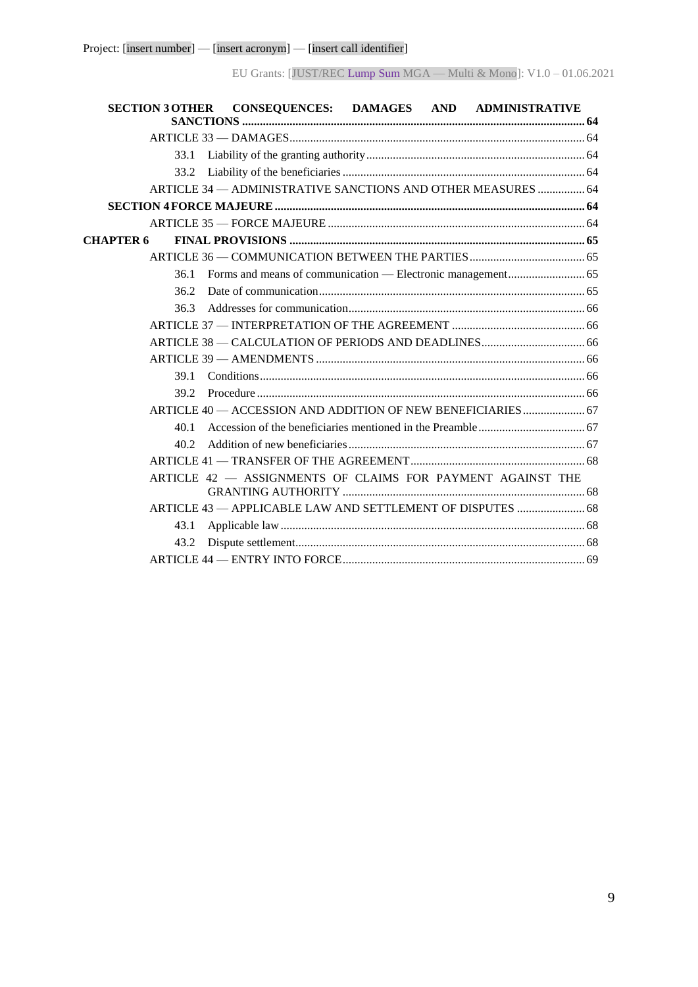| SECTION 3 OTHER CONSEQUENCES: DAMAGES AND ADMINISTRATIVE     |  |
|--------------------------------------------------------------|--|
|                                                              |  |
| 33.1                                                         |  |
| 33.2                                                         |  |
| ARTICLE 34 - ADMINISTRATIVE SANCTIONS AND OTHER MEASURES  64 |  |
|                                                              |  |
|                                                              |  |
| <b>CHAPTER 6</b>                                             |  |
|                                                              |  |
| 36.1                                                         |  |
| 36.2                                                         |  |
| 36.3                                                         |  |
|                                                              |  |
|                                                              |  |
|                                                              |  |
| 39.1                                                         |  |
|                                                              |  |
| ARTICLE 40 - ACCESSION AND ADDITION OF NEW BENEFICIARIES  67 |  |
| 40.1                                                         |  |
| 40.2                                                         |  |
|                                                              |  |
| ARTICLE 42 - ASSIGNMENTS OF CLAIMS FOR PAYMENT AGAINST THE   |  |
| ARTICLE 43 - APPLICABLE LAW AND SETTLEMENT OF DISPUTES  68   |  |
| 43.1                                                         |  |
| 43.2                                                         |  |
|                                                              |  |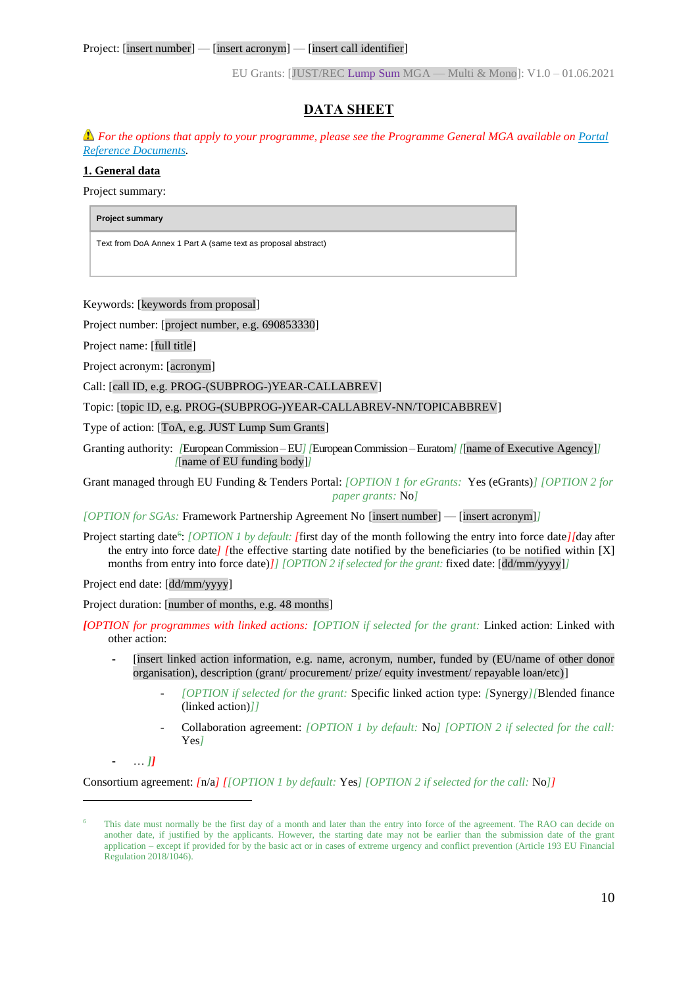# **DATA SHEET**

<span id="page-9-0"></span>*For the options that apply to your programme, please see the Programme General MGA available on [Portal](https://ec.europa.eu/info/funding-tenders/opportunities/portal/screen/how-to-participate/reference-documents)  [Reference Documents.](https://ec.europa.eu/info/funding-tenders/opportunities/portal/screen/how-to-participate/reference-documents)*

#### **1. General data**

Project summary:

**Project summary** 

Text from DoA Annex 1 Part A (same text as proposal abstract)

Keywords: [keywords from proposal]

Project number: [project number, e.g. 690853330]

Project name: [full title]

Project acronym: [acronym]

Call: [call ID, e.g. PROG-(SUBPROG-)YEAR-CALLABREV]

Topic: [topic ID, e.g. PROG-(SUBPROG-)YEAR-CALLABREV-NN/TOPICABBREV]

Type of action: [ToA, e.g. JUST Lump Sum Grants]

Granting authority: *[*European Commission –EU*] [*EuropeanCommission –Euratom*] [*[name of Executive Agency]*] [*[name of EU funding body]*]*

Grant managed through EU Funding & Tenders Portal: *[OPTION 1 for eGrants:* Yes (eGrants)*] [OPTION 2 for paper grants:* No*]*

*[OPTION for SGAs:* Framework Partnership Agreement No [insert number] — [insert acronym]*]*

Project starting date<sup>6</sup>: *[OPTION 1 by default: [first day of the month following the entry into force date][day after* the entry into force date*]* [the effective starting date notified by the beneficiaries (to be notified within [X] months from entry into force date)*]] [OPTION 2 if selected for the grant:* fixed date: [dd/mm/yyyy]*]*

Project end date: [dd/mm/yyyy]

Project duration: [number of months, e.g. 48 months]

*[OPTION for programmes with linked actions: [OPTION if selected for the grant:* Linked action: Linked with other action:

- **-** [insert linked action information, e.g. name, acronym, number, funded by (EU/name of other donor organisation), description (grant/ procurement/ prize/ equity investment/ repayable loan/etc)]
	- *[OPTION if selected for the grant:* Specific linked action type: *[*Synergy*][*Blended finance (linked action)*]]*
	- Collaboration agreement: *[OPTION 1 by default:* No*] [OPTION 2 if selected for the call:*  Yes*]*

**-** … *]]*

 $\overline{a}$ 

Consortium agreement: *[*n/a*] [[OPTION 1 by default:* Yes*] [OPTION 2 if selected for the call:* No*]]*

This date must normally be the first day of a month and later than the entry into force of the agreement. The RAO can decide on another date, if justified by the applicants. However, the starting date may not be earlier than the submission date of the grant application – except if provided for by the basic act or in cases of extreme urgency and conflict prevention (Article 193 EU Financial Regulation 2018/1046).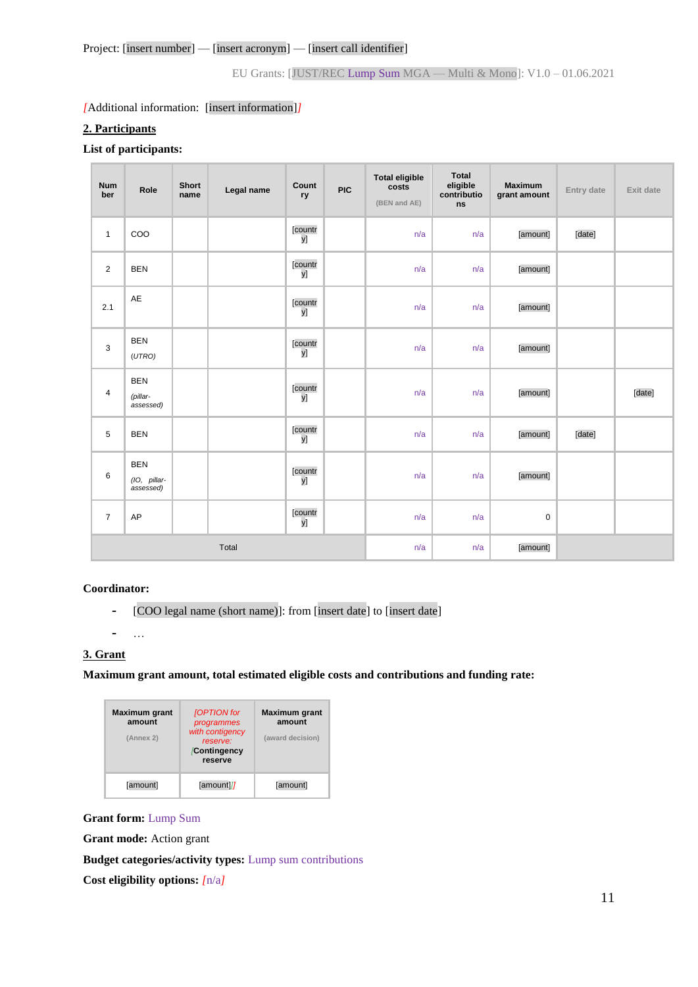#### *[*Additional information: [insert information]*]*

#### **2. Participants**

#### **List of participants:**

| <b>Num</b><br>ber | Role                                    | <b>Short</b><br>name | Legal name | Count<br>ry   | <b>PIC</b> | <b>Total eligible</b><br>costs<br>(BEN and AE) | <b>Total</b><br>eligible<br>contributio<br>ns | <b>Maximum</b><br>grant amount | Entry date | Exit date |
|-------------------|-----------------------------------------|----------------------|------------|---------------|------------|------------------------------------------------|-----------------------------------------------|--------------------------------|------------|-----------|
| $\mathbf{1}$      | COO                                     |                      |            | [countr<br>y] |            | n/a                                            | n/a                                           | [amount]                       | [date]     |           |
| $\overline{2}$    | <b>BEN</b>                              |                      |            | [countr<br>y] |            | n/a                                            | n/a                                           | [amount]                       |            |           |
| 2.1               | AE                                      |                      |            | [countr<br>y] |            | n/a                                            | n/a                                           | [amount]                       |            |           |
| 3                 | <b>BEN</b><br>(UTRO)                    |                      |            | [countr<br>y] |            | n/a                                            | n/a                                           | [amount]                       |            |           |
| 4                 | <b>BEN</b><br>(pillar-<br>assessed)     |                      |            | [countr<br>y] |            | n/a                                            | n/a                                           | [amount]                       |            | [date]    |
| 5                 | <b>BEN</b>                              |                      |            | [countr<br>y] |            | n/a                                            | n/a                                           | [amount]                       | [date]     |           |
| 6                 | <b>BEN</b><br>(IO, pillar-<br>assessed) |                      |            | [countr<br>y] |            | n/a                                            | n/a                                           | [amount]                       |            |           |
| $\overline{7}$    | AP                                      |                      |            | [countr<br>y] |            | n/a                                            | n/a                                           | $\mathsf 0$                    |            |           |
| Total             |                                         |                      | n/a        | n/a           | [amount]   |                                                |                                               |                                |            |           |

#### **Coordinator:**

**-** …

**-** [COO legal name (short name)]: from [insert date] to [insert date]

### **3. Grant**

**Maximum grant amount, total estimated eligible costs and contributions and funding rate:** 

| <b>Maximum</b> grant<br>amount<br>(Annex 2) | [OPTION for<br>programmes<br>with contigency<br>reserve:<br>Contingency<br>reserve | <b>Maximum</b> grant<br>amount<br>(award decision) |
|---------------------------------------------|------------------------------------------------------------------------------------|----------------------------------------------------|
| [amount]                                    | [amount]]                                                                          | [amount]                                           |

#### **Grant form:** Lump Sum

**Grant mode:** Action grant

**Budget categories/activity types:** Lump sum contributions

**Cost eligibility options:** *[*n/a*]*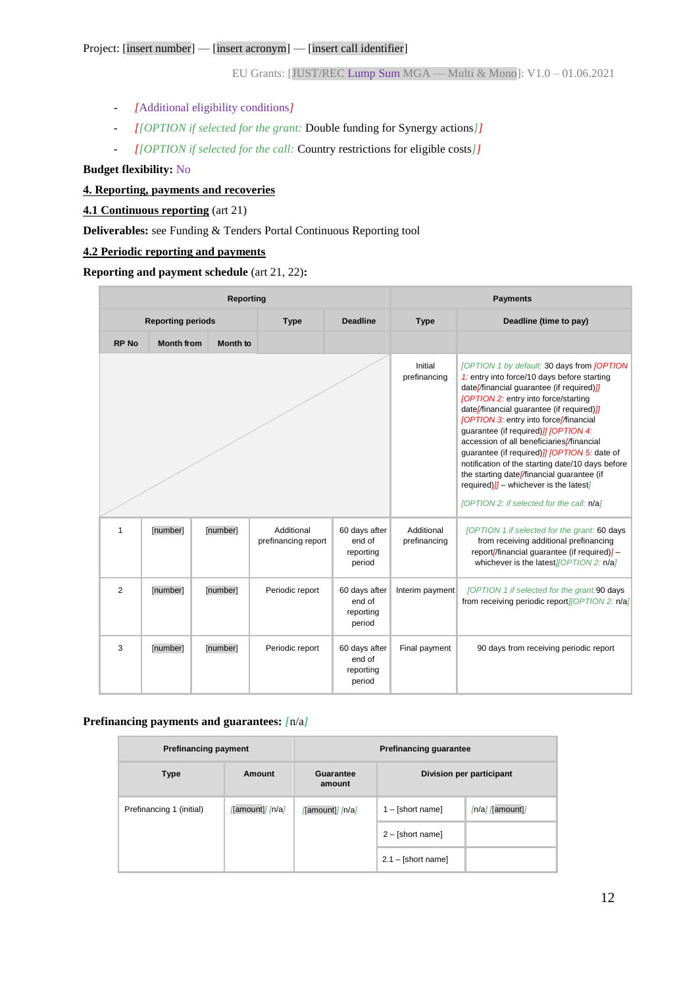- *[*Additional eligibility conditions*]*
- *[[OPTION if selected for the grant:* Double funding for Synergy actions*]]*
- *[[OPTION if selected for the call:* Country restrictions for eligible costs*]]*

**Budget flexibility:** No

#### **4. Reporting, payments and recoveries**

#### **4.1 Continuous reporting** (art 21)

**Deliverables:** see Funding & Tenders Portal Continuous Reporting tool

#### **4.2 Periodic reporting and payments**

#### **Reporting and payment schedule** (art 21, 22)**:**

| Reporting                |                   |          |                                   |                                                | <b>Payments</b>            |                                                                                                                                                                                                                                                                                                                                                                                                                                                                                                                                                                                                                         |  |
|--------------------------|-------------------|----------|-----------------------------------|------------------------------------------------|----------------------------|-------------------------------------------------------------------------------------------------------------------------------------------------------------------------------------------------------------------------------------------------------------------------------------------------------------------------------------------------------------------------------------------------------------------------------------------------------------------------------------------------------------------------------------------------------------------------------------------------------------------------|--|
| <b>Reporting periods</b> |                   |          | <b>Deadline</b><br><b>Type</b>    |                                                | <b>Type</b>                | Deadline (time to pay)                                                                                                                                                                                                                                                                                                                                                                                                                                                                                                                                                                                                  |  |
| <b>RP No</b>             | <b>Month from</b> | Month to |                                   |                                                |                            |                                                                                                                                                                                                                                                                                                                                                                                                                                                                                                                                                                                                                         |  |
|                          |                   |          |                                   |                                                | Initial<br>prefinancing    | [OPTION 1 by default: 30 days from [OPTION<br>1: entry into force/10 days before starting<br>date//inancial guarantee (if required) ]]<br>[OPTION 2: entry into force/starting<br>date//financial guarantee (if required) //<br>[OPTION 3: entry into force//financial<br>guarantee (if required) ]] [OPTION 4:<br>accession of all beneficiaries//financial<br>guarantee (if required) <i>]]</i> [OPTION 5: date of<br>notification of the starting date/10 days before<br>the starting date//inancial guarantee (if<br>required) $\frac{n}{n}$ – whichever is the latest<br>[OPTION 2: if selected for the call: n/a] |  |
| $\mathbf{1}$             | [number]          | [number] | Additional<br>prefinancing report | 60 days after<br>end of<br>reporting<br>period | Additional<br>prefinancing | [OPTION 1 if selected for the grant: 60 days<br>from receiving additional prefinancing<br>report//financial guarantee (if required)/-<br>whichever is the latest //OPTION 2: n/a]                                                                                                                                                                                                                                                                                                                                                                                                                                       |  |
| $\overline{2}$           | [number]          | [number] | Periodic report                   | 60 days after<br>end of<br>reporting<br>period | Interim payment            | [OPTION 1 if selected for the grant:90 days<br>from receiving periodic report //OPT/ON 2: n/a/                                                                                                                                                                                                                                                                                                                                                                                                                                                                                                                          |  |
| 3                        | [number]          | [number] | Periodic report                   | 60 days after<br>end of<br>reporting<br>period | Final payment              | 90 days from receiving periodic report                                                                                                                                                                                                                                                                                                                                                                                                                                                                                                                                                                                  |  |

#### **Prefinancing payments and guarantees:** *[*n/a*]*

| <b>Prefinancing payment</b> |                 | <b>Prefinancing guarantee</b> |                          |                   |  |
|-----------------------------|-----------------|-------------------------------|--------------------------|-------------------|--|
| <b>Type</b>                 | Amount          | Guarantee<br>amount           | Division per participant |                   |  |
| Prefinancing 1 (initial)    | [amount]] [n/a] | Tamount]/ /n/a/               | $1 - [short name]$       | $[n/a]$ [amount]] |  |
|                             |                 |                               | $2 - [short name]$       |                   |  |
|                             |                 |                               | $2.1 - [short name]$     |                   |  |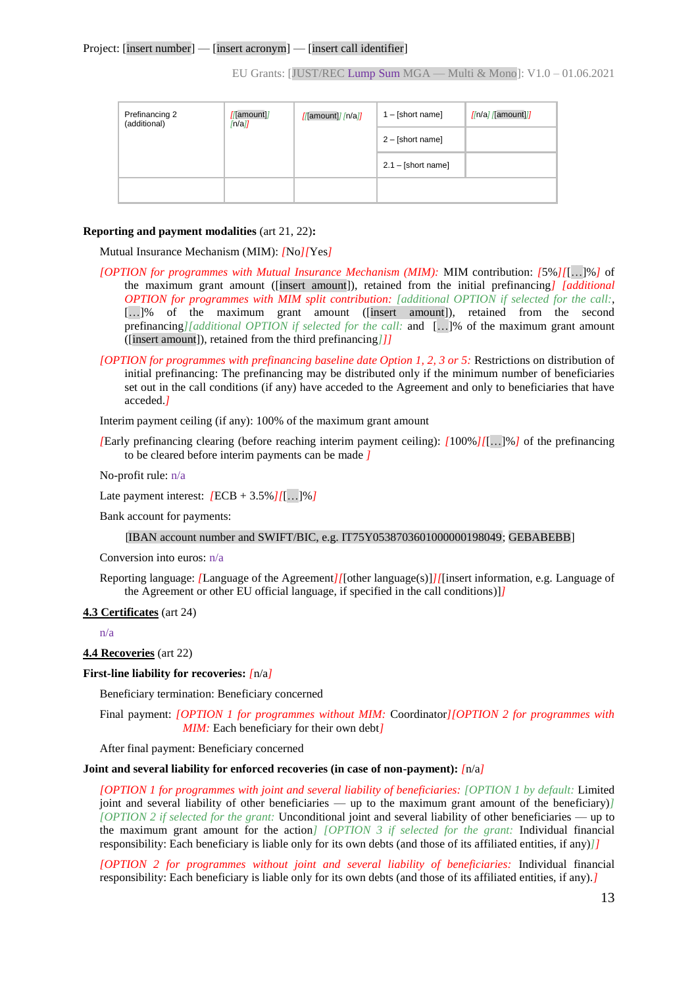| Prefinancing 2<br>(additional) | //[amount]<br>$\ln$ all | //amount]//n/a | $1 - [short name]$   | $\sqrt{n/a}$ $\sqrt{$ amount $\sqrt{n}}$ |
|--------------------------------|-------------------------|----------------|----------------------|------------------------------------------|
|                                |                         |                | $2 - [short name]$   |                                          |
|                                |                         |                | $2.1 - [short name]$ |                                          |
|                                |                         |                |                      |                                          |

#### **Reporting and payment modalities** (art 21, 22)**:**

Mutual Insurance Mechanism (MIM): *[*No*][*Yes*]*

- *[OPTION for programmes with Mutual Insurance Mechanism (MIM):* MIM contribution: *[*5%*][*[…]%*]* of the maximum grant amount ([insert amount]), retained from the initial prefinancing*] [additional OPTION for programmes with MIM split contribution: [additional OPTION if selected for the call:*, […]% of the maximum grant amount ([insert amount]), retained from the second prefinancing*][additional OPTION if selected for the call:* and […]% of the maximum grant amount ([insert amount]), retained from the third prefinancing*]]]*
- *[OPTION for programmes with prefinancing baseline date Option 1, 2, 3 or 5:* Restrictions on distribution of initial prefinancing: The prefinancing may be distributed only if the minimum number of beneficiaries set out in the call conditions (if any) have acceded to the Agreement and only to beneficiaries that have acceded.*]*

Interim payment ceiling (if any): 100% of the maximum grant amount

*[*Early prefinancing clearing (before reaching interim payment ceiling): *[*100%*][*[…]%*]* of the prefinancing to be cleared before interim payments can be made *]*

No-profit rule: n/a

Late payment interest: *[*ECB + 3.5%*][*[…]%*]*

Bank account for payments:

#### [IBAN account number and SWIFT/BIC, e.g. IT75Y0538703601000000198049; GEBABEBB]

Conversion into euros: n/a

Reporting language: *[*Language of the Agreement*][*[other language(s)]*][*[insert information, e.g. Language of the Agreement or other EU official language, if specified in the call conditions)]*]*

#### **4.3 Certificates** (art 24)

n/a

#### **4.4 Recoveries** (art 22)

#### **First-line liability for recoveries:** *[*n/a*]*

Beneficiary termination: Beneficiary concerned

Final payment: *[OPTION 1 for programmes without MIM:* Coordinator*][OPTION 2 for programmes with MIM:* Each beneficiary for their own debt*]*

After final payment: Beneficiary concerned

#### **Joint and several liability for enforced recoveries (in case of non-payment):** *[*n/a*]*

*[OPTION 1 for programmes with joint and several liability of beneficiaries: [OPTION 1 by default:* Limited joint and several liability of other beneficiaries — up to the maximum grant amount of the beneficiary)*] [OPTION 2 if selected for the grant:* Unconditional joint and several liability of other beneficiaries — up to the maximum grant amount for the action*] [OPTION 3 if selected for the grant:* Individual financial responsibility: Each beneficiary is liable only for its own debts (and those of its affiliated entities, if any)*]]*

*[OPTION 2 for programmes without joint and several liability of beneficiaries:* Individual financial responsibility: Each beneficiary is liable only for its own debts (and those of its affiliated entities, if any).*]*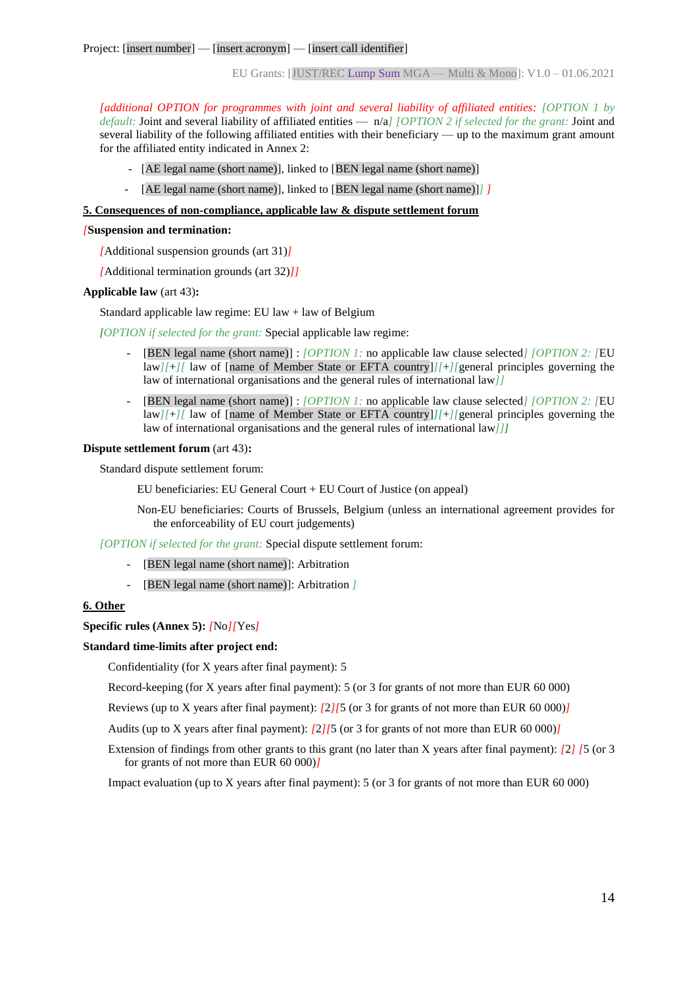*[additional OPTION for programmes with joint and several liability of affiliated entities: [OPTION 1 by default:* Joint and several liability of affiliated entities — n/a*] [OPTION 2 if selected for the grant:* Joint and several liability of the following affiliated entities with their beneficiary — up to the maximum grant amount for the affiliated entity indicated in Annex 2:

- [AE legal name (short name)], linked to [BEN legal name (short name)]
- [AE legal name (short name)], linked to [BEN legal name (short name)]*] ]*

#### **5. Consequences of non-compliance, applicable law & dispute settlement forum**

#### *[***Suspension and termination:**

*[*Additional suspension grounds (art 31)*]*

*[*Additional termination grounds (art 32)*]]*

#### **Applicable law** (art 43)**:**

Standard applicable law regime: EU law + law of Belgium

*[OPTION if selected for the grant:* Special applicable law regime:

- [BEN legal name (short name)] : *[OPTION 1:* no applicable law clause selected*] [OPTION 2: [*EU law*][*+*][* law of [name of Member State or EFTA country]*][*+*][*general principles governing the law of international organisations and the general rules of international law*]]*
- [BEN legal name (short name)] : *[OPTION 1:* no applicable law clause selected*] [OPTION 2: [*EU law*][*+*][* law of [name of Member State or EFTA country]*][*+*][*general principles governing the law of international organisations and the general rules of international law*]]]*

#### **Dispute settlement forum** (art 43)**:**

Standard dispute settlement forum:

EU beneficiaries: EU General Court + EU Court of Justice (on appeal)

Non-EU beneficiaries: Courts of Brussels, Belgium (unless an international agreement provides for the enforceability of EU court judgements)

*[OPTION if selected for the grant:* Special dispute settlement forum:

- [BEN legal name (short name)]: Arbitration
- [BEN legal name (short name)]: Arbitration *]*

#### **6. Other**

**Specific rules (Annex 5):** *[*No*][*Yes*]*

#### **Standard time-limits after project end:**

Confidentiality (for X years after final payment): 5

Record-keeping (for X years after final payment): 5 (or 3 for grants of not more than EUR 60 000)

Reviews (up to X years after final payment): *[*2*][*5 (or 3 for grants of not more than EUR 60 000)*]*

Audits (up to X years after final payment): *[*2*][*5 (or 3 for grants of not more than EUR 60 000)*]*

Extension of findings from other grants to this grant (no later than X years after final payment): *[*2*] [*5 (or 3 for grants of not more than EUR 60 000)*]*

Impact evaluation (up to X years after final payment): 5 (or 3 for grants of not more than EUR 60 000)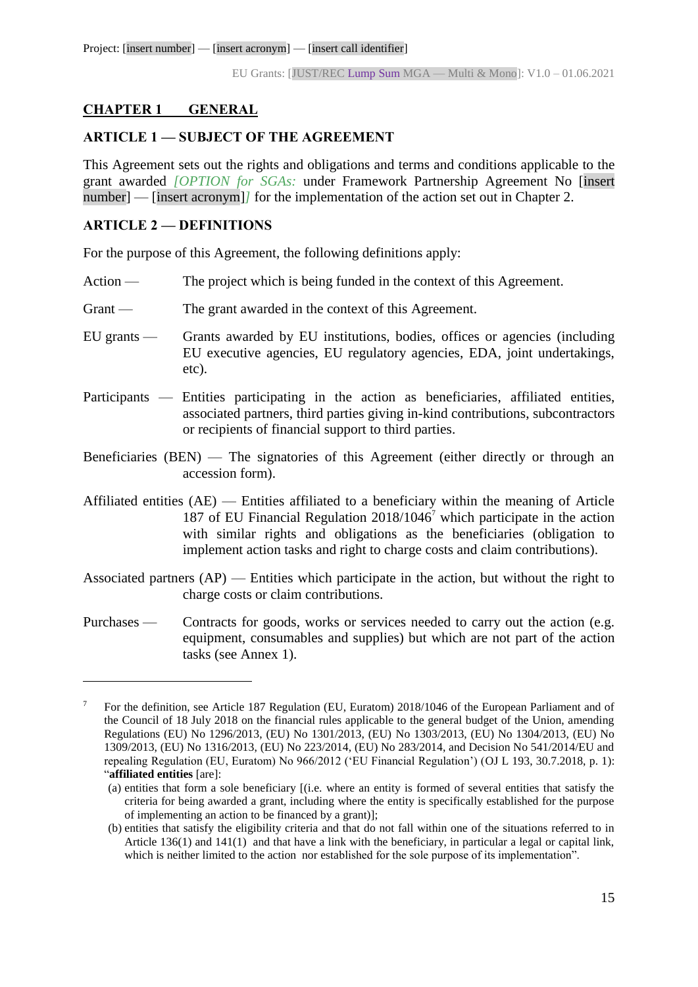## <span id="page-14-0"></span>**CHAPTER 1 GENERAL**

#### <span id="page-14-1"></span>**ARTICLE 1 — SUBJECT OF THE AGREEMENT**

This Agreement sets out the rights and obligations and terms and conditions applicable to the grant awarded *[OPTION for SGAs:* under Framework Partnership Agreement No [insert number] — [insert acronym]/ for the implementation of the action set out in Chapter 2.

### <span id="page-14-2"></span>**ARTICLE 2 — DEFINITIONS**

 $\overline{a}$ 

For the purpose of this Agreement, the following definitions apply:

- Action The project which is being funded in the context of this Agreement.
- Grant The grant awarded in the context of this Agreement.
- EU grants Grants awarded by EU institutions, bodies, offices or agencies (including EU executive agencies, EU regulatory agencies, EDA, joint undertakings, etc).
- Participants Entities participating in the action as beneficiaries, affiliated entities, associated partners, third parties giving in-kind contributions, subcontractors or recipients of financial support to third parties.
- Beneficiaries (BEN) The signatories of this Agreement (either directly or through an accession form).
- Affiliated entities (AE) Entities affiliated to a beneficiary within the meaning of Article 187 of EU Financial Regulation  $2018/1046^7$  which participate in the action with similar rights and obligations as the beneficiaries (obligation to implement action tasks and right to charge costs and claim contributions).
- Associated partners (AP) Entities which participate in the action, but without the right to charge costs or claim contributions.
- Purchases Contracts for goods, works or services needed to carry out the action (e.g. equipment, consumables and supplies) but which are not part of the action tasks (see Annex 1).

<sup>7</sup> For the definition, see Article 187 Regulation (EU, Euratom) 2018/1046 of the European Parliament and of the Council of 18 July 2018 on the financial rules applicable to the general budget of the Union, amending Regulations (EU) No 1296/2013, (EU) No 1301/2013, (EU) No 1303/2013, (EU) No 1304/2013, (EU) No 1309/2013, (EU) No 1316/2013, (EU) No 223/2014, (EU) No 283/2014, and Decision No 541/2014/EU and repealing Regulation (EU, Euratom) No 966/2012 ('EU Financial Regulation') (OJ L 193, 30.7.2018, p. 1): "**affiliated entities** [are]:

<sup>(</sup>a) entities that form a sole beneficiary [(i.e. where an entity is formed of several entities that satisfy the criteria for being awarded a grant, including where the entity is specifically established for the purpose of implementing an action to be financed by a grant)];

<sup>(</sup>b) entities that satisfy the eligibility criteria and that do not fall within one of the situations referred to in Article 136(1) and 141(1) and that have a link with the beneficiary, in particular a legal or capital link, which is neither limited to the action nor established for the sole purpose of its implementation".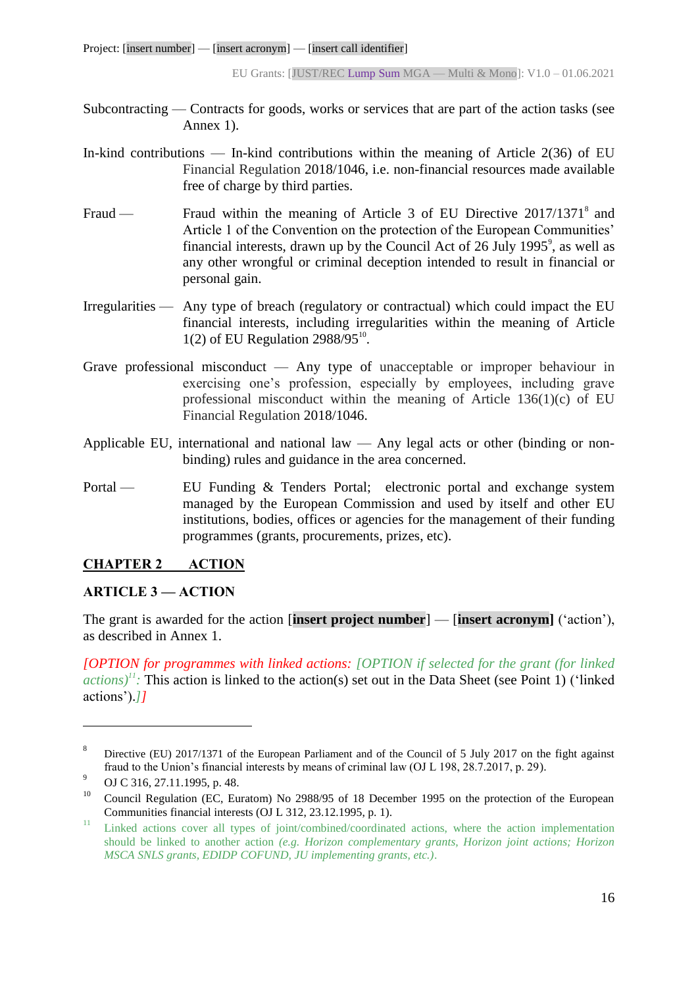- Subcontracting Contracts for goods, works or services that are part of the action tasks (see Annex 1).
- In-kind contributions In-kind contributions within the meaning of Article  $2(36)$  of EU Financial Regulation 2018/1046, i.e. non-financial resources made available free of charge by third parties.
- Fraud Fraud within the meaning of Article 3 of EU Directive 2017/1371<sup>8</sup> and Article 1 of the Convention on the protection of the European Communities' financial interests, drawn up by the Council Act of 26 July 1995 $^{\circ}$ , as well as any other wrongful or criminal deception intended to result in financial or personal gain.
- Irregularities Any type of breach (regulatory or contractual) which could impact the EU financial interests, including irregularities within the meaning of Article  $1(2)$  of EU Regulation 2988/95 $^{10}$ .
- Grave professional misconduct Any type of unacceptable or improper behaviour in exercising one's profession, especially by employees, including grave professional misconduct within the meaning of Article 136(1)(c) of EU Financial Regulation 2018/1046.
- Applicable EU, international and national law Any legal acts or other (binding or nonbinding) rules and guidance in the area concerned.
- Portal EU Funding & Tenders Portal; electronic portal and exchange system managed by the European Commission and used by itself and other EU institutions, bodies, offices or agencies for the management of their funding programmes (grants, procurements, prizes, etc).

# <span id="page-15-0"></span>**CHAPTER 2 ACTION**

#### <span id="page-15-1"></span>**ARTICLE 3 — ACTION**

The grant is awarded for the action [**insert project number**] — [**insert acronym]** ('action'), as described in Annex 1.

*[OPTION for programmes with linked actions: [OPTION if selected for the grant (for linked actions*)<sup> $11$ </sup>. This action is linked to the action(s) set out in the Data Sheet (see Point 1) ('linked actions').*]]*

 $\overline{a}$ 

<sup>8</sup> Directive (EU) 2017/1371 of the European Parliament and of the Council of 5 July 2017 on the fight against fraud to the Union's financial interests by means of criminal law (OJ L 198, 28.7.2017, p. 29).

<sup>9</sup> OJ C 316, 27.11.1995, p. 48.

<sup>&</sup>lt;sup>10</sup> Council Regulation (EC, Euratom) No 2988/95 of 18 December 1995 on the protection of the European Communities financial interests (OJ L 312, 23.12.1995, p. 1).

<sup>&</sup>lt;sup>11</sup> Linked actions cover all types of joint/combined/coordinated actions, where the action implementation should be linked to another action *(e.g. Horizon complementary grants, Horizon joint actions; Horizon MSCA SNLS grants, EDIDP COFUND, JU implementing grants, etc.)*.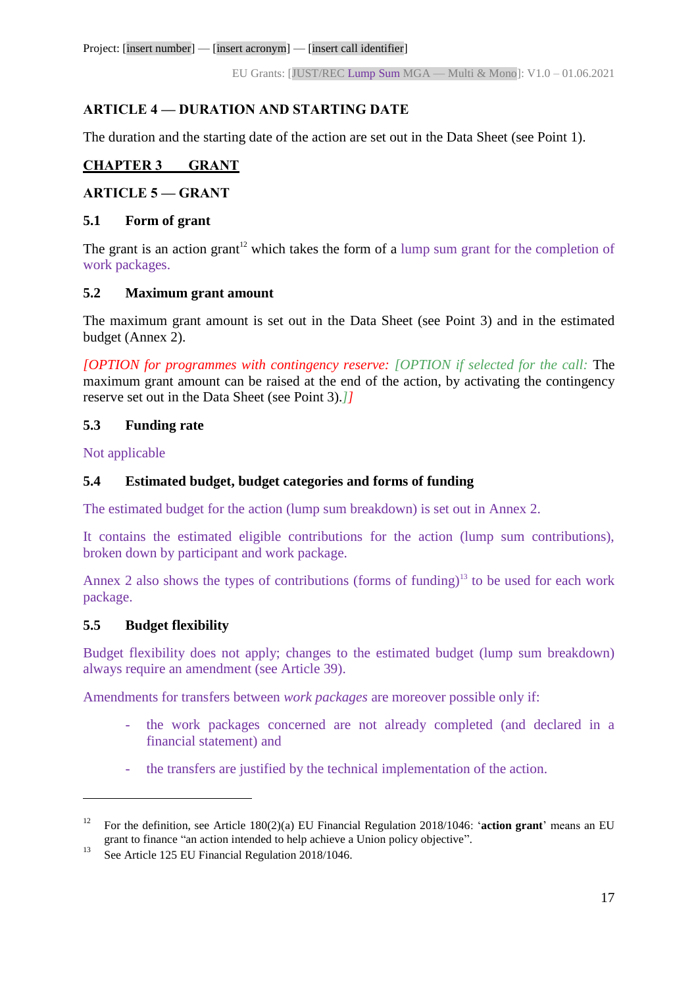Project: [insert number] — [insert acronym] — [insert call identifier]

EU Grants: [JUST/REC Lump Sum MGA — Multi & Mono]: V1.0 – 01.06.2021

# <span id="page-16-0"></span>**ARTICLE 4 — DURATION AND STARTING DATE**

The duration and the starting date of the action are set out in the Data Sheet (see Point 1).

# <span id="page-16-1"></span>**CHAPTER 3 GRANT**

# <span id="page-16-2"></span>**ARTICLE 5 — GRANT**

#### <span id="page-16-3"></span>**5.1 Form of grant**

The grant is an action grant<sup>12</sup> which takes the form of a lump sum grant for the completion of work packages.

#### <span id="page-16-4"></span>**5.2 Maximum grant amount**

The maximum grant amount is set out in the Data Sheet (see Point 3) and in the estimated budget (Annex 2).

*[OPTION for programmes with contingency reserve: [OPTION if selected for the call:* The maximum grant amount can be raised at the end of the action, by activating the contingency reserve set out in the Data Sheet (see Point 3).*]]*

#### <span id="page-16-5"></span>**5.3 Funding rate**

Not applicable

#### <span id="page-16-6"></span>**5.4 Estimated budget, budget categories and forms of funding**

The estimated budget for the action (lump sum breakdown) is set out in Annex 2.

It contains the estimated eligible contributions for the action (lump sum contributions), broken down by participant and work package.

Annex 2 also shows the types of contributions (forms of funding)<sup>13</sup> to be used for each work package.

# <span id="page-16-7"></span>**5.5 Budget flexibility**

 $\overline{a}$ 

Budget flexibility does not apply; changes to the estimated budget (lump sum breakdown) always require an amendment (see Article 39).

Amendments for transfers between *work packages* are moreover possible only if:

- the work packages concerned are not already completed (and declared in a financial statement) and
- the transfers are justified by the technical implementation of the action.

<sup>12</sup> For the definition, see Article 180(2)(a) EU Financial Regulation 2018/1046: '**action grant**' means an EU grant to finance "an action intended to help achieve a Union policy objective".

<sup>&</sup>lt;sup>13</sup> See Article 125 EU Financial Regulation  $2018/1046$ .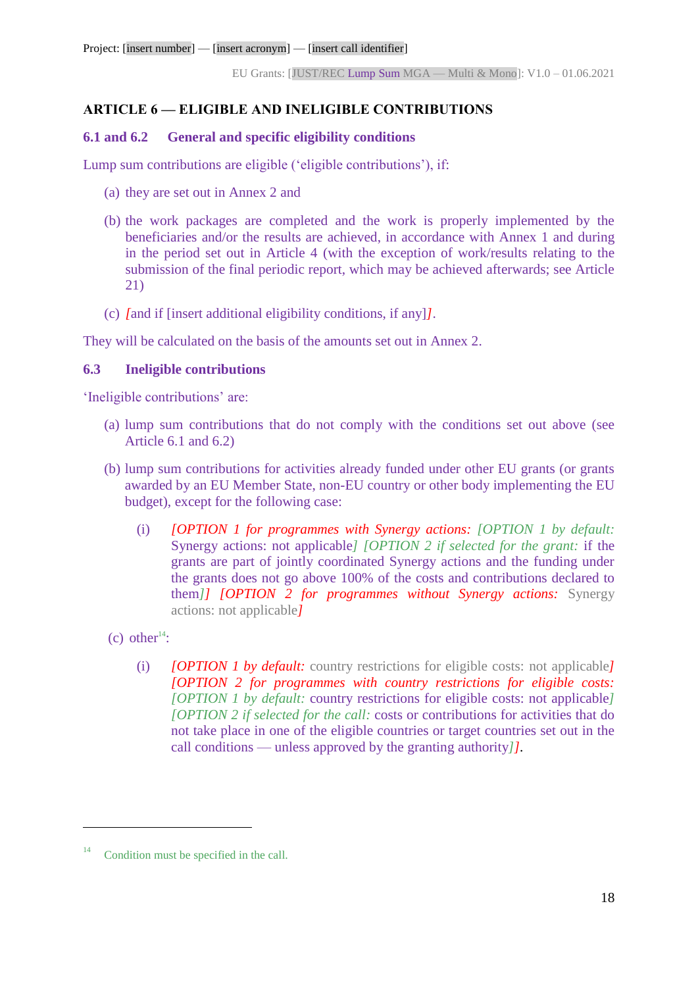## <span id="page-17-0"></span>**ARTICLE 6 — ELIGIBLE AND INELIGIBLE CONTRIBUTIONS**

#### <span id="page-17-1"></span>**6.1 and 6.2 General and specific eligibility conditions**

Lump sum contributions are eligible ('eligible contributions'), if:

- (a) they are set out in Annex 2 and
- (b) the work packages are completed and the work is properly implemented by the beneficiaries and/or the results are achieved, in accordance with Annex 1 and during in the period set out in Article 4 (with the exception of work/results relating to the submission of the final periodic report, which may be achieved afterwards; see Article 21)
- (c) *[*and if [insert additional eligibility conditions, if any]*]*.

They will be calculated on the basis of the amounts set out in Annex 2.

#### <span id="page-17-2"></span>**6.3 Ineligible contributions**

'Ineligible contributions' are:

- (a) lump sum contributions that do not comply with the conditions set out above (see Article 6.1 and 6.2)
- (b) lump sum contributions for activities already funded under other EU grants (or grants awarded by an EU Member State, non-EU country or other body implementing the EU budget), except for the following case:
	- (i) *[OPTION 1 for programmes with Synergy actions: [OPTION 1 by default:* Synergy actions: not applicable*] [OPTION 2 if selected for the grant:* if the grants are part of jointly coordinated Synergy actions and the funding under the grants does not go above 100% of the costs and contributions declared to them*]] [OPTION 2 for programmes without Synergy actions:* Synergy actions: not applicable*]*
- (c) other<sup>14</sup>:

 $\overline{a}$ 

(i) *[OPTION 1 by default:* country restrictions for eligible costs: not applicable*] [OPTION 2 for programmes with country restrictions for eligible costs: [OPTION 1 by default:* country restrictions for eligible costs: not applicable*] [OPTION 2 if selected for the call:* costs or contributions for activities that do not take place in one of the eligible countries or target countries set out in the call conditions — unless approved by the granting authority*]].*

 $14$  Condition must be specified in the call.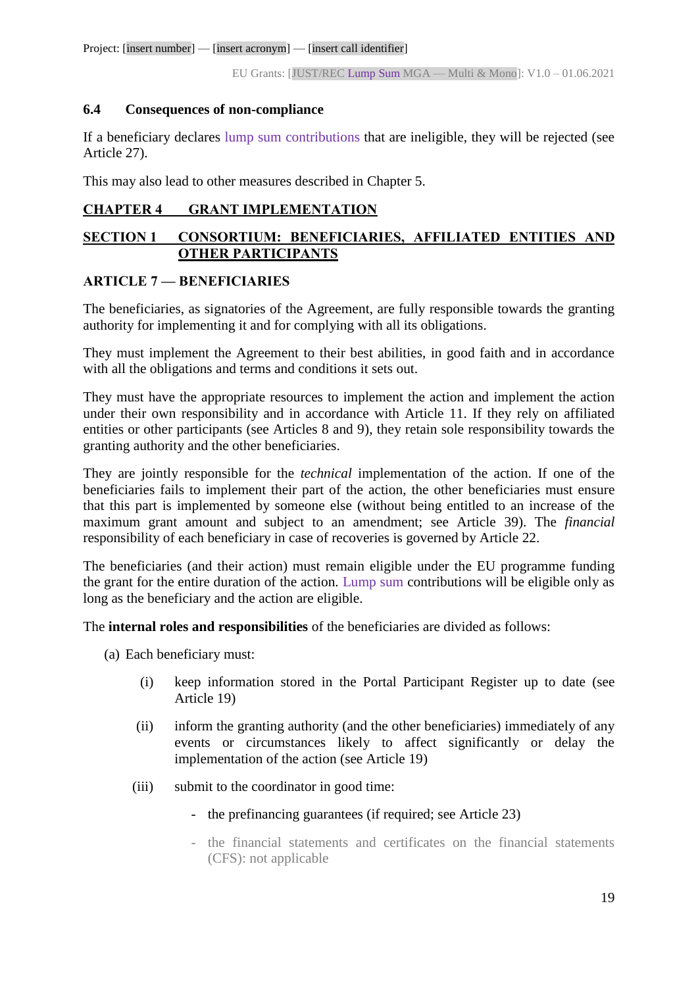Project: [insert number] — [insert acronym] — [insert call identifier]

EU Grants: [JUST/REC Lump Sum MGA — Multi & Mono]: V1.0 – 01.06.2021

#### <span id="page-18-0"></span>**6.4 Consequences of non-compliance**

If a beneficiary declares lump sum contributions that are ineligible, they will be rejected (see Article 27).

This may also lead to other measures described in Chapter 5.

# <span id="page-18-1"></span>**CHAPTER 4 GRANT IMPLEMENTATION**

# <span id="page-18-2"></span>**SECTION 1 CONSORTIUM: BENEFICIARIES, AFFILIATED ENTITIES AND OTHER PARTICIPANTS**

#### <span id="page-18-3"></span>**ARTICLE 7 — BENEFICIARIES**

The beneficiaries, as signatories of the Agreement, are fully responsible towards the granting authority for implementing it and for complying with all its obligations.

They must implement the Agreement to their best abilities, in good faith and in accordance with all the obligations and terms and conditions it sets out.

They must have the appropriate resources to implement the action and implement the action under their own responsibility and in accordance with Article 11. If they rely on affiliated entities or other participants (see Articles 8 and 9), they retain sole responsibility towards the granting authority and the other beneficiaries.

They are jointly responsible for the *technical* implementation of the action. If one of the beneficiaries fails to implement their part of the action, the other beneficiaries must ensure that this part is implemented by someone else (without being entitled to an increase of the maximum grant amount and subject to an amendment; see Article 39). The *financial* responsibility of each beneficiary in case of recoveries is governed by Article 22.

The beneficiaries (and their action) must remain eligible under the EU programme funding the grant for the entire duration of the action. Lump sum contributions will be eligible only as long as the beneficiary and the action are eligible.

The **internal roles and responsibilities** of the beneficiaries are divided as follows:

- (a) Each beneficiary must:
	- (i) keep information stored in the Portal Participant Register up to date (see Article 19)
	- (ii) inform the granting authority (and the other beneficiaries) immediately of any events or circumstances likely to affect significantly or delay the implementation of the action (see Article 19)
	- (iii) submit to the coordinator in good time:
		- the prefinancing guarantees (if required; see Article 23)
		- the financial statements and certificates on the financial statements (CFS): not applicable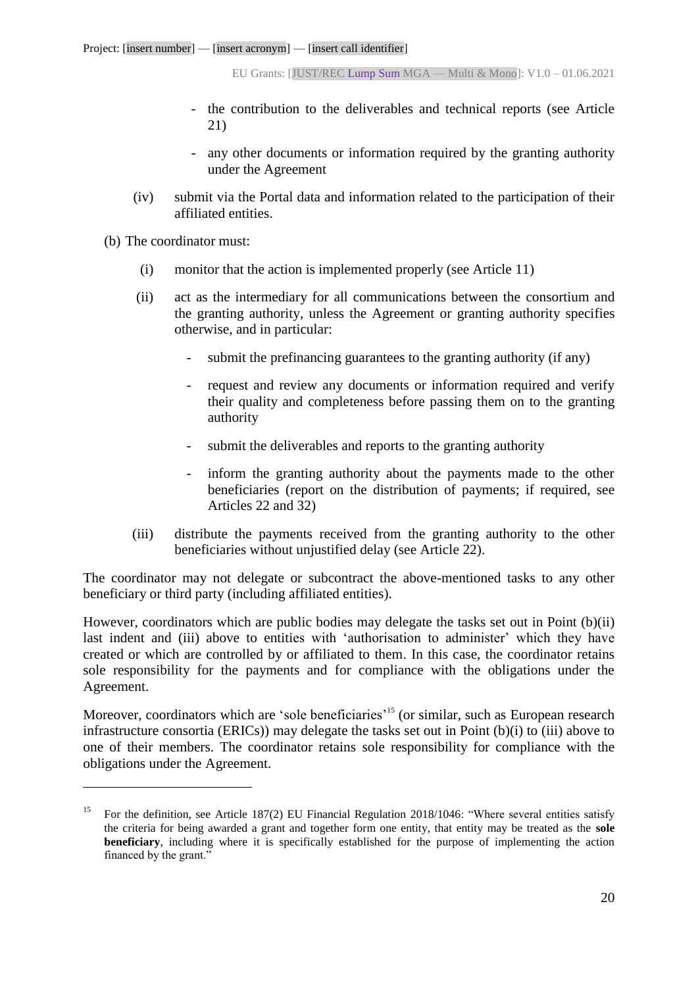- the contribution to the deliverables and technical reports (see Article 21)
- any other documents or information required by the granting authority under the Agreement
- (iv) submit via the Portal data and information related to the participation of their affiliated entities.

(b) The coordinator must:

 $\overline{a}$ 

- (i) monitor that the action is implemented properly (see Article 11)
- (ii) act as the intermediary for all communications between the consortium and the granting authority, unless the Agreement or granting authority specifies otherwise, and in particular:
	- submit the prefinancing guarantees to the granting authority (if any)
	- request and review any documents or information required and verify their quality and completeness before passing them on to the granting authority
	- submit the deliverables and reports to the granting authority
	- inform the granting authority about the payments made to the other beneficiaries (report on the distribution of payments; if required, see Articles 22 and 32)
- (iii) distribute the payments received from the granting authority to the other beneficiaries without unjustified delay (see Article 22).

The coordinator may not delegate or subcontract the above-mentioned tasks to any other beneficiary or third party (including affiliated entities).

However, coordinators which are public bodies may delegate the tasks set out in Point (b)(ii) last indent and (iii) above to entities with 'authorisation to administer' which they have created or which are controlled by or affiliated to them. In this case, the coordinator retains sole responsibility for the payments and for compliance with the obligations under the Agreement.

Moreover, coordinators which are 'sole beneficiaries'<sup>15</sup> (or similar, such as European research infrastructure consortia (ERICs)) may delegate the tasks set out in Point (b)(i) to (iii) above to one of their members. The coordinator retains sole responsibility for compliance with the obligations under the Agreement.

<sup>&</sup>lt;sup>15</sup> For the definition, see Article 187(2) EU Financial Regulation 2018/1046: "Where several entities satisfy the criteria for being awarded a grant and together form one entity, that entity may be treated as the **sole beneficiary**, including where it is specifically established for the purpose of implementing the action financed by the grant."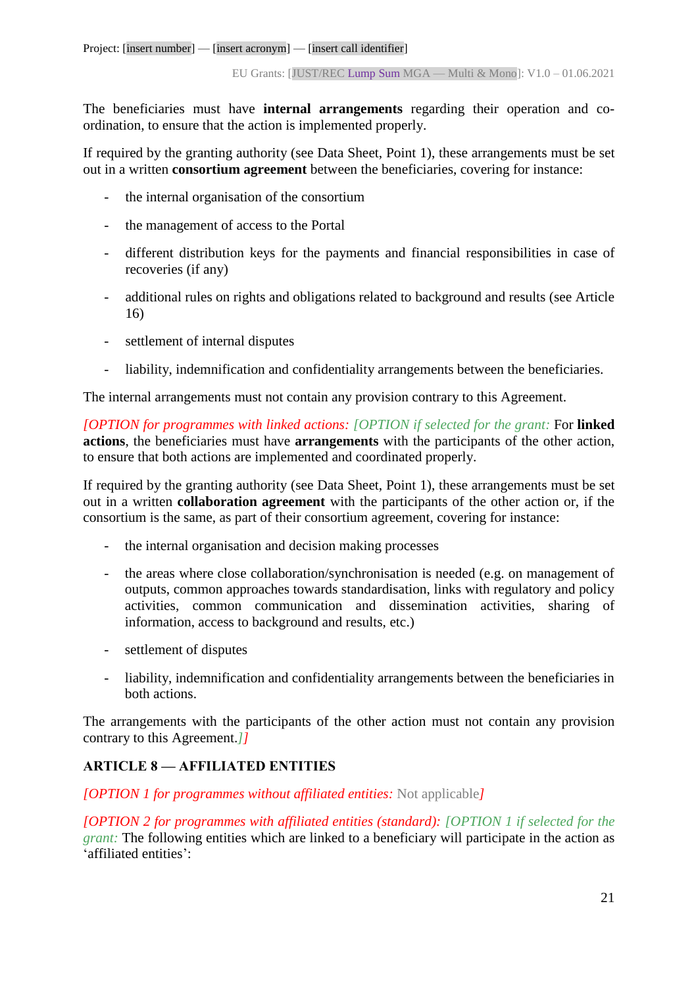The beneficiaries must have **internal arrangements** regarding their operation and coordination, to ensure that the action is implemented properly.

If required by the granting authority (see Data Sheet, Point 1), these arrangements must be set out in a written **consortium agreement** between the beneficiaries, covering for instance:

- the internal organisation of the consortium
- the management of access to the Portal
- different distribution keys for the payments and financial responsibilities in case of recoveries (if any)
- additional rules on rights and obligations related to background and results (see Article 16)
- settlement of internal disputes
- liability, indemnification and confidentiality arrangements between the beneficiaries.

The internal arrangements must not contain any provision contrary to this Agreement.

*[OPTION for programmes with linked actions: [OPTION if selected for the grant:* For **linked actions**, the beneficiaries must have **arrangements** with the participants of the other action, to ensure that both actions are implemented and coordinated properly.

If required by the granting authority (see Data Sheet, Point 1), these arrangements must be set out in a written **collaboration agreement** with the participants of the other action or, if the consortium is the same, as part of their consortium agreement, covering for instance:

- the internal organisation and decision making processes
- the areas where close collaboration/synchronisation is needed (e.g. on management of outputs, common approaches towards standardisation, links with regulatory and policy activities, common communication and dissemination activities, sharing of information, access to background and results, etc.)
- settlement of disputes
- liability, indemnification and confidentiality arrangements between the beneficiaries in both actions.

The arrangements with the participants of the other action must not contain any provision contrary to this Agreement.*]]*

# <span id="page-20-0"></span>**ARTICLE 8 — AFFILIATED ENTITIES**

*[OPTION 1 for programmes without affiliated entities:* Not applicable*]*

*[OPTION 2 for programmes with affiliated entities (standard): [OPTION 1 if selected for the grant:* The following entities which are linked to a beneficiary will participate in the action as 'affiliated entities':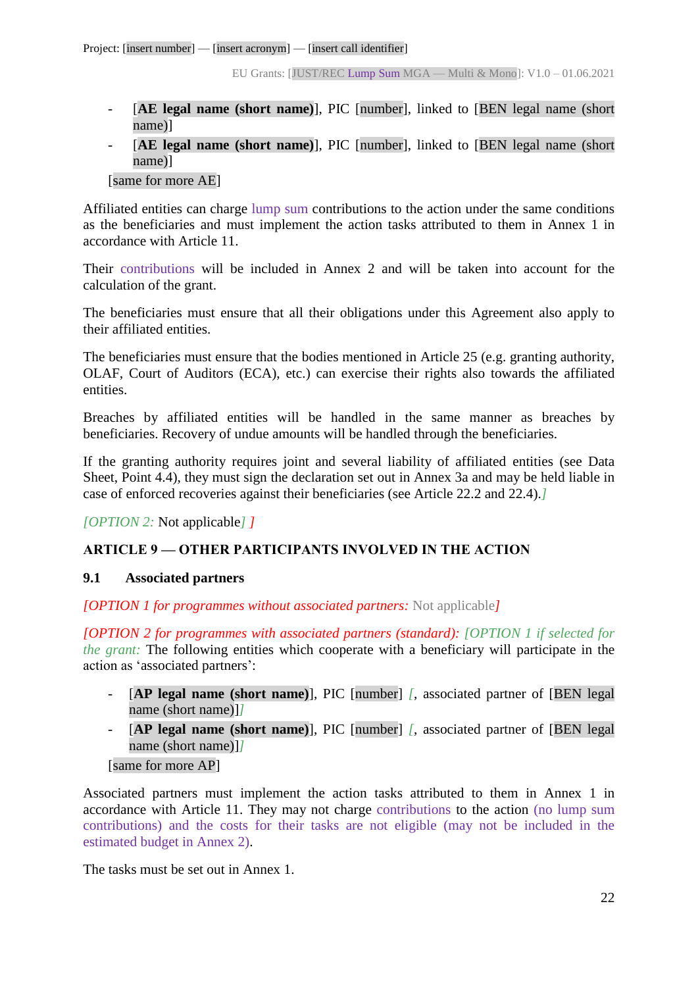- [**AE legal name (short name)**], PIC [number], linked to [BEN legal name (short name)]
- [AE legal name (short name)], PIC [number], linked to [BEN legal name (short name)]

[same for more AE]

Affiliated entities can charge lump sum contributions to the action under the same conditions as the beneficiaries and must implement the action tasks attributed to them in Annex 1 in accordance with Article 11.

Their contributions will be included in Annex 2 and will be taken into account for the calculation of the grant.

The beneficiaries must ensure that all their obligations under this Agreement also apply to their affiliated entities.

The beneficiaries must ensure that the bodies mentioned in Article 25 (e.g. granting authority, OLAF, Court of Auditors (ECA), etc.) can exercise their rights also towards the affiliated entities.

Breaches by affiliated entities will be handled in the same manner as breaches by beneficiaries. Recovery of undue amounts will be handled through the beneficiaries.

If the granting authority requires joint and several liability of affiliated entities (see Data Sheet, Point 4.4), they must sign the declaration set out in Annex 3a and may be held liable in case of enforced recoveries against their beneficiaries (see Article 22.2 and 22.4).*]*

*[OPTION 2:* Not applicable*] ]*

# <span id="page-21-0"></span>**ARTICLE 9 — OTHER PARTICIPANTS INVOLVED IN THE ACTION**

# <span id="page-21-1"></span>**9.1 Associated partners**

*[OPTION 1 for programmes without associated partners:* Not applicable*]*

*[OPTION 2 for programmes with associated partners (standard): [OPTION 1 if selected for the grant:* The following entities which cooperate with a beneficiary will participate in the action as 'associated partners':

- [AP legal name (short name)], PIC [number] *[, associated partner of [BEN legal*] name (short name)]*]*
- [**AP legal name (short name)**], PIC [number] *[*, associated partner of [BEN legal name (short name)]*]*

[same for more AP]

Associated partners must implement the action tasks attributed to them in Annex 1 in accordance with Article 11. They may not charge contributions to the action (no lump sum contributions) and the costs for their tasks are not eligible (may not be included in the estimated budget in Annex 2).

The tasks must be set out in Annex 1.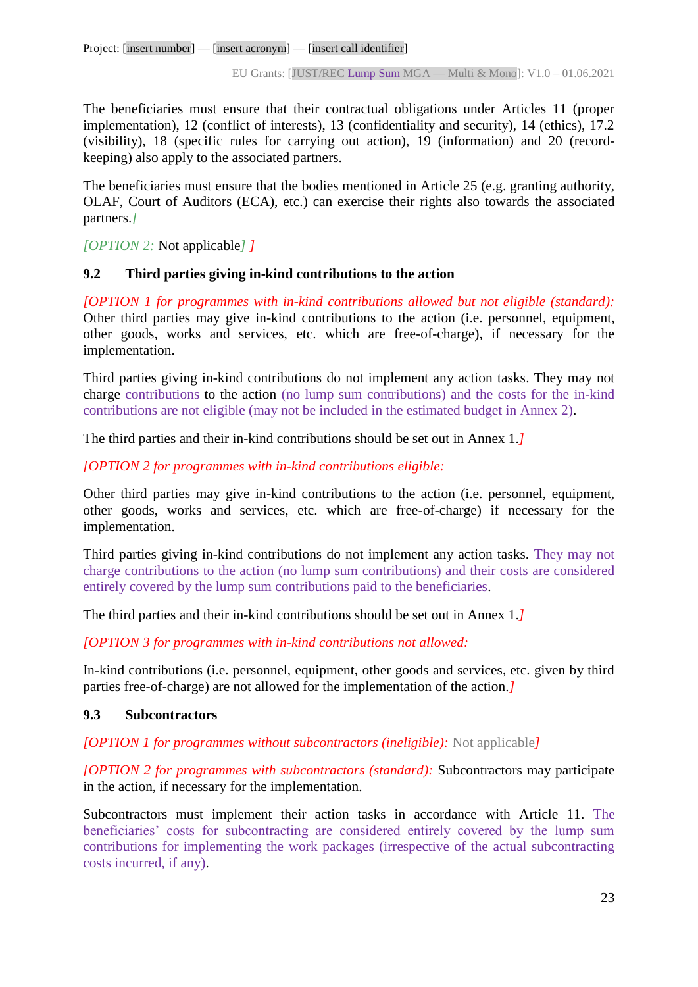The beneficiaries must ensure that their contractual obligations under Articles 11 (proper implementation), 12 (conflict of interests), 13 (confidentiality and security), 14 (ethics), 17.2 (visibility), 18 (specific rules for carrying out action), 19 (information) and 20 (recordkeeping) also apply to the associated partners.

The beneficiaries must ensure that the bodies mentioned in Article 25 (e.g. granting authority, OLAF, Court of Auditors (ECA), etc.) can exercise their rights also towards the associated partners.*]*

*[OPTION 2:* Not applicable*] ]*

# <span id="page-22-0"></span>**9.2 Third parties giving in-kind contributions to the action**

*[OPTION 1 for programmes with in-kind contributions allowed but not eligible (standard):*  Other third parties may give in-kind contributions to the action (i.e. personnel, equipment, other goods, works and services, etc. which are free-of-charge), if necessary for the implementation.

Third parties giving in-kind contributions do not implement any action tasks. They may not charge contributions to the action (no lump sum contributions) and the costs for the in-kind contributions are not eligible (may not be included in the estimated budget in Annex 2).

The third parties and their in-kind contributions should be set out in Annex 1.*]*

*[OPTION 2 for programmes with in-kind contributions eligible:*

Other third parties may give in-kind contributions to the action (i.e. personnel, equipment, other goods, works and services, etc. which are free-of-charge) if necessary for the implementation.

Third parties giving in-kind contributions do not implement any action tasks. They may not charge contributions to the action (no lump sum contributions) and their costs are considered entirely covered by the lump sum contributions paid to the beneficiaries.

The third parties and their in-kind contributions should be set out in Annex 1.*]*

*[OPTION 3 for programmes with in-kind contributions not allowed:*

In-kind contributions (i.e. personnel, equipment, other goods and services, etc. given by third parties free-of-charge) are not allowed for the implementation of the action.*]*

# <span id="page-22-1"></span>**9.3 Subcontractors**

*[OPTION 1 for programmes without subcontractors (ineligible):* Not applicable*]*

*[OPTION 2 for programmes with subcontractors (standard):* Subcontractors may participate in the action, if necessary for the implementation.

Subcontractors must implement their action tasks in accordance with Article 11. The beneficiaries' costs for subcontracting are considered entirely covered by the lump sum contributions for implementing the work packages (irrespective of the actual subcontracting costs incurred, if any).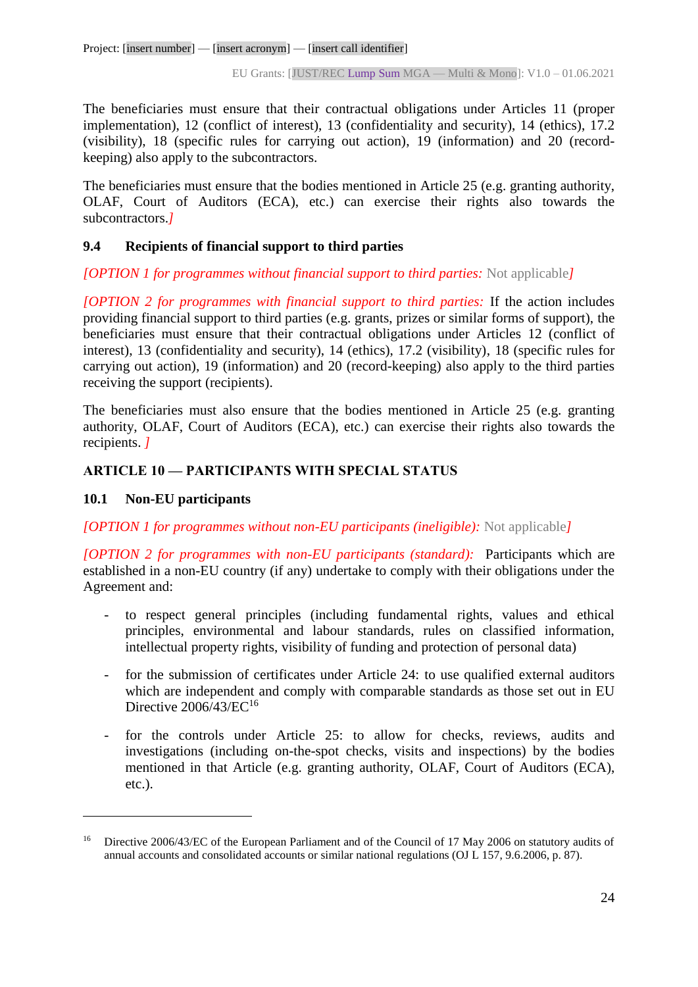The beneficiaries must ensure that their contractual obligations under Articles 11 (proper implementation), 12 (conflict of interest), 13 (confidentiality and security), 14 (ethics), 17.2 (visibility), 18 (specific rules for carrying out action), 19 (information) and 20 (recordkeeping) also apply to the subcontractors.

The beneficiaries must ensure that the bodies mentioned in Article 25 (e.g. granting authority, OLAF, Court of Auditors (ECA), etc.) can exercise their rights also towards the subcontractors.*]*

# <span id="page-23-0"></span>**9.4 Recipients of financial support to third parties**

# *[OPTION 1 for programmes without financial support to third parties:* Not applicable*]*

*[OPTION 2 for programmes with financial support to third parties:* If the action includes providing financial support to third parties (e.g. grants, prizes or similar forms of support), the beneficiaries must ensure that their contractual obligations under Articles 12 (conflict of interest), 13 (confidentiality and security), 14 (ethics), 17.2 (visibility), 18 (specific rules for carrying out action), 19 (information) and 20 (record-keeping) also apply to the third parties receiving the support (recipients).

The beneficiaries must also ensure that the bodies mentioned in Article 25 (e.g. granting authority, OLAF, Court of Auditors (ECA), etc.) can exercise their rights also towards the recipients. *]*

# <span id="page-23-1"></span>**ARTICLE 10 — PARTICIPANTS WITH SPECIAL STATUS**

# <span id="page-23-2"></span>**10.1 Non-EU participants**

 $\overline{a}$ 

*[OPTION 1 for programmes without non-EU participants (ineligible):* Not applicable*]*

*[OPTION 2 for programmes with non-EU participants (standard):* Participants which are established in a non-EU country (if any) undertake to comply with their obligations under the Agreement and:

- to respect general principles (including fundamental rights, values and ethical principles, environmental and labour standards, rules on classified information, intellectual property rights, visibility of funding and protection of personal data)
- for the submission of certificates under Article 24: to use qualified external auditors which are independent and comply with comparable standards as those set out in EU Directive  $2006/43/EC^{16}$
- for the controls under Article 25: to allow for checks, reviews, audits and investigations (including on-the-spot checks, visits and inspections) by the bodies mentioned in that Article (e.g. granting authority, OLAF, Court of Auditors (ECA), etc.).

Directive 2006/43/EC of the European Parliament and of the Council of 17 May 2006 on statutory audits of annual accounts and consolidated accounts or similar national regulations (OJ L 157, 9.6.2006, p. 87).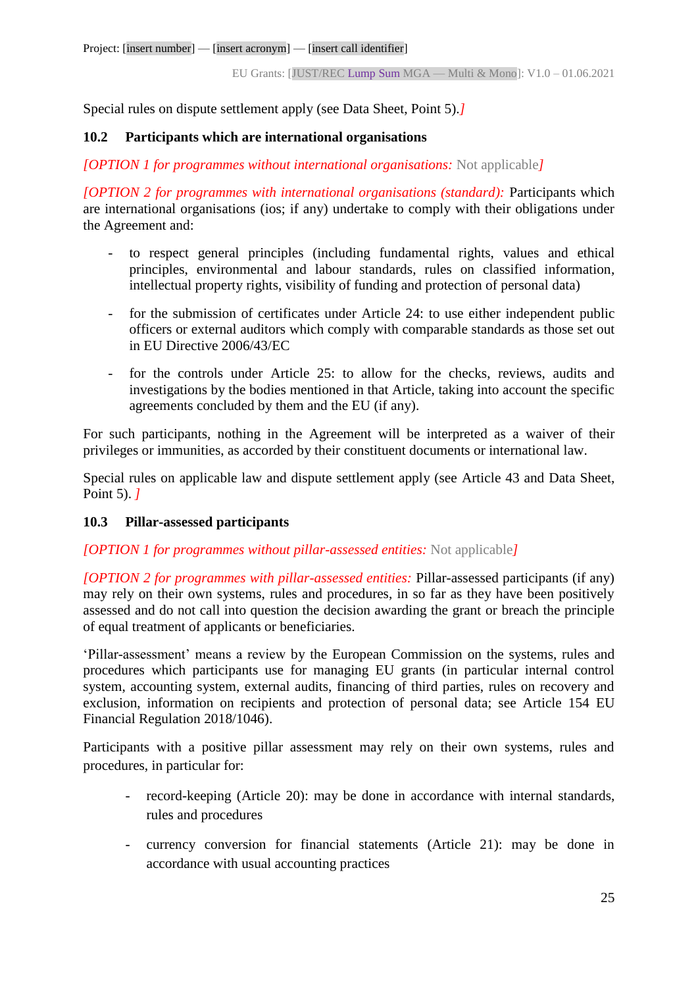Special rules on dispute settlement apply (see Data Sheet, Point 5).*]*

# <span id="page-24-0"></span>**10.2 Participants which are international organisations**

*[OPTION 1 for programmes without international organisations:* Not applicable*]*

*[OPTION 2 for programmes with international organisations (standard):* Participants which are international organisations (ios; if any) undertake to comply with their obligations under the Agreement and:

- to respect general principles (including fundamental rights, values and ethical principles, environmental and labour standards, rules on classified information, intellectual property rights, visibility of funding and protection of personal data)
- for the submission of certificates under Article 24: to use either independent public officers or external auditors which comply with comparable standards as those set out in EU Directive 2006/43/EC
- for the controls under Article 25: to allow for the checks, reviews, audits and investigations by the bodies mentioned in that Article, taking into account the specific agreements concluded by them and the EU (if any).

For such participants, nothing in the Agreement will be interpreted as a waiver of their privileges or immunities, as accorded by their constituent documents or international law.

Special rules on applicable law and dispute settlement apply (see Article 43 and Data Sheet, Point 5). *]*

# <span id="page-24-1"></span>**10.3 Pillar-assessed participants**

#### *[OPTION 1 for programmes without pillar-assessed entities:* Not applicable*]*

*[OPTION 2 for programmes with pillar-assessed entities:* Pillar-assessed participants (if any) may rely on their own systems, rules and procedures, in so far as they have been positively assessed and do not call into question the decision awarding the grant or breach the principle of equal treatment of applicants or beneficiaries.

'Pillar-assessment' means a review by the European Commission on the systems, rules and procedures which participants use for managing EU grants (in particular internal control system, accounting system, external audits, financing of third parties, rules on recovery and exclusion, information on recipients and protection of personal data; see Article 154 EU Financial Regulation 2018/1046).

Participants with a positive pillar assessment may rely on their own systems, rules and procedures, in particular for:

- record-keeping (Article 20): may be done in accordance with internal standards, rules and procedures
- currency conversion for financial statements (Article 21): may be done in accordance with usual accounting practices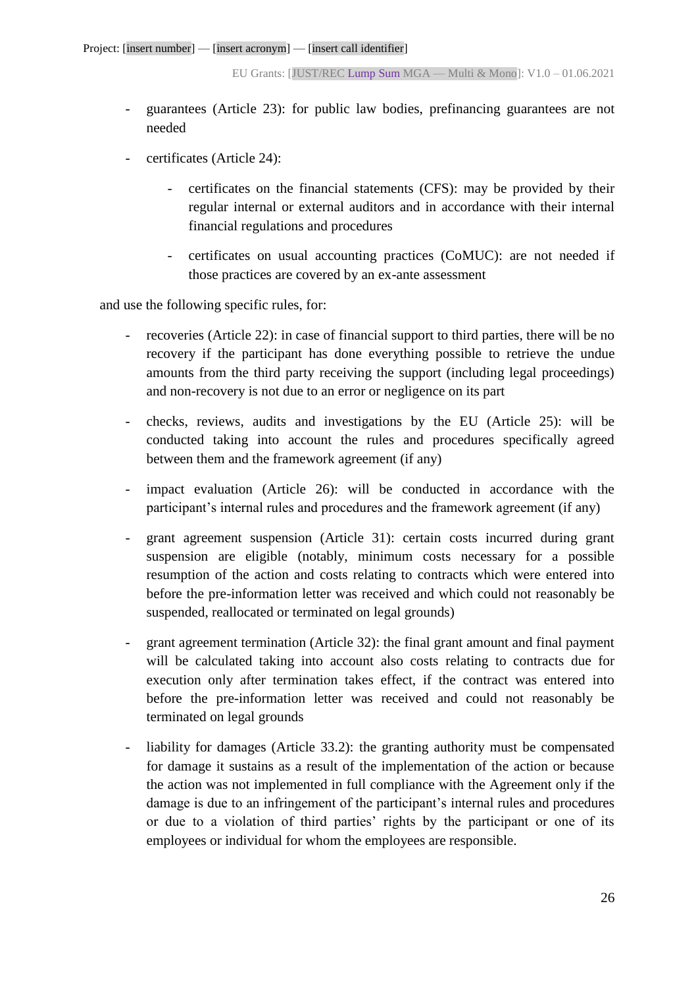- guarantees (Article 23): for public law bodies, prefinancing guarantees are not needed
- certificates (Article 24):
	- certificates on the financial statements (CFS): may be provided by their regular internal or external auditors and in accordance with their internal financial regulations and procedures
	- certificates on usual accounting practices (CoMUC): are not needed if those practices are covered by an ex-ante assessment

and use the following specific rules, for:

- recoveries (Article 22): in case of financial support to third parties, there will be no recovery if the participant has done everything possible to retrieve the undue amounts from the third party receiving the support (including legal proceedings) and non-recovery is not due to an error or negligence on its part
- checks, reviews, audits and investigations by the EU (Article 25): will be conducted taking into account the rules and procedures specifically agreed between them and the framework agreement (if any)
- impact evaluation (Article 26): will be conducted in accordance with the participant's internal rules and procedures and the framework agreement (if any)
- grant agreement suspension (Article 31): certain costs incurred during grant suspension are eligible (notably, minimum costs necessary for a possible resumption of the action and costs relating to contracts which were entered into before the pre-information letter was received and which could not reasonably be suspended, reallocated or terminated on legal grounds)
- grant agreement termination (Article 32): the final grant amount and final payment will be calculated taking into account also costs relating to contracts due for execution only after termination takes effect, if the contract was entered into before the pre-information letter was received and could not reasonably be terminated on legal grounds
- liability for damages (Article 33.2): the granting authority must be compensated for damage it sustains as a result of the implementation of the action or because the action was not implemented in full compliance with the Agreement only if the damage is due to an infringement of the participant's internal rules and procedures or due to a violation of third parties' rights by the participant or one of its employees or individual for whom the employees are responsible.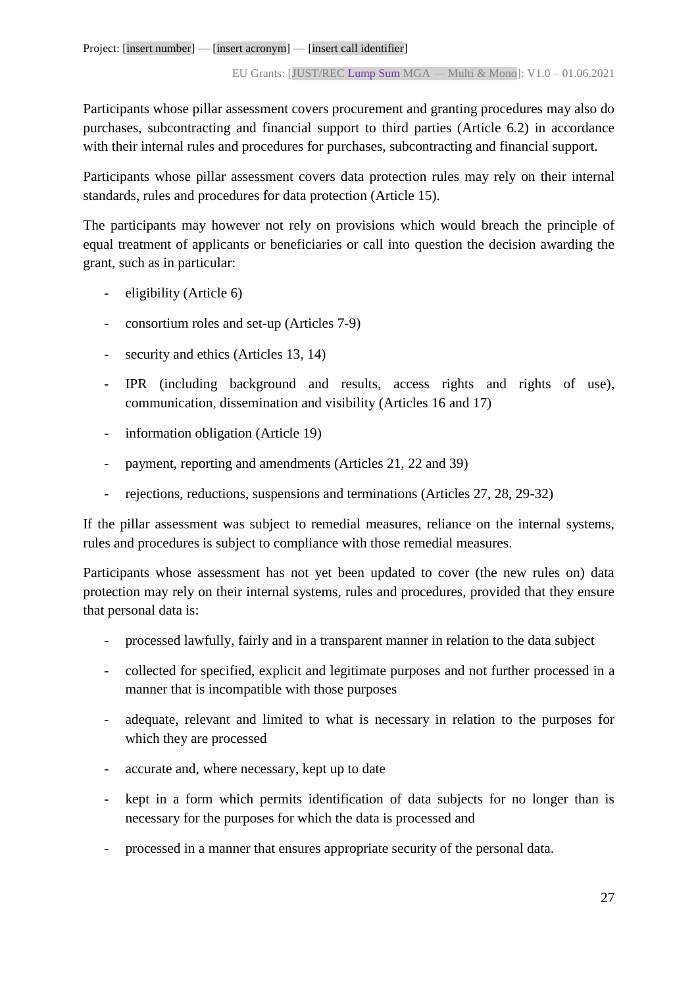Participants whose pillar assessment covers procurement and granting procedures may also do purchases, subcontracting and financial support to third parties (Article 6.2) in accordance with their internal rules and procedures for purchases, subcontracting and financial support*.* 

Participants whose pillar assessment covers data protection rules may rely on their internal standards, rules and procedures for data protection (Article 15).

The participants may however not rely on provisions which would breach the principle of equal treatment of applicants or beneficiaries or call into question the decision awarding the grant, such as in particular:

- eligibility (Article 6)
- consortium roles and set-up (Articles 7-9)
- security and ethics (Articles 13, 14)
- IPR (including background and results, access rights and rights of use), communication, dissemination and visibility (Articles 16 and 17)
- information obligation (Article 19)
- payment, reporting and amendments (Articles 21, 22 and 39)
- rejections, reductions, suspensions and terminations (Articles 27, 28, 29-32)

If the pillar assessment was subject to remedial measures, reliance on the internal systems, rules and procedures is subject to compliance with those remedial measures.

Participants whose assessment has not yet been updated to cover (the new rules on) data protection may rely on their internal systems, rules and procedures, provided that they ensure that personal data is:

- processed lawfully, fairly and in a transparent manner in relation to the data subject
- collected for specified, explicit and legitimate purposes and not further processed in a manner that is incompatible with those purposes
- adequate, relevant and limited to what is necessary in relation to the purposes for which they are processed
- accurate and, where necessary, kept up to date
- kept in a form which permits identification of data subjects for no longer than is necessary for the purposes for which the data is processed and
- processed in a manner that ensures appropriate security of the personal data.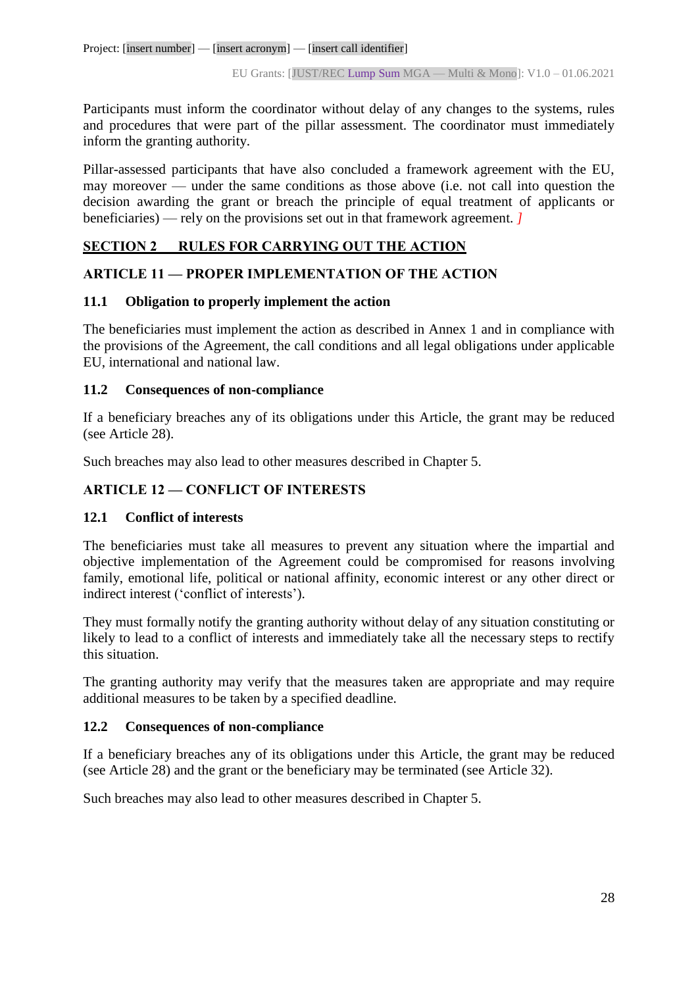Participants must inform the coordinator without delay of any changes to the systems, rules and procedures that were part of the pillar assessment. The coordinator must immediately inform the granting authority.

Pillar-assessed participants that have also concluded a framework agreement with the EU, may moreover — under the same conditions as those above (i.e. not call into question the decision awarding the grant or breach the principle of equal treatment of applicants or beneficiaries) — rely on the provisions set out in that framework agreement. *]*

# <span id="page-27-0"></span>**SECTION 2 RULES FOR CARRYING OUT THE ACTION**

# <span id="page-27-1"></span>**ARTICLE 11 — PROPER IMPLEMENTATION OF THE ACTION**

#### <span id="page-27-2"></span>**11.1 Obligation to properly implement the action**

The beneficiaries must implement the action as described in Annex 1 and in compliance with the provisions of the Agreement, the call conditions and all legal obligations under applicable EU, international and national law.

#### <span id="page-27-3"></span>**11.2 Consequences of non-compliance**

If a beneficiary breaches any of its obligations under this Article, the grant may be reduced (see Article 28).

Such breaches may also lead to other measures described in Chapter 5.

# <span id="page-27-4"></span>**ARTICLE 12 — CONFLICT OF INTERESTS**

# <span id="page-27-5"></span>**12.1 Conflict of interests**

The beneficiaries must take all measures to prevent any situation where the impartial and objective implementation of the Agreement could be compromised for reasons involving family, emotional life, political or national affinity, economic interest or any other direct or indirect interest ('conflict of interests').

They must formally notify the granting authority without delay of any situation constituting or likely to lead to a conflict of interests and immediately take all the necessary steps to rectify this situation.

The granting authority may verify that the measures taken are appropriate and may require additional measures to be taken by a specified deadline.

# <span id="page-27-6"></span>**12.2 Consequences of non-compliance**

If a beneficiary breaches any of its obligations under this Article, the grant may be reduced (see Article 28) and the grant or the beneficiary may be terminated (see Article 32).

Such breaches may also lead to other measures described in Chapter 5.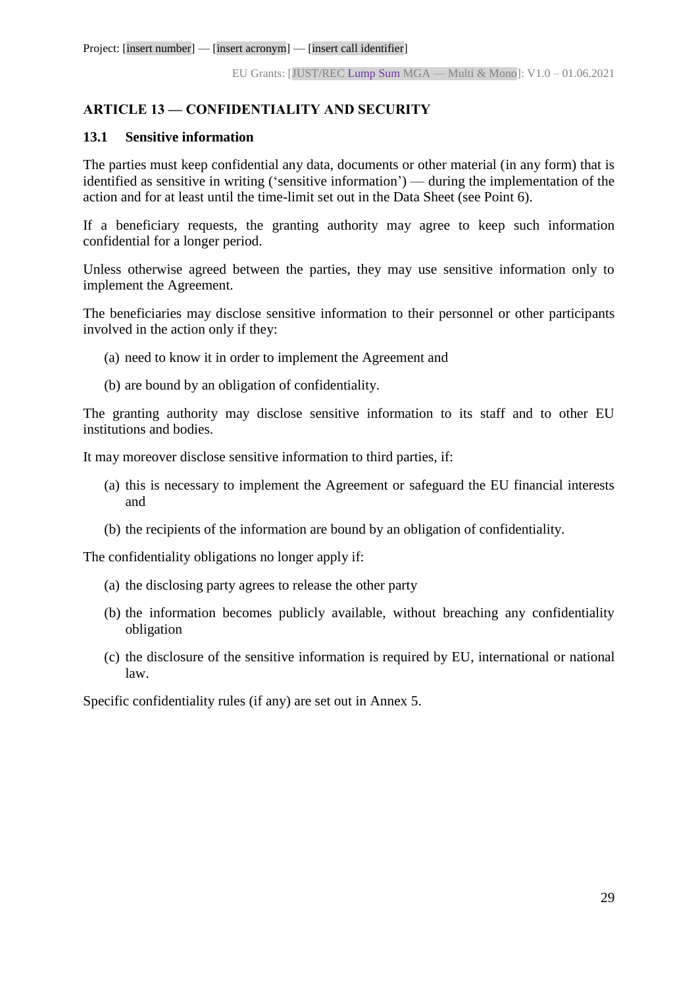# <span id="page-28-0"></span>**ARTICLE 13 — CONFIDENTIALITY AND SECURITY**

#### <span id="page-28-1"></span>**13.1 Sensitive information**

The parties must keep confidential any data, documents or other material (in any form) that is identified as sensitive in writing ('sensitive information') — during the implementation of the action and for at least until the time-limit set out in the Data Sheet (see Point 6).

If a beneficiary requests, the granting authority may agree to keep such information confidential for a longer period.

Unless otherwise agreed between the parties, they may use sensitive information only to implement the Agreement.

The beneficiaries may disclose sensitive information to their personnel or other participants involved in the action only if they:

- (a) need to know it in order to implement the Agreement and
- (b) are bound by an obligation of confidentiality.

The granting authority may disclose sensitive information to its staff and to other EU institutions and bodies.

It may moreover disclose sensitive information to third parties, if:

- (a) this is necessary to implement the Agreement or safeguard the EU financial interests and
- (b) the recipients of the information are bound by an obligation of confidentiality.

The confidentiality obligations no longer apply if:

- (a) the disclosing party agrees to release the other party
- (b) the information becomes publicly available, without breaching any confidentiality obligation
- (c) the disclosure of the sensitive information is required by EU, international or national law.

Specific confidentiality rules (if any) are set out in Annex 5.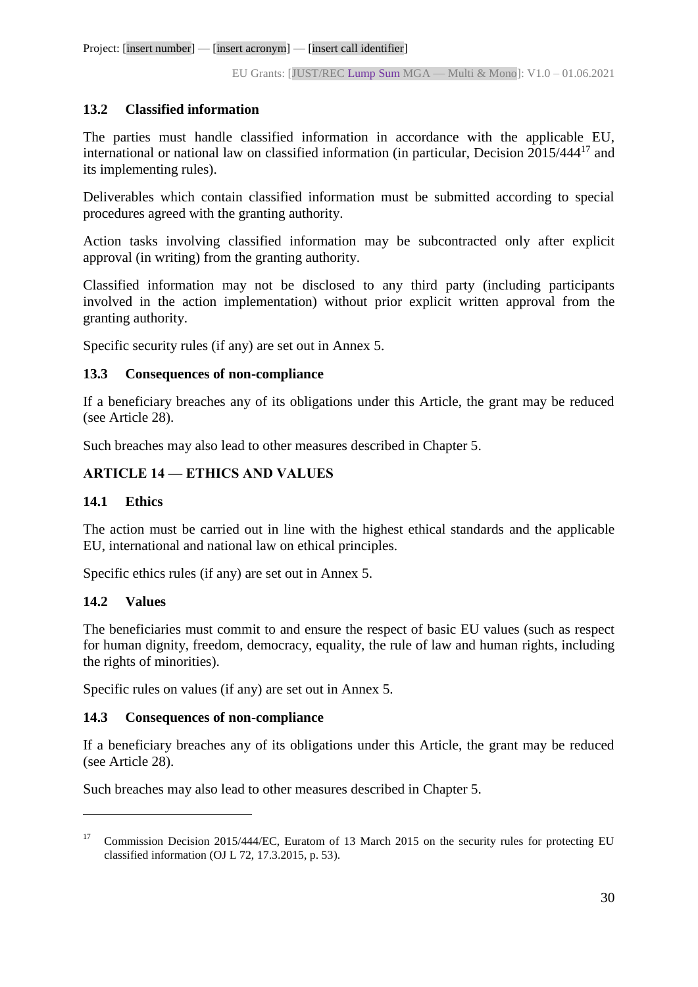# <span id="page-29-0"></span>**13.2 Classified information**

The parties must handle classified information in accordance with the applicable EU, international or national law on classified information (in particular, Decision 2015/444<sup>17</sup> and its implementing rules).

Deliverables which contain classified information must be submitted according to special procedures agreed with the granting authority.

Action tasks involving classified information may be subcontracted only after explicit approval (in writing) from the granting authority.

Classified information may not be disclosed to any third party (including participants involved in the action implementation) without prior explicit written approval from the granting authority.

Specific security rules (if any) are set out in Annex 5.

# <span id="page-29-1"></span>**13.3 Consequences of non-compliance**

If a beneficiary breaches any of its obligations under this Article, the grant may be reduced (see Article 28).

Such breaches may also lead to other measures described in Chapter 5.

# <span id="page-29-2"></span>**ARTICLE 14 — ETHICS AND VALUES**

# <span id="page-29-3"></span>**14.1 Ethics**

The action must be carried out in line with the highest ethical standards and the applicable EU, international and national law on ethical principles.

Specific ethics rules (if any) are set out in Annex 5.

# <span id="page-29-4"></span>**14.2 Values**

 $\overline{a}$ 

The beneficiaries must commit to and ensure the respect of basic EU values (such as respect for human dignity, freedom, democracy, equality, the rule of law and human rights, including the rights of minorities).

Specific rules on values (if any) are set out in Annex 5.

# <span id="page-29-5"></span>**14.3 Consequences of non-compliance**

If a beneficiary breaches any of its obligations under this Article, the grant may be reduced (see Article 28).

Such breaches may also lead to other measures described in Chapter 5.

<sup>&</sup>lt;sup>17</sup> Commission Decision 2015/444/EC, Euratom of 13 March 2015 on the security rules for protecting EU classified information (OJ L 72, 17.3.2015, p. 53).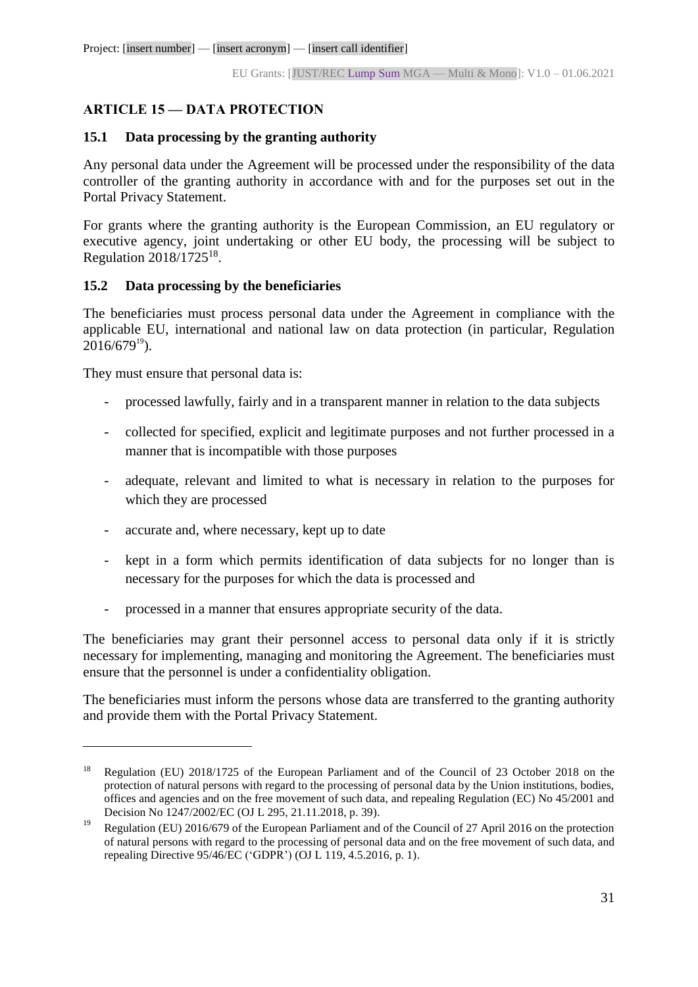# <span id="page-30-0"></span>**ARTICLE 15 — DATA PROTECTION**

# <span id="page-30-1"></span>**15.1 Data processing by the granting authority**

Any personal data under the Agreement will be processed under the responsibility of the data controller of the granting authority in accordance with and for the purposes set out in the Portal Privacy Statement.

For grants where the granting authority is the European Commission, an EU regulatory or executive agency, joint undertaking or other EU body, the processing will be subject to Regulation  $2018/1725^{18}$ .

# <span id="page-30-2"></span>**15.2 Data processing by the beneficiaries**

The beneficiaries must process personal data under the Agreement in compliance with the applicable EU, international and national law on data protection (in particular, Regulation  $2016/679^{19}$ ).

They must ensure that personal data is:

 $\overline{a}$ 

- processed lawfully, fairly and in a transparent manner in relation to the data subjects
- collected for specified, explicit and legitimate purposes and not further processed in a manner that is incompatible with those purposes
- adequate, relevant and limited to what is necessary in relation to the purposes for which they are processed
- accurate and, where necessary, kept up to date
- kept in a form which permits identification of data subjects for no longer than is necessary for the purposes for which the data is processed and
- processed in a manner that ensures appropriate security of the data.

The beneficiaries may grant their personnel access to personal data only if it is strictly necessary for implementing, managing and monitoring the Agreement. The beneficiaries must ensure that the personnel is under a confidentiality obligation.

The beneficiaries must inform the persons whose data are transferred to the granting authority and provide them with the Portal Privacy Statement.

<sup>&</sup>lt;sup>18</sup> Regulation (EU) 2018/1725 of the European Parliament and of the Council of 23 October 2018 on the protection of natural persons with regard to the processing of personal data by the Union institutions, bodies, offices and agencies and on the free movement of such data, and repealing Regulation (EC) No 45/2001 and Decision No 1247/2002/EC (OJ L 295, 21.11.2018, p. 39).

<sup>&</sup>lt;sup>19</sup> Regulation (EU) 2016/679 of the European Parliament and of the Council of 27 April 2016 on the protection of natural persons with regard to the processing of personal data and on the free movement of such data, and repealing Directive 95/46/EC ('GDPR') (OJ L 119, 4.5.2016, p. 1).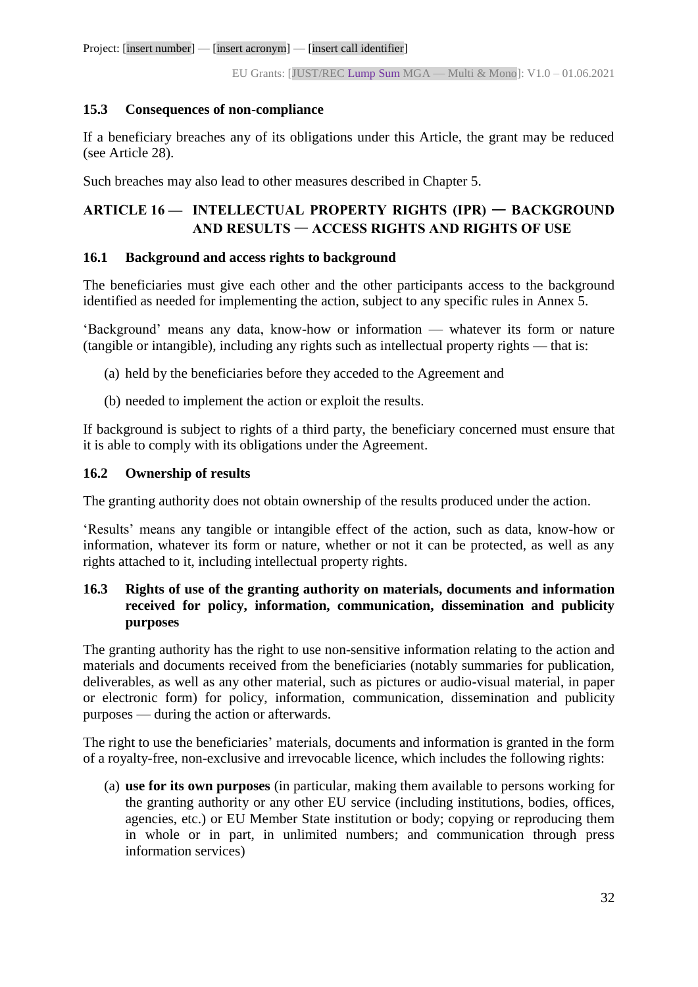# <span id="page-31-0"></span>**15.3 Consequences of non-compliance**

If a beneficiary breaches any of its obligations under this Article, the grant may be reduced (see Article 28).

Such breaches may also lead to other measures described in Chapter 5.

# <span id="page-31-1"></span>**ARTICLE 16 — INTELLECTUAL PROPERTY RIGHTS (IPR)** — **BACKGROUND AND RESULTS** — **ACCESS RIGHTS AND RIGHTS OF USE**

# <span id="page-31-2"></span>**16.1 Background and access rights to background**

The beneficiaries must give each other and the other participants access to the background identified as needed for implementing the action, subject to any specific rules in Annex 5.

'Background' means any data, know-how or information — whatever its form or nature (tangible or intangible), including any rights such as intellectual property rights — that is:

- (a) held by the beneficiaries before they acceded to the Agreement and
- (b) needed to implement the action or exploit the results.

If background is subject to rights of a third party, the beneficiary concerned must ensure that it is able to comply with its obligations under the Agreement.

#### <span id="page-31-3"></span>**16.2 Ownership of results**

The granting authority does not obtain ownership of the results produced under the action.

'Results' means any tangible or intangible effect of the action, such as data, know-how or information, whatever its form or nature, whether or not it can be protected, as well as any rights attached to it, including intellectual property rights.

### <span id="page-31-4"></span>**16.3 Rights of use of the granting authority on materials, documents and information received for policy, information, communication, dissemination and publicity purposes**

The granting authority has the right to use non-sensitive information relating to the action and materials and documents received from the beneficiaries (notably summaries for publication, deliverables, as well as any other material, such as pictures or audio-visual material, in paper or electronic form) for policy, information, communication, dissemination and publicity purposes — during the action or afterwards.

The right to use the beneficiaries' materials, documents and information is granted in the form of a royalty-free, non-exclusive and irrevocable licence, which includes the following rights:

(a) **use for its own purposes** (in particular, making them available to persons working for the granting authority or any other EU service (including institutions, bodies, offices, agencies, etc.) or EU Member State institution or body; copying or reproducing them in whole or in part, in unlimited numbers; and communication through press information services)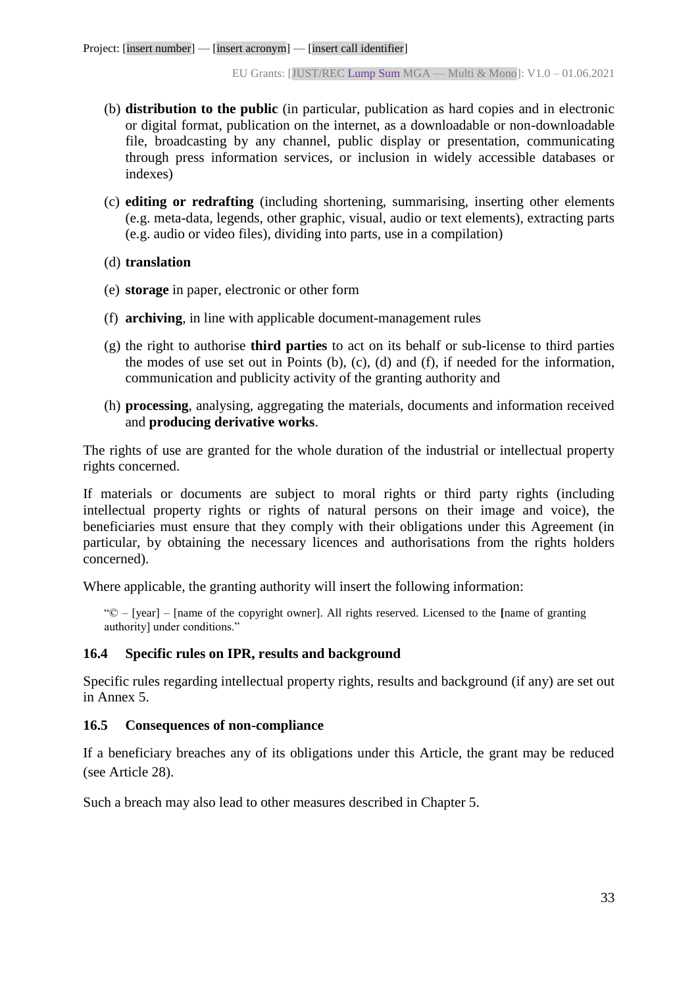- (b) **distribution to the public** (in particular, publication as hard copies and in electronic or digital format, publication on the internet, as a downloadable or non-downloadable file, broadcasting by any channel, public display or presentation, communicating through press information services, or inclusion in widely accessible databases or indexes)
- (c) **editing or redrafting** (including shortening, summarising, inserting other elements (e.g. meta-data, legends, other graphic, visual, audio or text elements), extracting parts (e.g. audio or video files), dividing into parts, use in a compilation)
- (d) **translation**
- (e) **storage** in paper, electronic or other form
- (f) **archiving**, in line with applicable document-management rules
- (g) the right to authorise **third parties** to act on its behalf or sub-license to third parties the modes of use set out in Points (b), (c), (d) and (f), if needed for the information, communication and publicity activity of the granting authority and
- (h) **processing**, analysing, aggregating the materials, documents and information received and **producing derivative works**.

The rights of use are granted for the whole duration of the industrial or intellectual property rights concerned.

If materials or documents are subject to moral rights or third party rights (including intellectual property rights or rights of natural persons on their image and voice), the beneficiaries must ensure that they comply with their obligations under this Agreement (in particular, by obtaining the necessary licences and authorisations from the rights holders concerned).

Where applicable, the granting authority will insert the following information:

"© – [year] – [name of the copyright owner]. All rights reserved. Licensed to the **[**name of granting authority] under conditions."

#### <span id="page-32-0"></span>**16.4 Specific rules on IPR, results and background**

Specific rules regarding intellectual property rights, results and background (if any) are set out in Annex 5.

#### <span id="page-32-1"></span>**16.5 Consequences of non-compliance**

If a beneficiary breaches any of its obligations under this Article, the grant may be reduced (see Article 28).

Such a breach may also lead to other measures described in Chapter 5.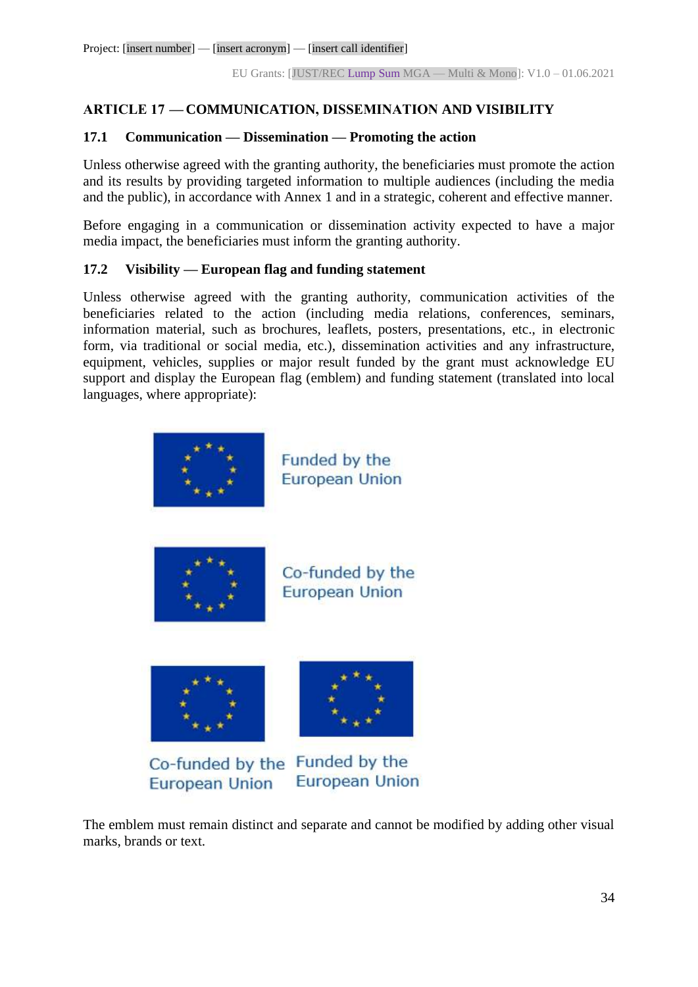# <span id="page-33-0"></span>**ARTICLE 17 — COMMUNICATION, DISSEMINATION AND VISIBILITY**

#### <span id="page-33-1"></span>**17.1 Communication — Dissemination — Promoting the action**

Unless otherwise agreed with the granting authority, the beneficiaries must promote the action and its results by providing targeted information to multiple audiences (including the media and the public), in accordance with Annex 1 and in a strategic, coherent and effective manner.

Before engaging in a communication or dissemination activity expected to have a major media impact, the beneficiaries must inform the granting authority.

# <span id="page-33-2"></span>**17.2 Visibility — European flag and funding statement**

Unless otherwise agreed with the granting authority, communication activities of the beneficiaries related to the action (including media relations, conferences, seminars, information material, such as brochures, leaflets, posters, presentations, etc., in electronic form, via traditional or social media, etc.), dissemination activities and any infrastructure, equipment, vehicles, supplies or major result funded by the grant must acknowledge EU support and display the European flag (emblem) and funding statement (translated into local languages, where appropriate):



The emblem must remain distinct and separate and cannot be modified by adding other visual marks, brands or text.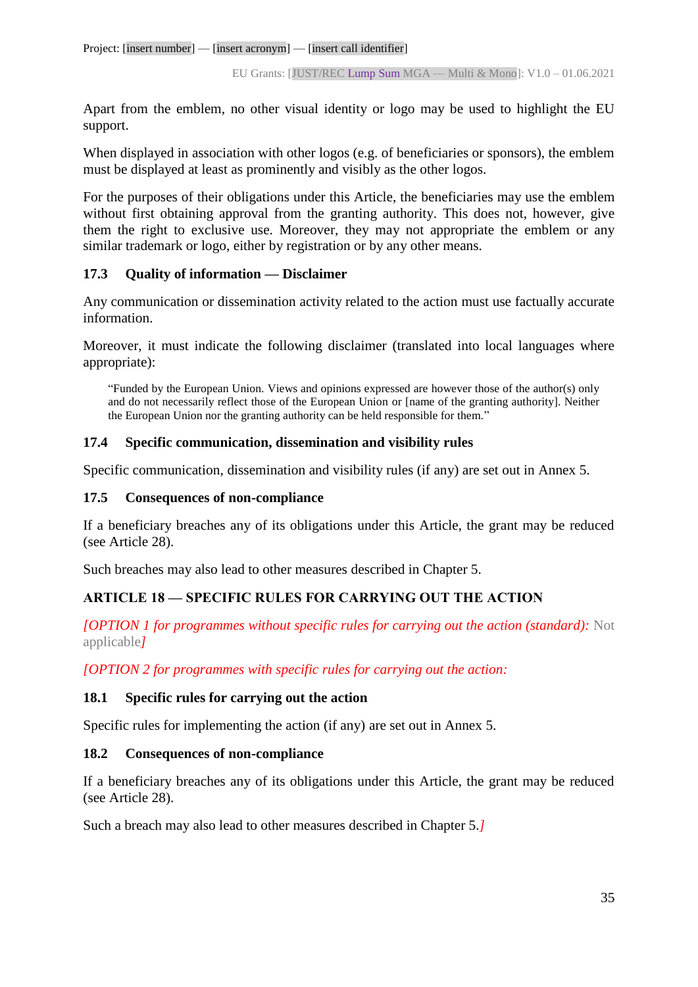Apart from the emblem, no other visual identity or logo may be used to highlight the EU support.

When displayed in association with other logos (e.g. of beneficiaries or sponsors), the emblem must be displayed at least as prominently and visibly as the other logos.

For the purposes of their obligations under this Article, the beneficiaries may use the emblem without first obtaining approval from the granting authority. This does not, however, give them the right to exclusive use. Moreover, they may not appropriate the emblem or any similar trademark or logo, either by registration or by any other means.

#### <span id="page-34-0"></span>**17.3 Quality of information — Disclaimer**

Any communication or dissemination activity related to the action must use factually accurate information.

Moreover, it must indicate the following disclaimer (translated into local languages where appropriate):

"Funded by the European Union. Views and opinions expressed are however those of the author(s) only and do not necessarily reflect those of the European Union or [name of the granting authority]. Neither the European Union nor the granting authority can be held responsible for them."

#### <span id="page-34-1"></span>**17.4 Specific communication, dissemination and visibility rules**

Specific communication, dissemination and visibility rules (if any) are set out in Annex 5.

#### <span id="page-34-2"></span>**17.5 Consequences of non-compliance**

If a beneficiary breaches any of its obligations under this Article, the grant may be reduced (see Article 28).

Such breaches may also lead to other measures described in Chapter 5.

# <span id="page-34-3"></span>**ARTICLE 18 — SPECIFIC RULES FOR CARRYING OUT THE ACTION**

*[OPTION 1 for programmes without specific rules for carrying out the action (standard):* Not applicable*]*

*[OPTION 2 for programmes with specific rules for carrying out the action:*

#### <span id="page-34-4"></span>**18.1 Specific rules for carrying out the action**

Specific rules for implementing the action (if any) are set out in Annex 5.

#### <span id="page-34-5"></span>**18.2 Consequences of non-compliance**

If a beneficiary breaches any of its obligations under this Article, the grant may be reduced (see Article 28).

Such a breach may also lead to other measures described in Chapter 5.*]*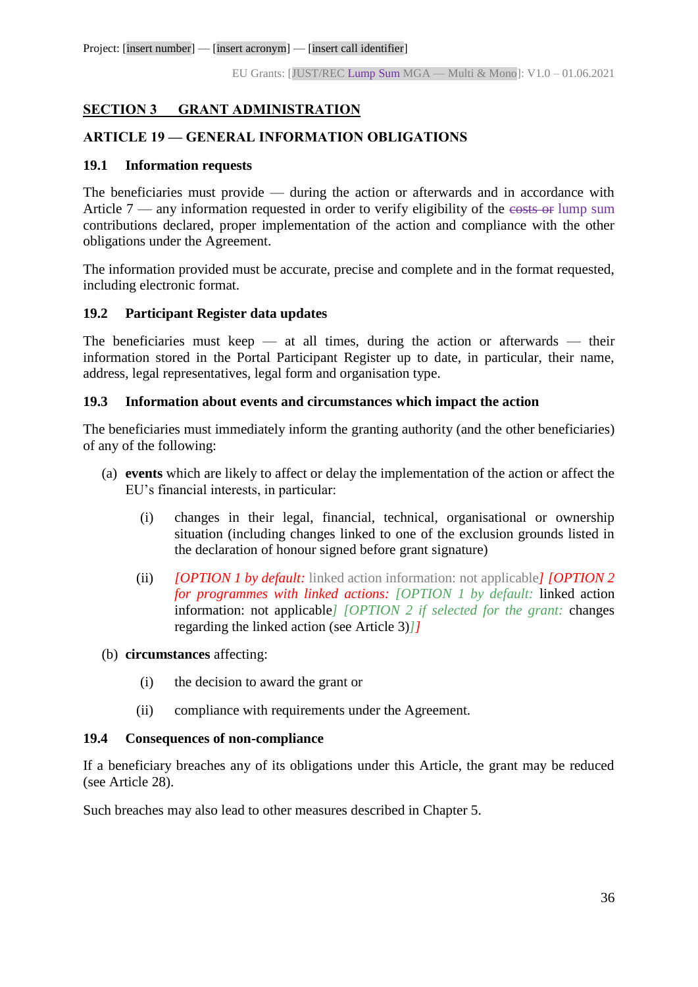## <span id="page-35-0"></span>**SECTION 3 GRANT ADMINISTRATION**

#### <span id="page-35-1"></span>**ARTICLE 19 — GENERAL INFORMATION OBLIGATIONS**

#### <span id="page-35-2"></span>**19.1 Information requests**

The beneficiaries must provide — during the action or afterwards and in accordance with Article  $7$  — any information requested in order to verify eligibility of the costs or lump sum contributions declared, proper implementation of the action and compliance with the other obligations under the Agreement.

The information provided must be accurate, precise and complete and in the format requested, including electronic format.

#### <span id="page-35-3"></span>**19.2 Participant Register data updates**

The beneficiaries must keep  $-$  at all times, during the action or afterwards  $-$  their information stored in the Portal Participant Register up to date, in particular, their name, address, legal representatives, legal form and organisation type.

#### <span id="page-35-4"></span>**19.3 Information about events and circumstances which impact the action**

The beneficiaries must immediately inform the granting authority (and the other beneficiaries) of any of the following:

- (a) **events** which are likely to affect or delay the implementation of the action or affect the EU's financial interests, in particular:
	- (i) changes in their legal, financial, technical, organisational or ownership situation (including changes linked to one of the exclusion grounds listed in the declaration of honour signed before grant signature)
	- (ii) *[OPTION 1 by default:* linked action information: not applicable*] [OPTION 2 for programmes with linked actions: [OPTION 1 by default:* linked action information: not applicable*] [OPTION 2 if selected for the grant:* changes regarding the linked action (see Article 3)*]]*

#### (b) **circumstances** affecting:

- (i) the decision to award the grant or
- (ii) compliance with requirements under the Agreement.

#### <span id="page-35-5"></span>**19.4 Consequences of non-compliance**

If a beneficiary breaches any of its obligations under this Article, the grant may be reduced (see Article 28).

Such breaches may also lead to other measures described in Chapter 5.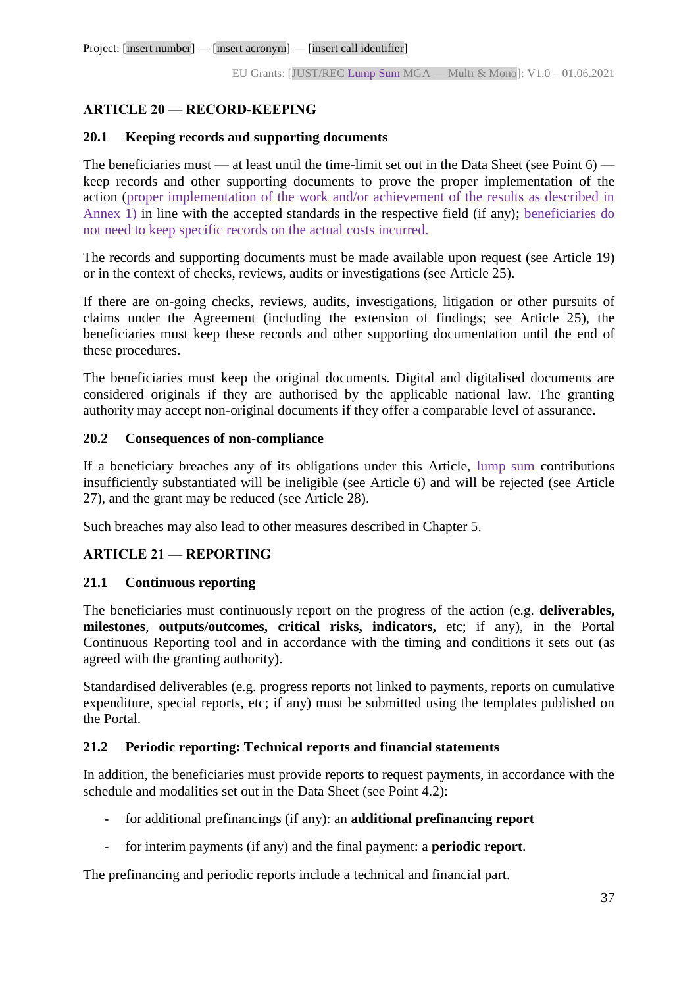# **ARTICLE 20 — RECORD-KEEPING**

## **20.1 Keeping records and supporting documents**

The beneficiaries must — at least until the time-limit set out in the Data Sheet (see Point 6) keep records and other supporting documents to prove the proper implementation of the action (proper implementation of the work and/or achievement of the results as described in Annex 1) in line with the accepted standards in the respective field (if any); beneficiaries do not need to keep specific records on the actual costs incurred.

The records and supporting documents must be made available upon request (see Article 19) or in the context of checks, reviews, audits or investigations (see Article 25).

If there are on-going checks, reviews, audits, investigations, litigation or other pursuits of claims under the Agreement (including the extension of findings; see Article 25), the beneficiaries must keep these records and other supporting documentation until the end of these procedures.

The beneficiaries must keep the original documents. Digital and digitalised documents are considered originals if they are authorised by the applicable national law. The granting authority may accept non-original documents if they offer a comparable level of assurance.

## **20.2 Consequences of non-compliance**

If a beneficiary breaches any of its obligations under this Article, lump sum contributions insufficiently substantiated will be ineligible (see Article 6) and will be rejected (see Article 27), and the grant may be reduced (see Article 28).

Such breaches may also lead to other measures described in Chapter 5.

## **ARTICLE 21 — REPORTING**

## **21.1 Continuous reporting**

The beneficiaries must continuously report on the progress of the action (e.g. **deliverables, milestones**, **outputs/outcomes, critical risks, indicators,** etc; if any), in the Portal Continuous Reporting tool and in accordance with the timing and conditions it sets out (as agreed with the granting authority).

Standardised deliverables (e.g. progress reports not linked to payments, reports on cumulative expenditure, special reports, etc; if any) must be submitted using the templates published on the Portal.

## **21.2 Periodic reporting: Technical reports and financial statements**

In addition, the beneficiaries must provide reports to request payments, in accordance with the schedule and modalities set out in the Data Sheet (see Point 4.2):

- for additional prefinancings (if any): an **additional prefinancing report**
- for interim payments (if any) and the final payment: a **periodic report**.

The prefinancing and periodic reports include a technical and financial part.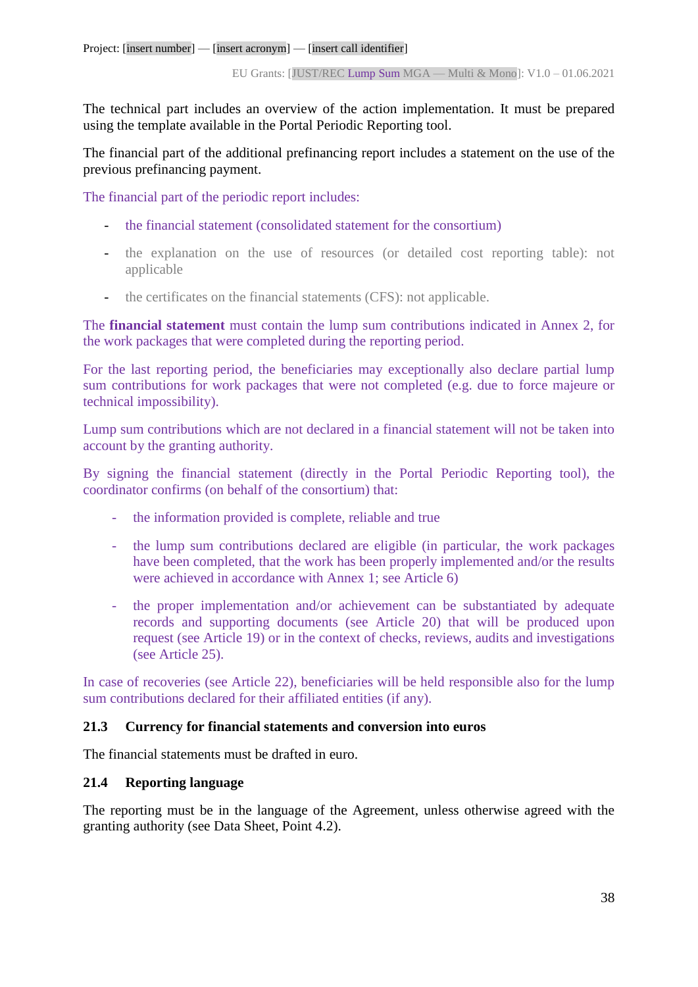The technical part includes an overview of the action implementation. It must be prepared using the template available in the Portal Periodic Reporting tool.

The financial part of the additional prefinancing report includes a statement on the use of the previous prefinancing payment.

The financial part of the periodic report includes:

- the financial statement (consolidated statement for the consortium)
- the explanation on the use of resources (or detailed cost reporting table): not applicable
- the certificates on the financial statements (CFS): not applicable.

The **financial statement** must contain the lump sum contributions indicated in Annex 2, for the work packages that were completed during the reporting period.

For the last reporting period, the beneficiaries may exceptionally also declare partial lump sum contributions for work packages that were not completed (e.g. due to force majeure or technical impossibility).

Lump sum contributions which are not declared in a financial statement will not be taken into account by the granting authority.

By signing the financial statement (directly in the Portal Periodic Reporting tool), the coordinator confirms (on behalf of the consortium) that:

- the information provided is complete, reliable and true
- the lump sum contributions declared are eligible (in particular, the work packages have been completed, that the work has been properly implemented and/or the results were achieved in accordance with Annex 1; see Article 6)
- the proper implementation and/or achievement can be substantiated by adequate records and supporting documents (see Article 20) that will be produced upon request (see Article 19) or in the context of checks, reviews, audits and investigations (see Article 25).

In case of recoveries (see Article 22), beneficiaries will be held responsible also for the lump sum contributions declared for their affiliated entities (if any).

## **21.3 Currency for financial statements and conversion into euros**

The financial statements must be drafted in euro.

## **21.4 Reporting language**

The reporting must be in the language of the Agreement, unless otherwise agreed with the granting authority (see Data Sheet, Point 4.2).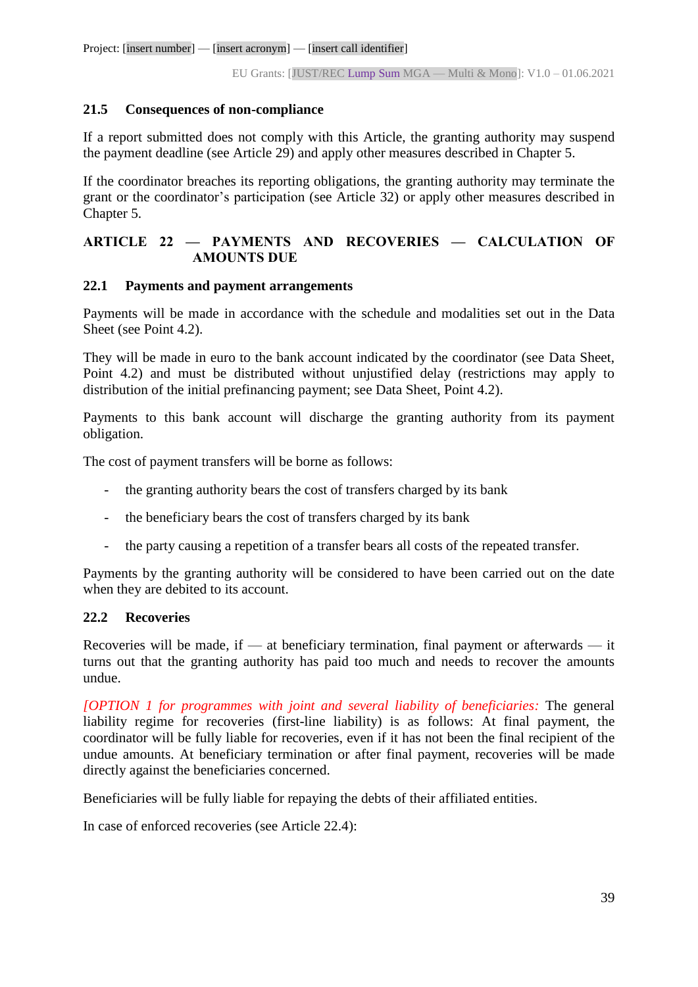## **21.5 Consequences of non-compliance**

If a report submitted does not comply with this Article, the granting authority may suspend the payment deadline (see Article 29) and apply other measures described in Chapter 5.

If the coordinator breaches its reporting obligations, the granting authority may terminate the grant or the coordinator's participation (see Article 32) or apply other measures described in Chapter 5.

# **ARTICLE 22 — PAYMENTS AND RECOVERIES — CALCULATION OF AMOUNTS DUE**

## **22.1 Payments and payment arrangements**

Payments will be made in accordance with the schedule and modalities set out in the Data Sheet (see Point 4.2).

They will be made in euro to the bank account indicated by the coordinator (see Data Sheet, Point 4.2) and must be distributed without unjustified delay (restrictions may apply to distribution of the initial prefinancing payment; see Data Sheet, Point 4.2).

Payments to this bank account will discharge the granting authority from its payment obligation.

The cost of payment transfers will be borne as follows:

- the granting authority bears the cost of transfers charged by its bank
- the beneficiary bears the cost of transfers charged by its bank
- the party causing a repetition of a transfer bears all costs of the repeated transfer.

Payments by the granting authority will be considered to have been carried out on the date when they are debited to its account.

## **22.2 Recoveries**

Recoveries will be made, if — at beneficiary termination, final payment or afterwards — it turns out that the granting authority has paid too much and needs to recover the amounts undue.

*[OPTION 1 for programmes with joint and several liability of beneficiaries:* The general liability regime for recoveries (first-line liability) is as follows: At final payment, the coordinator will be fully liable for recoveries, even if it has not been the final recipient of the undue amounts. At beneficiary termination or after final payment, recoveries will be made directly against the beneficiaries concerned.

Beneficiaries will be fully liable for repaying the debts of their affiliated entities.

In case of enforced recoveries (see Article 22.4):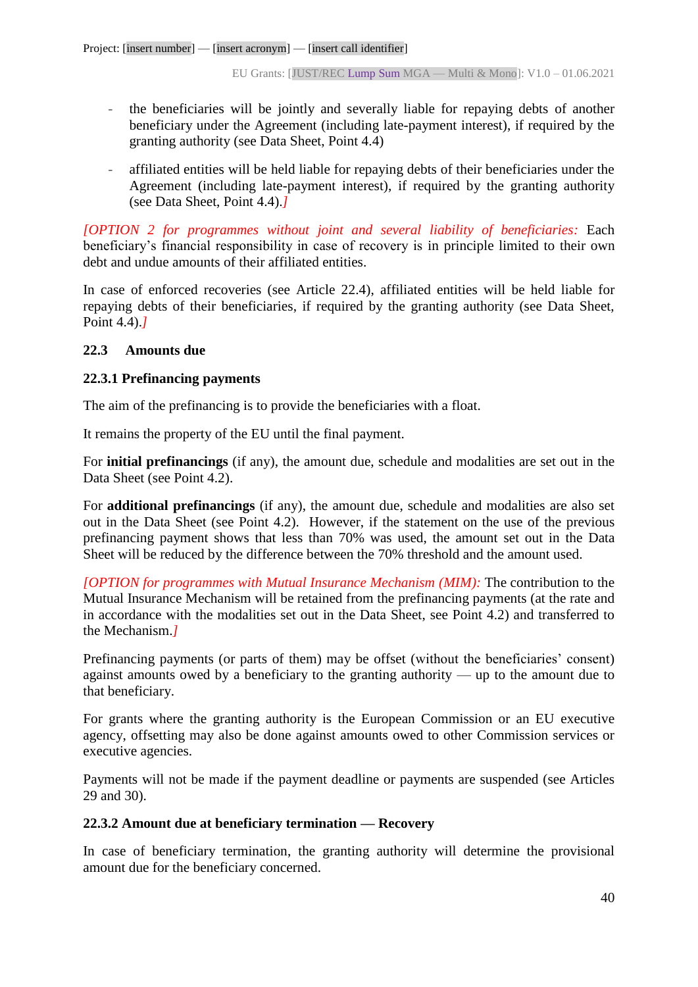- the beneficiaries will be jointly and severally liable for repaying debts of another beneficiary under the Agreement (including late-payment interest), if required by the granting authority (see Data Sheet, Point 4.4)
- affiliated entities will be held liable for repaying debts of their beneficiaries under the Agreement (including late-payment interest), if required by the granting authority (see Data Sheet, Point 4.4).*]*

*[OPTION 2 for programmes without joint and several liability of beneficiaries:* Each beneficiary's financial responsibility in case of recovery is in principle limited to their own debt and undue amounts of their affiliated entities.

In case of enforced recoveries (see Article 22.4), affiliated entities will be held liable for repaying debts of their beneficiaries, if required by the granting authority (see Data Sheet, Point 4.4).*]*

## **22.3 Amounts due**

## **22.3.1 Prefinancing payments**

The aim of the prefinancing is to provide the beneficiaries with a float.

It remains the property of the EU until the final payment.

For **initial prefinancings** (if any), the amount due, schedule and modalities are set out in the Data Sheet (see Point 4.2).

For **additional prefinancings** (if any), the amount due, schedule and modalities are also set out in the Data Sheet (see Point 4.2). However, if the statement on the use of the previous prefinancing payment shows that less than 70% was used, the amount set out in the Data Sheet will be reduced by the difference between the 70% threshold and the amount used.

*[OPTION for programmes with Mutual Insurance Mechanism (MIM):* The contribution to the Mutual Insurance Mechanism will be retained from the prefinancing payments (at the rate and in accordance with the modalities set out in the Data Sheet, see Point 4.2) and transferred to the Mechanism.*]*

Prefinancing payments (or parts of them) may be offset (without the beneficiaries' consent) against amounts owed by a beneficiary to the granting authority — up to the amount due to that beneficiary.

For grants where the granting authority is the European Commission or an EU executive agency, offsetting may also be done against amounts owed to other Commission services or executive agencies.

Payments will not be made if the payment deadline or payments are suspended (see Articles 29 and 30).

## **22.3.2 Amount due at beneficiary termination — Recovery**

In case of beneficiary termination, the granting authority will determine the provisional amount due for the beneficiary concerned.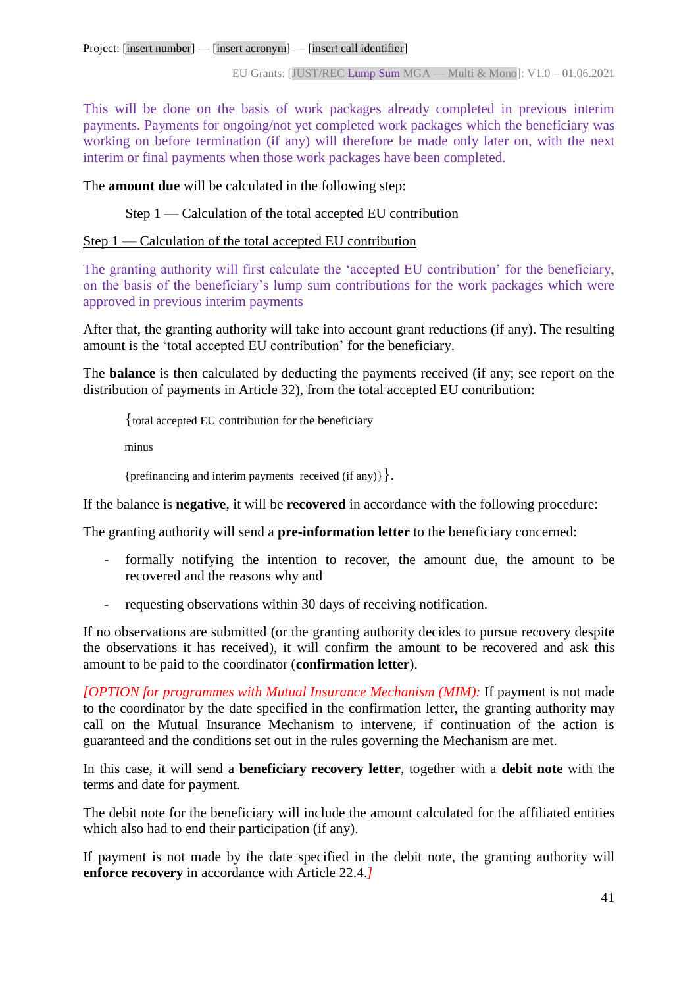This will be done on the basis of work packages already completed in previous interim payments. Payments for ongoing/not yet completed work packages which the beneficiary was working on before termination (if any) will therefore be made only later on, with the next interim or final payments when those work packages have been completed.

The **amount due** will be calculated in the following step:

Step 1 — Calculation of the total accepted EU contribution

## Step 1 — Calculation of the total accepted EU contribution

The granting authority will first calculate the 'accepted EU contribution' for the beneficiary, on the basis of the beneficiary's lump sum contributions for the work packages which were approved in previous interim payments

After that, the granting authority will take into account grant reductions (if any). The resulting amount is the 'total accepted EU contribution' for the beneficiary.

The **balance** is then calculated by deducting the payments received (if any; see report on the distribution of payments in Article 32), from the total accepted EU contribution:

{total accepted EU contribution for the beneficiary

minus

{prefinancing and interim payments received (if any)}}.

If the balance is **negative**, it will be **recovered** in accordance with the following procedure:

The granting authority will send a **pre-information letter** to the beneficiary concerned:

- formally notifying the intention to recover, the amount due, the amount to be recovered and the reasons why and
- requesting observations within 30 days of receiving notification.

If no observations are submitted (or the granting authority decides to pursue recovery despite the observations it has received), it will confirm the amount to be recovered and ask this amount to be paid to the coordinator (**confirmation letter**).

*[OPTION for programmes with Mutual Insurance Mechanism (MIM):* If payment is not made to the coordinator by the date specified in the confirmation letter, the granting authority may call on the Mutual Insurance Mechanism to intervene, if continuation of the action is guaranteed and the conditions set out in the rules governing the Mechanism are met.

In this case, it will send a **beneficiary recovery letter**, together with a **debit note** with the terms and date for payment.

The debit note for the beneficiary will include the amount calculated for the affiliated entities which also had to end their participation (if any).

If payment is not made by the date specified in the debit note, the granting authority will **enforce recovery** in accordance with Article 22.4.*]*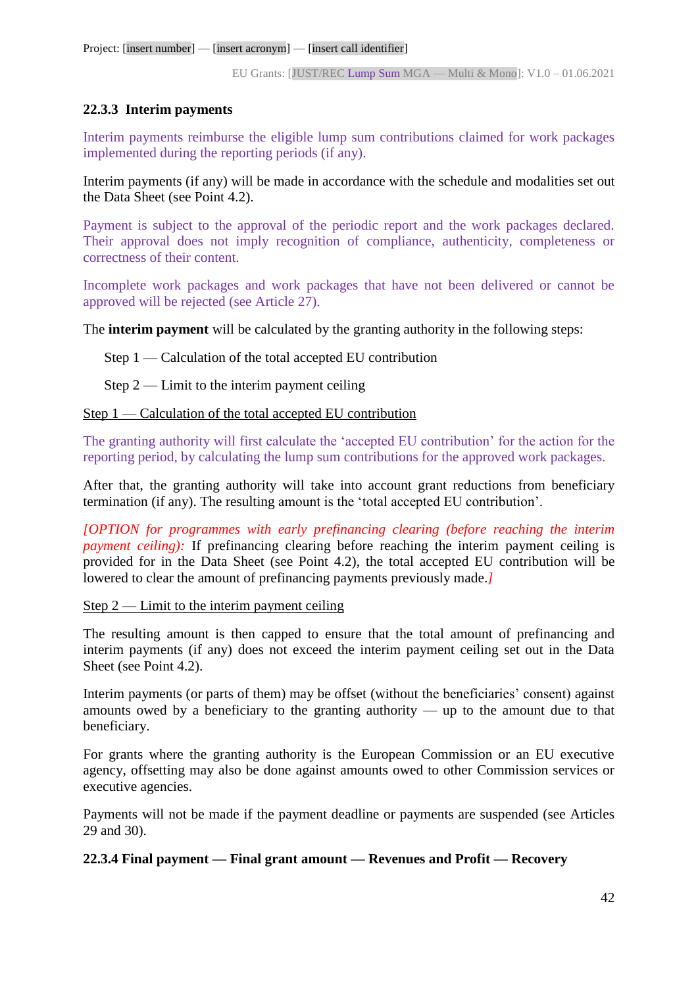## **22.3.3 Interim payments**

Interim payments reimburse the eligible lump sum contributions claimed for work packages implemented during the reporting periods (if any).

Interim payments (if any) will be made in accordance with the schedule and modalities set out the Data Sheet (see Point 4.2).

Payment is subject to the approval of the periodic report and the work packages declared. Their approval does not imply recognition of compliance, authenticity, completeness or correctness of their content.

Incomplete work packages and work packages that have not been delivered or cannot be approved will be rejected (see Article 27).

The **interim payment** will be calculated by the granting authority in the following steps:

Step 1 — Calculation of the total accepted EU contribution

Step  $2$  — Limit to the interim payment ceiling

Step 1 — Calculation of the total accepted EU contribution

The granting authority will first calculate the 'accepted EU contribution' for the action for the reporting period, by calculating the lump sum contributions for the approved work packages.

After that, the granting authority will take into account grant reductions from beneficiary termination (if any). The resulting amount is the 'total accepted EU contribution'.

*[OPTION for programmes with early prefinancing clearing (before reaching the interim payment ceiling*). If prefinancing clearing before reaching the interim payment ceiling is provided for in the Data Sheet (see Point 4.2), the total accepted EU contribution will be lowered to clear the amount of prefinancing payments previously made.*]*

Step  $2 -$  Limit to the interim payment ceiling

The resulting amount is then capped to ensure that the total amount of prefinancing and interim payments (if any) does not exceed the interim payment ceiling set out in the Data Sheet (see Point 4.2).

Interim payments (or parts of them) may be offset (without the beneficiaries' consent) against amounts owed by a beneficiary to the granting authority — up to the amount due to that beneficiary.

For grants where the granting authority is the European Commission or an EU executive agency, offsetting may also be done against amounts owed to other Commission services or executive agencies.

Payments will not be made if the payment deadline or payments are suspended (see Articles 29 and 30).

**22.3.4 Final payment — Final grant amount — Revenues and Profit — Recovery**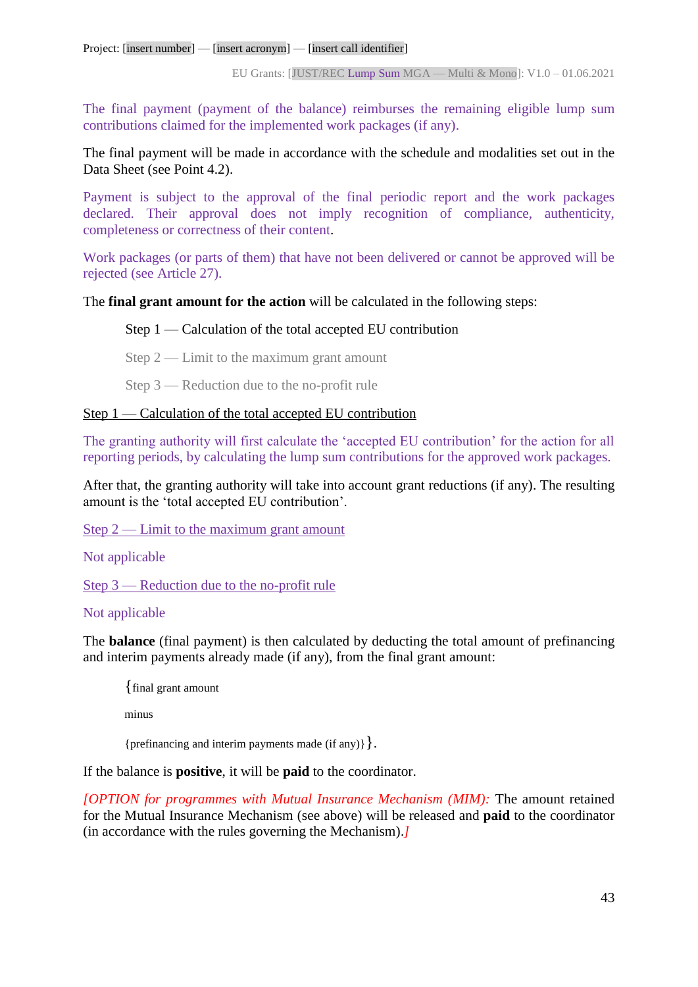The final payment (payment of the balance) reimburses the remaining eligible lump sum contributions claimed for the implemented work packages (if any).

The final payment will be made in accordance with the schedule and modalities set out in the Data Sheet (see Point 4.2).

Payment is subject to the approval of the final periodic report and the work packages declared. Their approval does not imply recognition of compliance, authenticity, completeness or correctness of their content.

Work packages (or parts of them) that have not been delivered or cannot be approved will be rejected (see Article 27).

The **final grant amount for the action** will be calculated in the following steps:

## Step 1 — Calculation of the total accepted EU contribution

Step 2 — Limit to the maximum grant amount

Step 3 — Reduction due to the no-profit rule

## Step 1 — Calculation of the total accepted EU contribution

The granting authority will first calculate the 'accepted EU contribution' for the action for all reporting periods, by calculating the lump sum contributions for the approved work packages.

After that, the granting authority will take into account grant reductions (if any). The resulting amount is the 'total accepted EU contribution'.

 $Step 2$  — Limit to the maximum grant amount

Not applicable

Step 3 — Reduction due to the no-profit rule

## Not applicable

The **balance** (final payment) is then calculated by deducting the total amount of prefinancing and interim payments already made (if any), from the final grant amount:

{final grant amount

minus

{prefinancing and interim payments made (if any)}}.

If the balance is **positive**, it will be **paid** to the coordinator.

*[OPTION for programmes with Mutual Insurance Mechanism (MIM):* The amount retained for the Mutual Insurance Mechanism (see above) will be released and **paid** to the coordinator (in accordance with the rules governing the Mechanism).*]*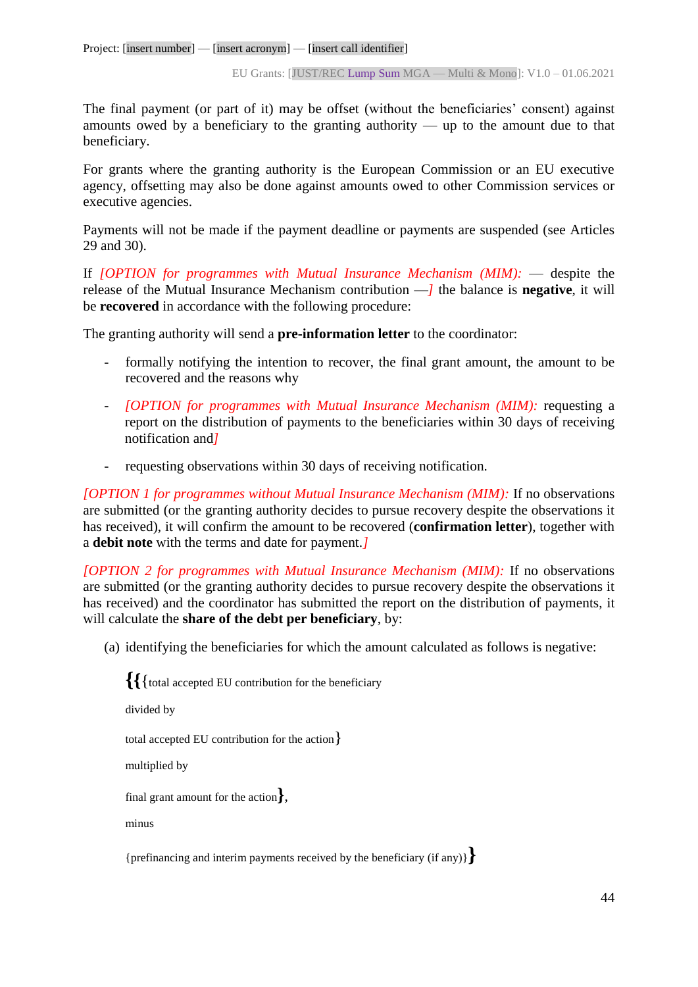The final payment (or part of it) may be offset (without the beneficiaries' consent) against amounts owed by a beneficiary to the granting authority — up to the amount due to that beneficiary.

For grants where the granting authority is the European Commission or an EU executive agency, offsetting may also be done against amounts owed to other Commission services or executive agencies.

Payments will not be made if the payment deadline or payments are suspended (see Articles 29 and 30).

If *[OPTION for programmes with Mutual Insurance Mechanism (MIM):* — despite the release of the Mutual Insurance Mechanism contribution —*]* the balance is **negative**, it will be **recovered** in accordance with the following procedure:

The granting authority will send a **pre-information letter** to the coordinator:

- formally notifying the intention to recover, the final grant amount, the amount to be recovered and the reasons why
- *[OPTION for programmes with Mutual Insurance Mechanism (MIM):* requesting a report on the distribution of payments to the beneficiaries within 30 days of receiving notification and*]*
- requesting observations within 30 days of receiving notification.

*[OPTION 1 for programmes without Mutual Insurance Mechanism (MIM):* If no observations are submitted (or the granting authority decides to pursue recovery despite the observations it has received), it will confirm the amount to be recovered (**confirmation letter**), together with a **debit note** with the terms and date for payment.*]*

*[OPTION 2 for programmes with Mutual Insurance Mechanism (MIM):* If no observations are submitted (or the granting authority decides to pursue recovery despite the observations it has received) and the coordinator has submitted the report on the distribution of payments, it will calculate the **share of the debt per beneficiary**, by:

(a) identifying the beneficiaries for which the amount calculated as follows is negative:

```
{{{total accepted EU contribution for the beneficiary
divided by
total accepted EU contribution for the action}
multiplied by 
final grant amount for the action},
minus
```
{prefinancing and interim payments received by the beneficiary (if any)}**}**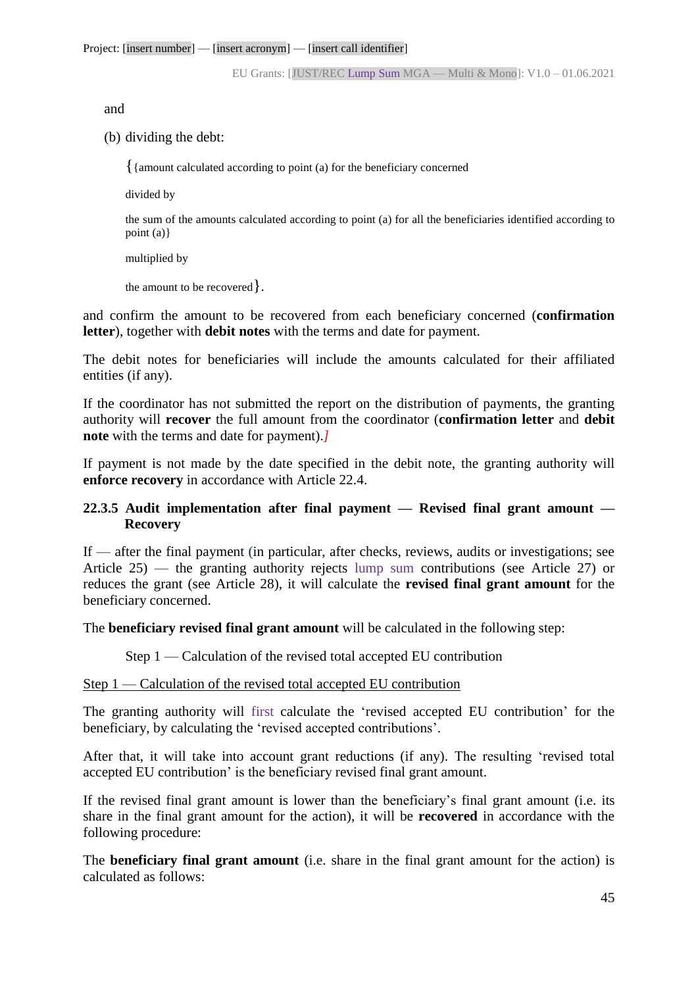and

(b) dividing the debt:

{{amount calculated according to point (a) for the beneficiary concerned

divided by

the sum of the amounts calculated according to point (a) for all the beneficiaries identified according to point (a)}

multiplied by

the amount to be recovered}.

and confirm the amount to be recovered from each beneficiary concerned (**confirmation letter**), together with **debit notes** with the terms and date for payment.

The debit notes for beneficiaries will include the amounts calculated for their affiliated entities (if any).

If the coordinator has not submitted the report on the distribution of payments, the granting authority will **recover** the full amount from the coordinator (**confirmation letter** and **debit note** with the terms and date for payment).*]*

If payment is not made by the date specified in the debit note, the granting authority will **enforce recovery** in accordance with Article 22.4.

## **22.3.5 Audit implementation after final payment — Revised final grant amount — Recovery**

If — after the final payment (in particular, after checks, reviews, audits or investigations; see Article 25) — the granting authority rejects lump sum contributions (see Article 27) or reduces the grant (see Article 28), it will calculate the **revised final grant amount** for the beneficiary concerned.

The **beneficiary revised final grant amount** will be calculated in the following step:

Step 1 — Calculation of the revised total accepted EU contribution

#### Step 1 — Calculation of the revised total accepted EU contribution

The granting authority will first calculate the 'revised accepted EU contribution' for the beneficiary, by calculating the 'revised accepted contributions'.

After that, it will take into account grant reductions (if any). The resulting 'revised total accepted EU contribution' is the beneficiary revised final grant amount.

If the revised final grant amount is lower than the beneficiary's final grant amount (i.e. its share in the final grant amount for the action), it will be **recovered** in accordance with the following procedure:

The **beneficiary final grant amount** (i.e. share in the final grant amount for the action) is calculated as follows: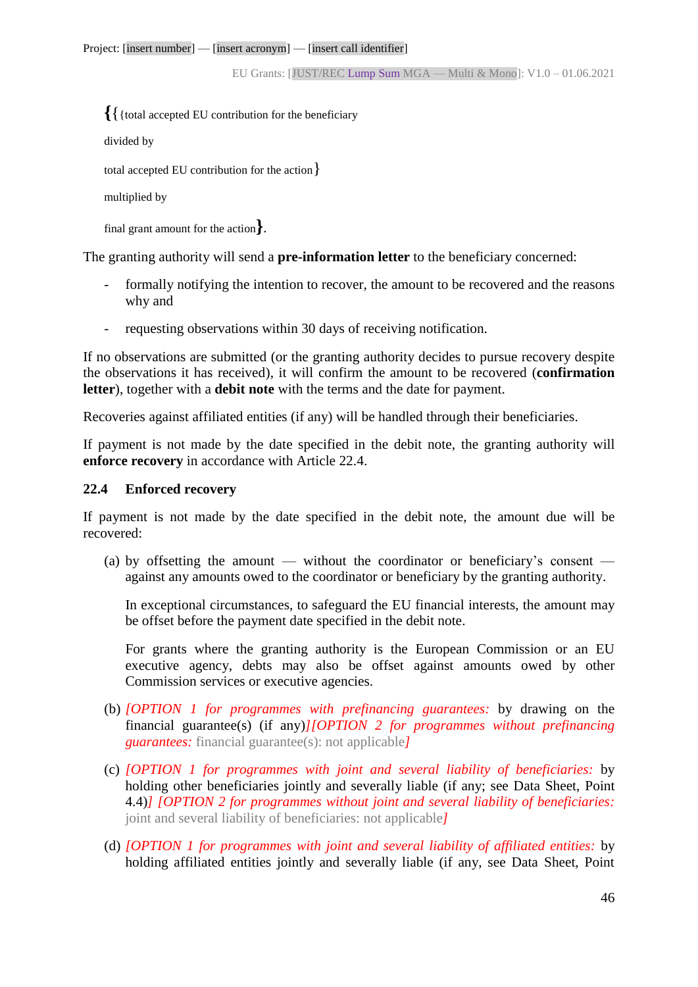**{**{{total accepted EU contribution for the beneficiary

divided by

total accepted EU contribution for the action}

```
multiplied by
```
final grant amount for the action**}**.

The granting authority will send a **pre-information letter** to the beneficiary concerned:

- formally notifying the intention to recover, the amount to be recovered and the reasons why and
- requesting observations within 30 days of receiving notification.

If no observations are submitted (or the granting authority decides to pursue recovery despite the observations it has received), it will confirm the amount to be recovered (**confirmation letter**), together with a **debit note** with the terms and the date for payment.

Recoveries against affiliated entities (if any) will be handled through their beneficiaries.

If payment is not made by the date specified in the debit note, the granting authority will **enforce recovery** in accordance with Article 22.4.

#### **22.4 Enforced recovery**

If payment is not made by the date specified in the debit note, the amount due will be recovered:

(a) by offsetting the amount — without the coordinator or beneficiary's consent against any amounts owed to the coordinator or beneficiary by the granting authority.

In exceptional circumstances, to safeguard the EU financial interests, the amount may be offset before the payment date specified in the debit note.

For grants where the granting authority is the European Commission or an EU executive agency, debts may also be offset against amounts owed by other Commission services or executive agencies.

- (b) *[OPTION 1 for programmes with prefinancing guarantees:* by drawing on the financial guarantee(s) (if any)*][OPTION 2 for programmes without prefinancing guarantees:* financial guarantee(s): not applicable*]*
- (c) *[OPTION 1 for programmes with joint and several liability of beneficiaries:* by holding other beneficiaries jointly and severally liable (if any; see Data Sheet, Point 4.4)*] [OPTION 2 for programmes without joint and several liability of beneficiaries:* joint and several liability of beneficiaries: not applicable*]*
- (d) *[OPTION 1 for programmes with joint and several liability of affiliated entities:* by holding affiliated entities jointly and severally liable (if any, see Data Sheet, Point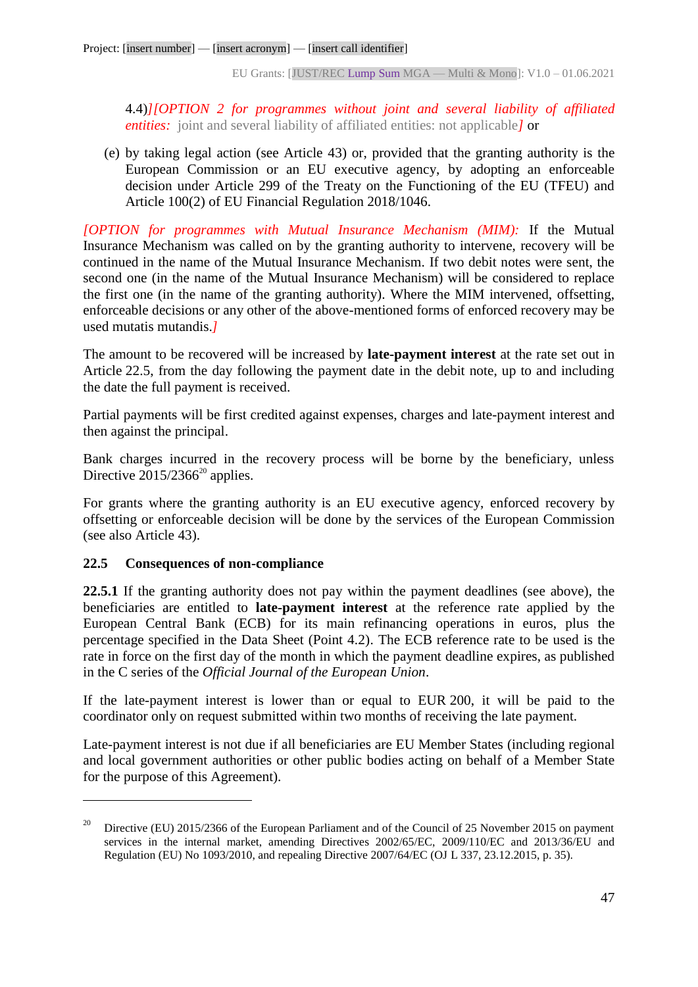4.4)*][OPTION 2 for programmes without joint and several liability of affiliated entities:* joint and several liability of affiliated entities: not applicable *l* or

(e) by taking legal action (see Article 43) or, provided that the granting authority is the European Commission or an EU executive agency, by adopting an enforceable decision under Article 299 of the Treaty on the Functioning of the EU (TFEU) and Article 100(2) of EU Financial Regulation 2018/1046.

*[OPTION for programmes with Mutual Insurance Mechanism (MIM):* If the Mutual Insurance Mechanism was called on by the granting authority to intervene, recovery will be continued in the name of the Mutual Insurance Mechanism. If two debit notes were sent, the second one (in the name of the Mutual Insurance Mechanism) will be considered to replace the first one (in the name of the granting authority). Where the MIM intervened, offsetting, enforceable decisions or any other of the above-mentioned forms of enforced recovery may be used mutatis mutandis.*]*

The amount to be recovered will be increased by **late-payment interest** at the rate set out in Article 22.5, from the day following the payment date in the debit note, up to and including the date the full payment is received.

Partial payments will be first credited against expenses, charges and late-payment interest and then against the principal.

Bank charges incurred in the recovery process will be borne by the beneficiary, unless Directive  $2015/2366^{20}$  applies.

For grants where the granting authority is an EU executive agency, enforced recovery by offsetting or enforceable decision will be done by the services of the European Commission (see also Article 43).

# **22.5 Consequences of non-compliance**

 $\overline{a}$ 

**22.5.1** If the granting authority does not pay within the payment deadlines (see above), the beneficiaries are entitled to **late-payment interest** at the reference rate applied by the European Central Bank (ECB) for its main refinancing operations in euros, plus the percentage specified in the Data Sheet (Point 4.2). The ECB reference rate to be used is the rate in force on the first day of the month in which the payment deadline expires, as published in the C series of the *Official Journal of the European Union*.

If the late-payment interest is lower than or equal to EUR 200, it will be paid to the coordinator only on request submitted within two months of receiving the late payment.

Late-payment interest is not due if all beneficiaries are EU Member States (including regional and local government authorities or other public bodies acting on behalf of a Member State for the purpose of this Agreement).

<sup>&</sup>lt;sup>20</sup> Directive (EU) 2015/2366 of the European Parliament and of the Council of 25 November 2015 on payment services in the internal market, amending Directives 2002/65/EC, 2009/110/EC and 2013/36/EU and Regulation (EU) No 1093/2010, and repealing Directive 2007/64/EC (OJ L 337, 23.12.2015, p. 35).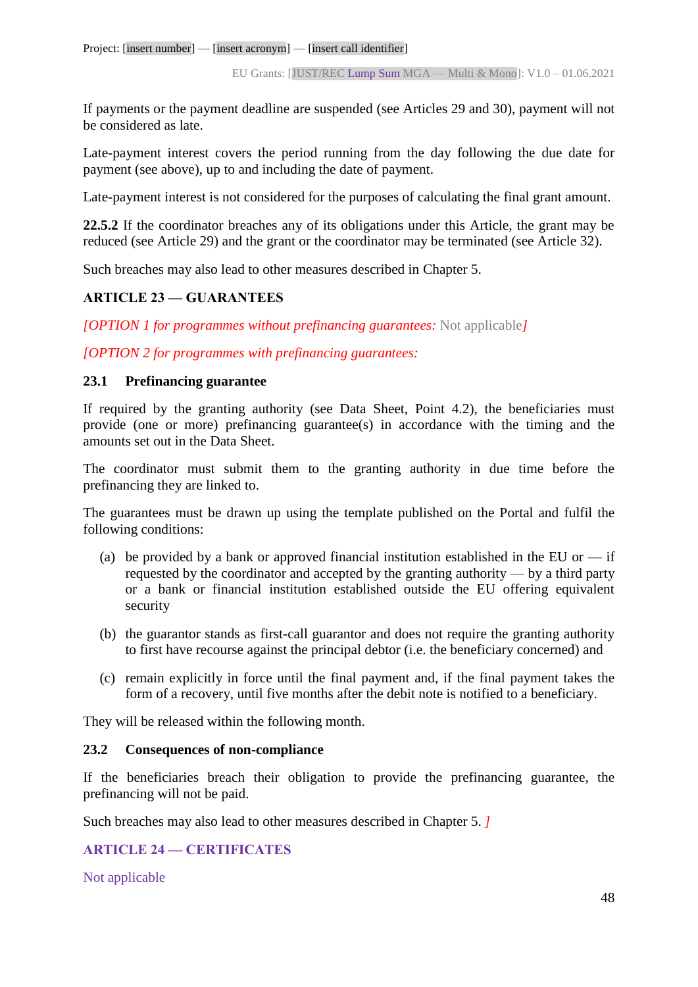If payments or the payment deadline are suspended (see Articles 29 and 30), payment will not be considered as late.

Late-payment interest covers the period running from the day following the due date for payment (see above), up to and including the date of payment.

Late-payment interest is not considered for the purposes of calculating the final grant amount.

**22.5.2** If the coordinator breaches any of its obligations under this Article, the grant may be reduced (see Article 29) and the grant or the coordinator may be terminated (see Article 32).

Such breaches may also lead to other measures described in Chapter 5.

# **ARTICLE 23 — GUARANTEES**

*[OPTION 1 for programmes without prefinancing guarantees:* Not applicable*]*

*[OPTION 2 for programmes with prefinancing guarantees:*

## **23.1 Prefinancing guarantee**

If required by the granting authority (see Data Sheet, Point 4.2), the beneficiaries must provide (one or more) prefinancing guarantee(s) in accordance with the timing and the amounts set out in the Data Sheet.

The coordinator must submit them to the granting authority in due time before the prefinancing they are linked to.

The guarantees must be drawn up using the template published on the Portal and fulfil the following conditions:

- (a) be provided by a bank or approved financial institution established in the EU or  $-$  if requested by the coordinator and accepted by the granting authority — by a third party or a bank or financial institution established outside the EU offering equivalent security
- (b) the guarantor stands as first-call guarantor and does not require the granting authority to first have recourse against the principal debtor (i.e. the beneficiary concerned) and
- (c) remain explicitly in force until the final payment and, if the final payment takes the form of a recovery, until five months after the debit note is notified to a beneficiary.

They will be released within the following month.

## **23.2 Consequences of non-compliance**

If the beneficiaries breach their obligation to provide the prefinancing guarantee, the prefinancing will not be paid.

Such breaches may also lead to other measures described in Chapter 5. *]*

# **ARTICLE 24 — CERTIFICATES**

Not applicable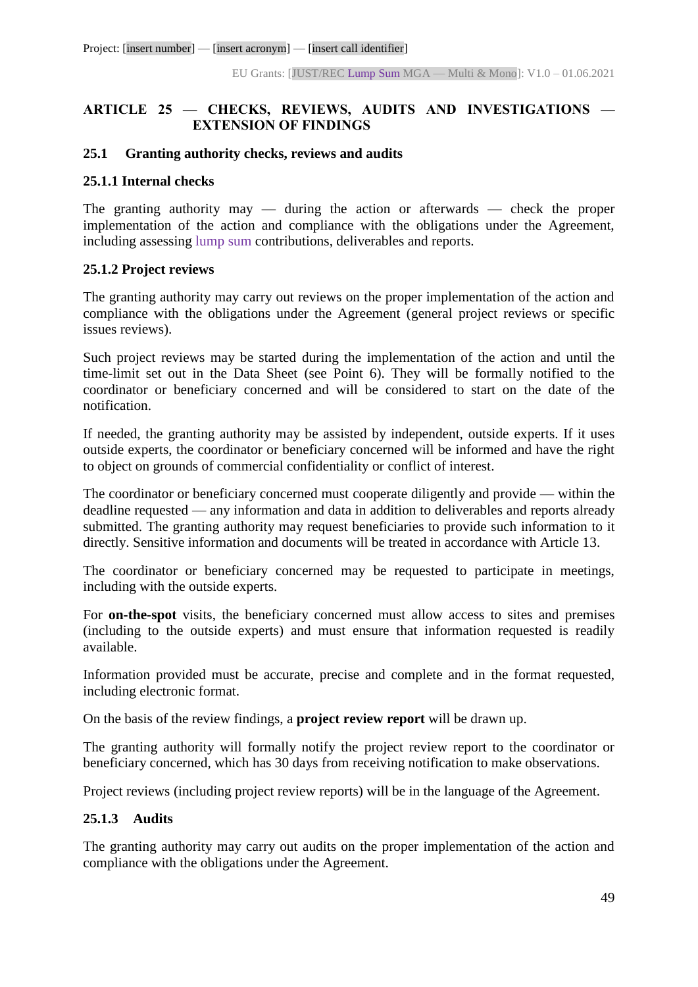## **ARTICLE 25 — CHECKS, REVIEWS, AUDITS AND INVESTIGATIONS — EXTENSION OF FINDINGS**

#### **25.1 Granting authority checks, reviews and audits**

#### **25.1.1 Internal checks**

The granting authority may — during the action or afterwards — check the proper implementation of the action and compliance with the obligations under the Agreement, including assessing lump sum contributions, deliverables and reports.

## **25.1.2 Project reviews**

The granting authority may carry out reviews on the proper implementation of the action and compliance with the obligations under the Agreement (general project reviews or specific issues reviews).

Such project reviews may be started during the implementation of the action and until the time-limit set out in the Data Sheet (see Point 6). They will be formally notified to the coordinator or beneficiary concerned and will be considered to start on the date of the notification.

If needed, the granting authority may be assisted by independent, outside experts. If it uses outside experts, the coordinator or beneficiary concerned will be informed and have the right to object on grounds of commercial confidentiality or conflict of interest.

The coordinator or beneficiary concerned must cooperate diligently and provide — within the deadline requested — any information and data in addition to deliverables and reports already submitted. The granting authority may request beneficiaries to provide such information to it directly. Sensitive information and documents will be treated in accordance with Article 13.

The coordinator or beneficiary concerned may be requested to participate in meetings, including with the outside experts.

For **on-the-spot** visits, the beneficiary concerned must allow access to sites and premises (including to the outside experts) and must ensure that information requested is readily available.

Information provided must be accurate, precise and complete and in the format requested, including electronic format.

On the basis of the review findings, a **project review report** will be drawn up.

The granting authority will formally notify the project review report to the coordinator or beneficiary concerned, which has 30 days from receiving notification to make observations.

Project reviews (including project review reports) will be in the language of the Agreement.

## **25.1.3 Audits**

The granting authority may carry out audits on the proper implementation of the action and compliance with the obligations under the Agreement.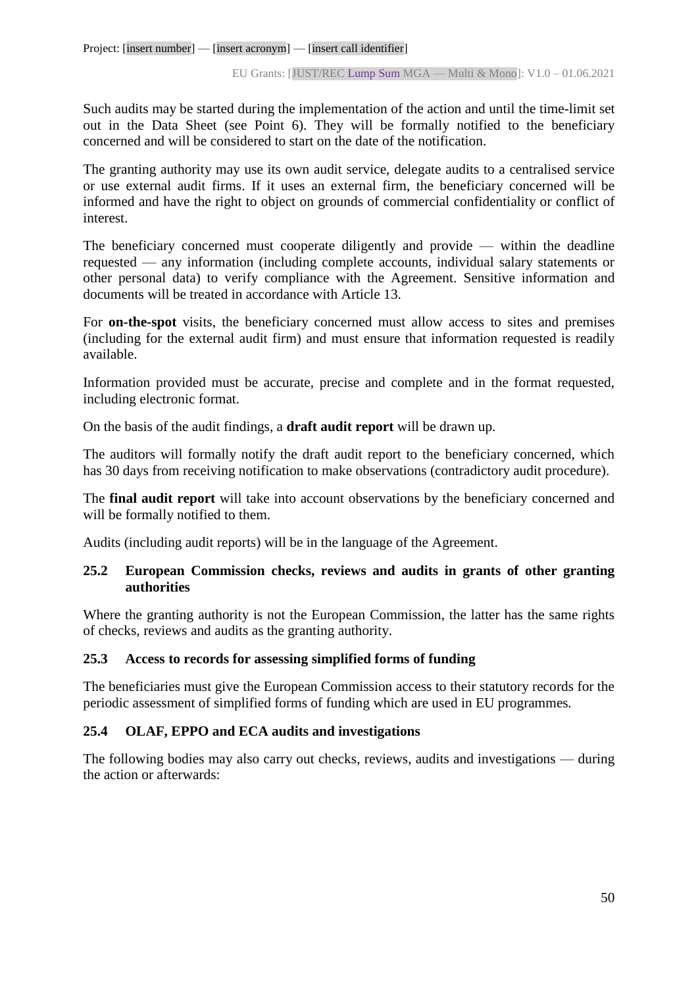Such audits may be started during the implementation of the action and until the time-limit set out in the Data Sheet (see Point 6). They will be formally notified to the beneficiary concerned and will be considered to start on the date of the notification.

The granting authority may use its own audit service, delegate audits to a centralised service or use external audit firms. If it uses an external firm, the beneficiary concerned will be informed and have the right to object on grounds of commercial confidentiality or conflict of interest.

The beneficiary concerned must cooperate diligently and provide — within the deadline requested — any information (including complete accounts, individual salary statements or other personal data) to verify compliance with the Agreement. Sensitive information and documents will be treated in accordance with Article 13.

For **on-the-spot** visits, the beneficiary concerned must allow access to sites and premises (including for the external audit firm) and must ensure that information requested is readily available.

Information provided must be accurate, precise and complete and in the format requested, including electronic format.

On the basis of the audit findings, a **draft audit report** will be drawn up.

The auditors will formally notify the draft audit report to the beneficiary concerned, which has 30 days from receiving notification to make observations (contradictory audit procedure).

The **final audit report** will take into account observations by the beneficiary concerned and will be formally notified to them.

Audits (including audit reports) will be in the language of the Agreement.

## **25.2 European Commission checks, reviews and audits in grants of other granting authorities**

Where the granting authority is not the European Commission, the latter has the same rights of checks, reviews and audits as the granting authority.

## **25.3 Access to records for assessing simplified forms of funding**

The beneficiaries must give the European Commission access to their statutory records for the periodic assessment of simplified forms of funding which are used in EU programmes*.*

## **25.4 OLAF, EPPO and ECA audits and investigations**

The following bodies may also carry out checks, reviews, audits and investigations — during the action or afterwards: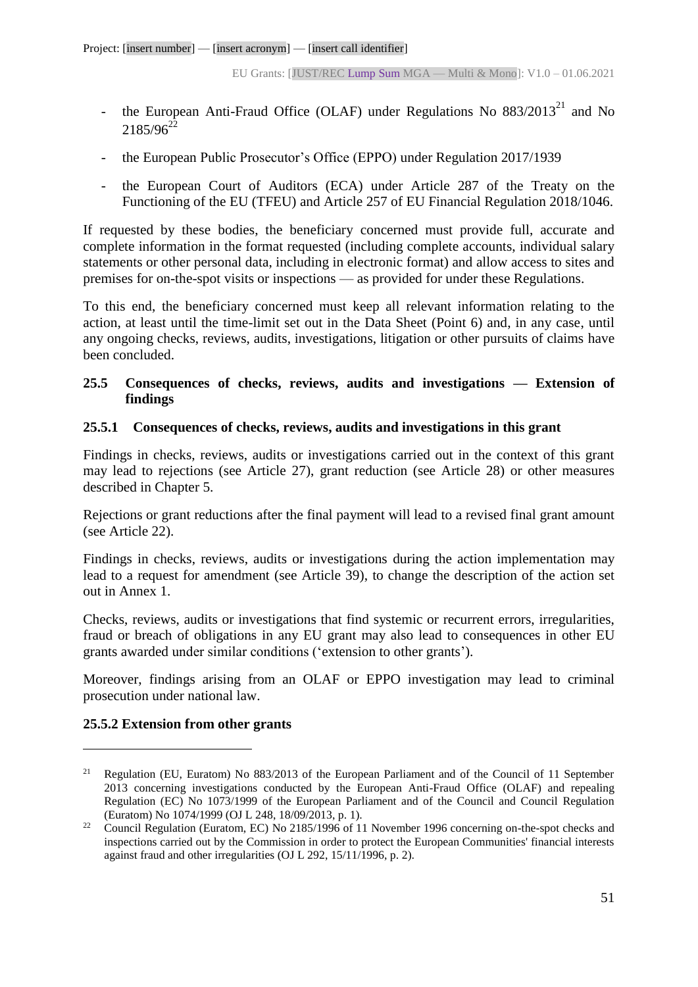- the European Anti-Fraud Office (OLAF) under Regulations No  $883/2013^{21}$  and No  $2185/96^{22}$
- the European Public Prosecutor's Office (EPPO) under Regulation 2017/1939
- the European Court of Auditors (ECA) under Article 287 of the Treaty on the Functioning of the EU (TFEU) and Article 257 of EU Financial Regulation 2018/1046.

If requested by these bodies, the beneficiary concerned must provide full, accurate and complete information in the format requested (including complete accounts, individual salary statements or other personal data, including in electronic format) and allow access to sites and premises for on-the-spot visits or inspections — as provided for under these Regulations.

To this end, the beneficiary concerned must keep all relevant information relating to the action, at least until the time-limit set out in the Data Sheet (Point 6) and, in any case, until any ongoing checks, reviews, audits, investigations, litigation or other pursuits of claims have been concluded.

## **25.5 Consequences of checks, reviews, audits and investigations — Extension of findings**

## **25.5.1 Consequences of checks, reviews, audits and investigations in this grant**

Findings in checks, reviews, audits or investigations carried out in the context of this grant may lead to rejections (see Article 27), grant reduction (see Article 28) or other measures described in Chapter 5.

Rejections or grant reductions after the final payment will lead to a revised final grant amount (see Article 22).

Findings in checks, reviews, audits or investigations during the action implementation may lead to a request for amendment (see Article 39), to change the description of the action set out in Annex 1.

Checks, reviews, audits or investigations that find systemic or recurrent errors, irregularities, fraud or breach of obligations in any EU grant may also lead to consequences in other EU grants awarded under similar conditions ('extension to other grants').

Moreover, findings arising from an OLAF or EPPO investigation may lead to criminal prosecution under national law.

## **25.5.2 Extension from other grants**

 $\overline{a}$ 

<sup>&</sup>lt;sup>21</sup> Regulation (EU, Euratom) No 883/2013 of the European Parliament and of the Council of 11 September 2013 concerning investigations conducted by the European Anti-Fraud Office (OLAF) and repealing Regulation (EC) No 1073/1999 of the European Parliament and of the Council and Council Regulation (Euratom) No 1074/1999 (OJ L 248, 18/09/2013, p. 1).

<sup>&</sup>lt;sup>22</sup> Council Regulation (Euratom, EC) No 2185/1996 of 11 November 1996 concerning on-the-spot checks and inspections carried out by the Commission in order to protect the European Communities' financial interests against fraud and other irregularities (OJ L 292, 15/11/1996, p. 2).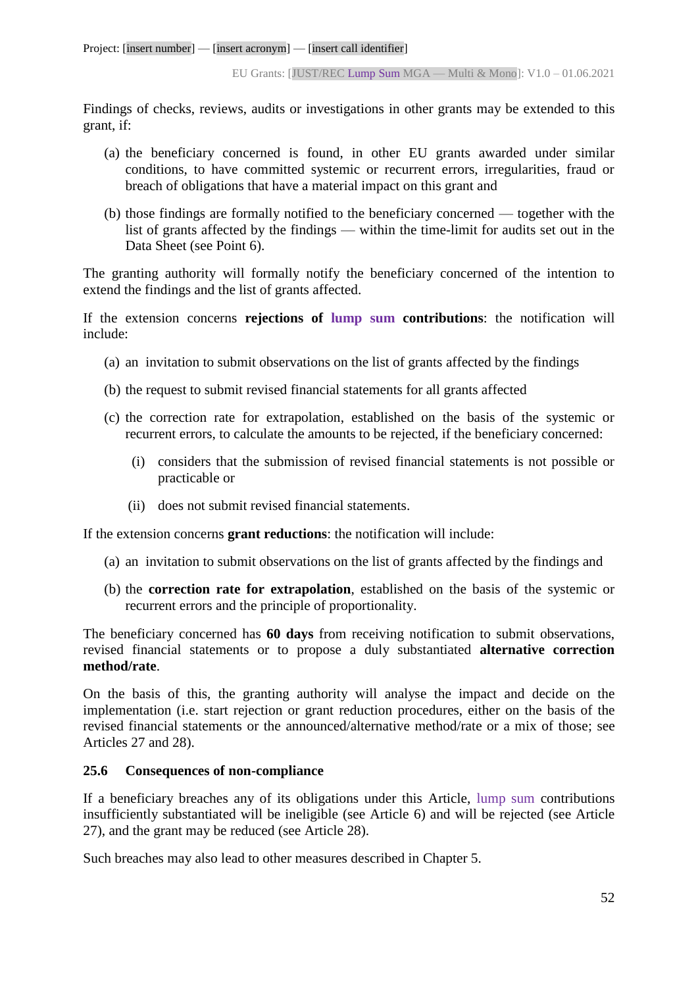Findings of checks, reviews, audits or investigations in other grants may be extended to this grant, if:

- (a) the beneficiary concerned is found, in other EU grants awarded under similar conditions, to have committed systemic or recurrent errors, irregularities, fraud or breach of obligations that have a material impact on this grant and
- (b) those findings are formally notified to the beneficiary concerned together with the list of grants affected by the findings — within the time-limit for audits set out in the Data Sheet (see Point 6).

The granting authority will formally notify the beneficiary concerned of the intention to extend the findings and the list of grants affected.

If the extension concerns **rejections of lump sum contributions**: the notification will include:

- (a) an invitation to submit observations on the list of grants affected by the findings
- (b) the request to submit revised financial statements for all grants affected
- (c) the correction rate for extrapolation, established on the basis of the systemic or recurrent errors, to calculate the amounts to be rejected, if the beneficiary concerned:
	- (i) considers that the submission of revised financial statements is not possible or practicable or
	- (ii) does not submit revised financial statements.

If the extension concerns **grant reductions**: the notification will include:

- (a) an invitation to submit observations on the list of grants affected by the findings and
- (b) the **correction rate for extrapolation**, established on the basis of the systemic or recurrent errors and the principle of proportionality.

The beneficiary concerned has **60 days** from receiving notification to submit observations, revised financial statements or to propose a duly substantiated **alternative correction method/rate**.

On the basis of this, the granting authority will analyse the impact and decide on the implementation (i.e. start rejection or grant reduction procedures, either on the basis of the revised financial statements or the announced/alternative method/rate or a mix of those; see Articles 27 and 28).

## **25.6 Consequences of non-compliance**

If a beneficiary breaches any of its obligations under this Article, lump sum contributions insufficiently substantiated will be ineligible (see Article 6) and will be rejected (see Article 27), and the grant may be reduced (see Article 28).

Such breaches may also lead to other measures described in Chapter 5.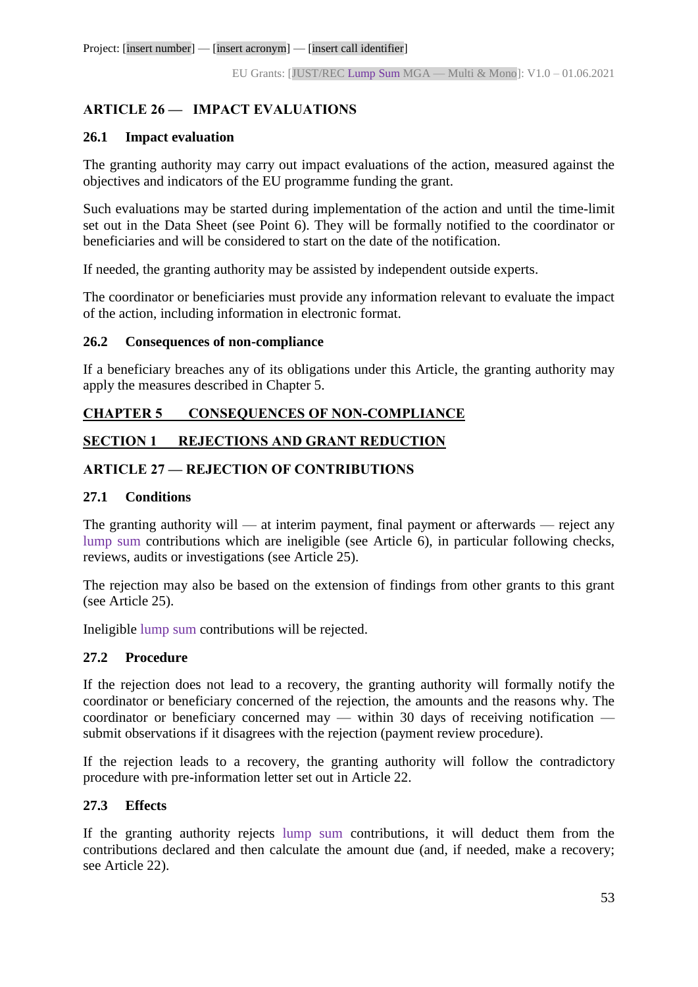## **ARTICLE 26 — IMPACT EVALUATIONS**

#### **26.1 Impact evaluation**

The granting authority may carry out impact evaluations of the action, measured against the objectives and indicators of the EU programme funding the grant.

Such evaluations may be started during implementation of the action and until the time-limit set out in the Data Sheet (see Point 6). They will be formally notified to the coordinator or beneficiaries and will be considered to start on the date of the notification.

If needed, the granting authority may be assisted by independent outside experts.

The coordinator or beneficiaries must provide any information relevant to evaluate the impact of the action, including information in electronic format.

## **26.2 Consequences of non-compliance**

If a beneficiary breaches any of its obligations under this Article, the granting authority may apply the measures described in Chapter 5.

## **CHAPTER 5 CONSEQUENCES OF NON-COMPLIANCE**

## **SECTION 1 REJECTIONS AND GRANT REDUCTION**

## **ARTICLE 27 — REJECTION OF CONTRIBUTIONS**

#### **27.1 Conditions**

The granting authority will — at interim payment, final payment or afterwards — reject any lump sum contributions which are ineligible (see Article 6), in particular following checks, reviews, audits or investigations (see Article 25).

The rejection may also be based on the extension of findings from other grants to this grant (see Article 25).

Ineligible lump sum contributions will be rejected.

## **27.2 Procedure**

If the rejection does not lead to a recovery, the granting authority will formally notify the coordinator or beneficiary concerned of the rejection, the amounts and the reasons why. The coordinator or beneficiary concerned may — within 30 days of receiving notification submit observations if it disagrees with the rejection (payment review procedure).

If the rejection leads to a recovery, the granting authority will follow the contradictory procedure with pre-information letter set out in Article 22.

## **27.3 Effects**

If the granting authority rejects lump sum contributions, it will deduct them from the contributions declared and then calculate the amount due (and, if needed, make a recovery; see Article 22).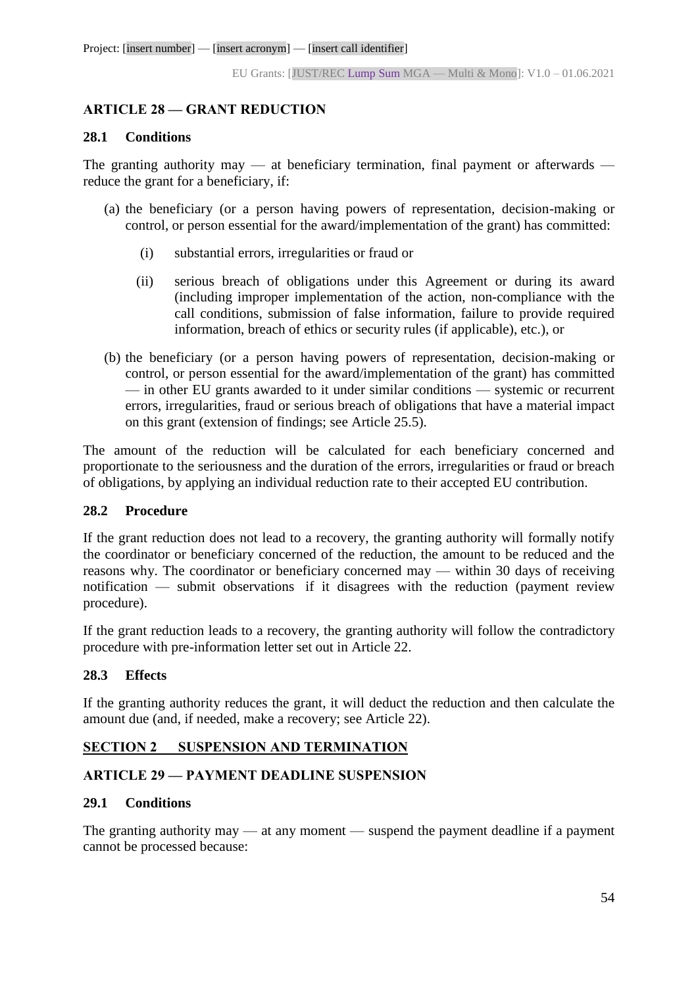## **ARTICLE 28 — GRANT REDUCTION**

#### **28.1 Conditions**

The granting authority may — at beneficiary termination, final payment or afterwards reduce the grant for a beneficiary, if:

- (a) the beneficiary (or a person having powers of representation, decision-making or control, or person essential for the award/implementation of the grant) has committed:
	- (i) substantial errors, irregularities or fraud or
	- (ii) serious breach of obligations under this Agreement or during its award (including improper implementation of the action, non-compliance with the call conditions, submission of false information, failure to provide required information, breach of ethics or security rules (if applicable), etc.), or
- (b) the beneficiary (or a person having powers of representation, decision-making or control, or person essential for the award/implementation of the grant) has committed — in other EU grants awarded to it under similar conditions — systemic or recurrent errors, irregularities, fraud or serious breach of obligations that have a material impact on this grant (extension of findings; see Article 25.5).

The amount of the reduction will be calculated for each beneficiary concerned and proportionate to the seriousness and the duration of the errors, irregularities or fraud or breach of obligations, by applying an individual reduction rate to their accepted EU contribution.

## **28.2 Procedure**

If the grant reduction does not lead to a recovery, the granting authority will formally notify the coordinator or beneficiary concerned of the reduction, the amount to be reduced and the reasons why. The coordinator or beneficiary concerned may — within 30 days of receiving notification — submit observations if it disagrees with the reduction (payment review procedure).

If the grant reduction leads to a recovery, the granting authority will follow the contradictory procedure with pre-information letter set out in Article 22.

## **28.3 Effects**

If the granting authority reduces the grant, it will deduct the reduction and then calculate the amount due (and, if needed, make a recovery; see Article 22).

## **SECTION 2 SUSPENSION AND TERMINATION**

## **ARTICLE 29 — PAYMENT DEADLINE SUSPENSION**

## **29.1 Conditions**

The granting authority may — at any moment — suspend the payment deadline if a payment cannot be processed because: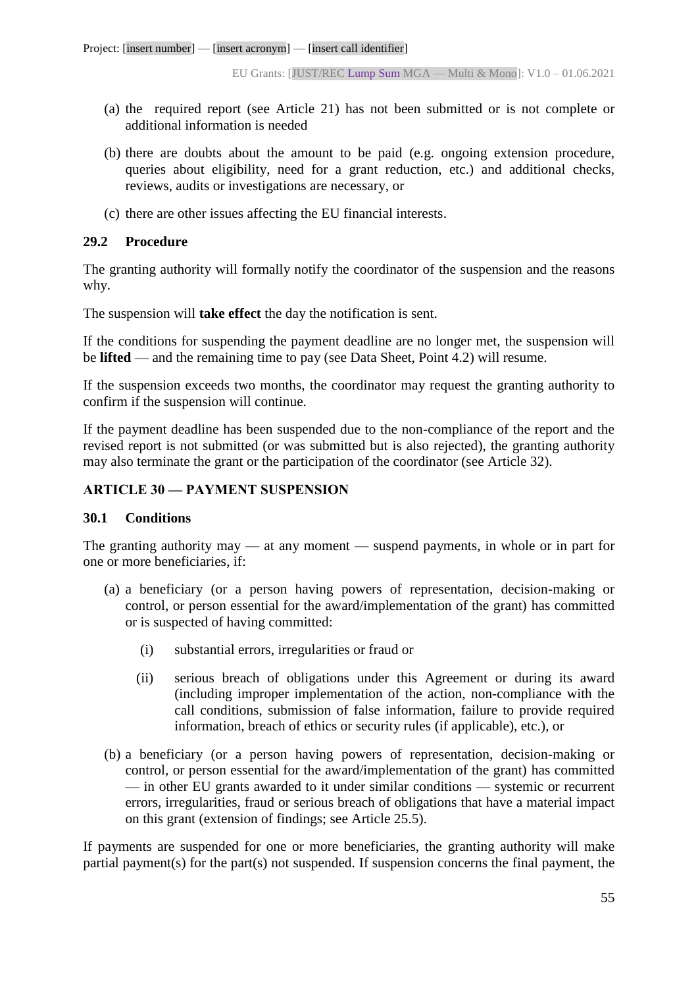- (a) the required report (see Article 21) has not been submitted or is not complete or additional information is needed
- (b) there are doubts about the amount to be paid (e.g. ongoing extension procedure, queries about eligibility, need for a grant reduction, etc.) and additional checks, reviews, audits or investigations are necessary, or
- (c) there are other issues affecting the EU financial interests.

## **29.2 Procedure**

The granting authority will formally notify the coordinator of the suspension and the reasons why.

The suspension will **take effect** the day the notification is sent.

If the conditions for suspending the payment deadline are no longer met, the suspension will be **lifted** — and the remaining time to pay (see Data Sheet, Point 4.2) will resume.

If the suspension exceeds two months, the coordinator may request the granting authority to confirm if the suspension will continue.

If the payment deadline has been suspended due to the non-compliance of the report and the revised report is not submitted (or was submitted but is also rejected), the granting authority may also terminate the grant or the participation of the coordinator (see Article 32).

## **ARTICLE 30 — PAYMENT SUSPENSION**

## **30.1 Conditions**

The granting authority may — at any moment — suspend payments, in whole or in part for one or more beneficiaries, if:

- (a) a beneficiary (or a person having powers of representation, decision-making or control, or person essential for the award/implementation of the grant) has committed or is suspected of having committed:
	- (i) substantial errors, irregularities or fraud or
	- (ii) serious breach of obligations under this Agreement or during its award (including improper implementation of the action, non-compliance with the call conditions, submission of false information, failure to provide required information, breach of ethics or security rules (if applicable), etc.), or
- (b) a beneficiary (or a person having powers of representation, decision-making or control, or person essential for the award/implementation of the grant) has committed — in other EU grants awarded to it under similar conditions — systemic or recurrent errors, irregularities, fraud or serious breach of obligations that have a material impact on this grant (extension of findings; see Article 25.5).

If payments are suspended for one or more beneficiaries, the granting authority will make partial payment(s) for the part(s) not suspended. If suspension concerns the final payment, the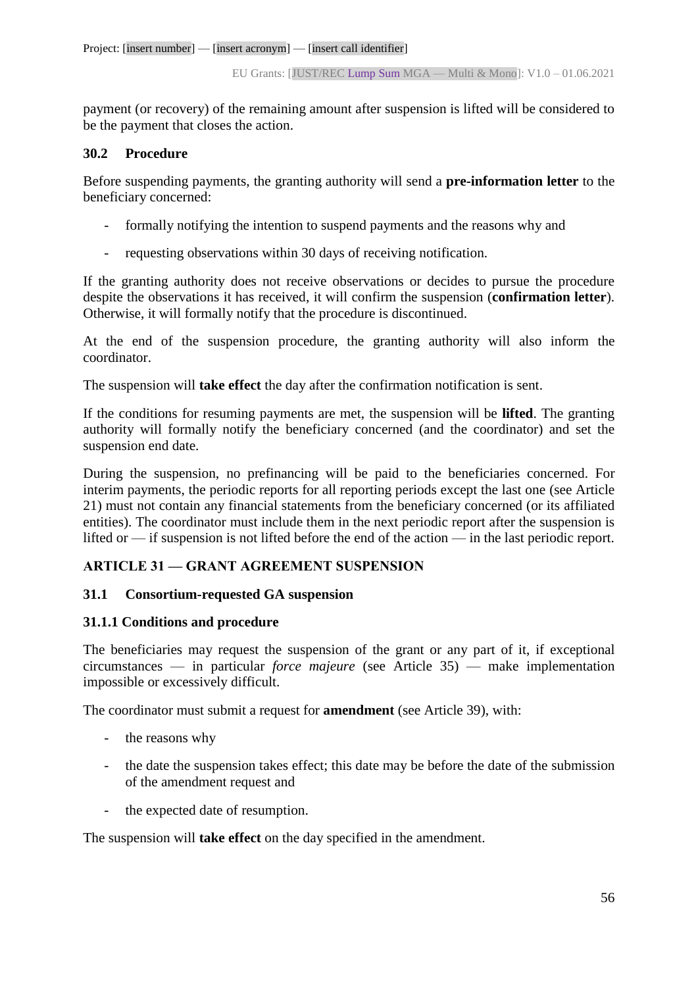payment (or recovery) of the remaining amount after suspension is lifted will be considered to be the payment that closes the action.

## **30.2 Procedure**

Before suspending payments, the granting authority will send a **pre-information letter** to the beneficiary concerned:

- formally notifying the intention to suspend payments and the reasons why and
- requesting observations within 30 days of receiving notification.

If the granting authority does not receive observations or decides to pursue the procedure despite the observations it has received, it will confirm the suspension (**confirmation letter**). Otherwise, it will formally notify that the procedure is discontinued.

At the end of the suspension procedure, the granting authority will also inform the coordinator.

The suspension will **take effect** the day after the confirmation notification is sent.

If the conditions for resuming payments are met, the suspension will be **lifted**. The granting authority will formally notify the beneficiary concerned (and the coordinator) and set the suspension end date.

During the suspension, no prefinancing will be paid to the beneficiaries concerned. For interim payments, the periodic reports for all reporting periods except the last one (see Article 21) must not contain any financial statements from the beneficiary concerned (or its affiliated entities). The coordinator must include them in the next periodic report after the suspension is lifted or — if suspension is not lifted before the end of the action — in the last periodic report.

## **ARTICLE 31 — GRANT AGREEMENT SUSPENSION**

## **31.1 Consortium-requested GA suspension**

## **31.1.1 Conditions and procedure**

The beneficiaries may request the suspension of the grant or any part of it, if exceptional circumstances — in particular *force majeure* (see Article 35) — make implementation impossible or excessively difficult.

The coordinator must submit a request for **amendment** (see Article 39), with:

- the reasons why
- the date the suspension takes effect; this date may be before the date of the submission of the amendment request and
- the expected date of resumption.

The suspension will **take effect** on the day specified in the amendment.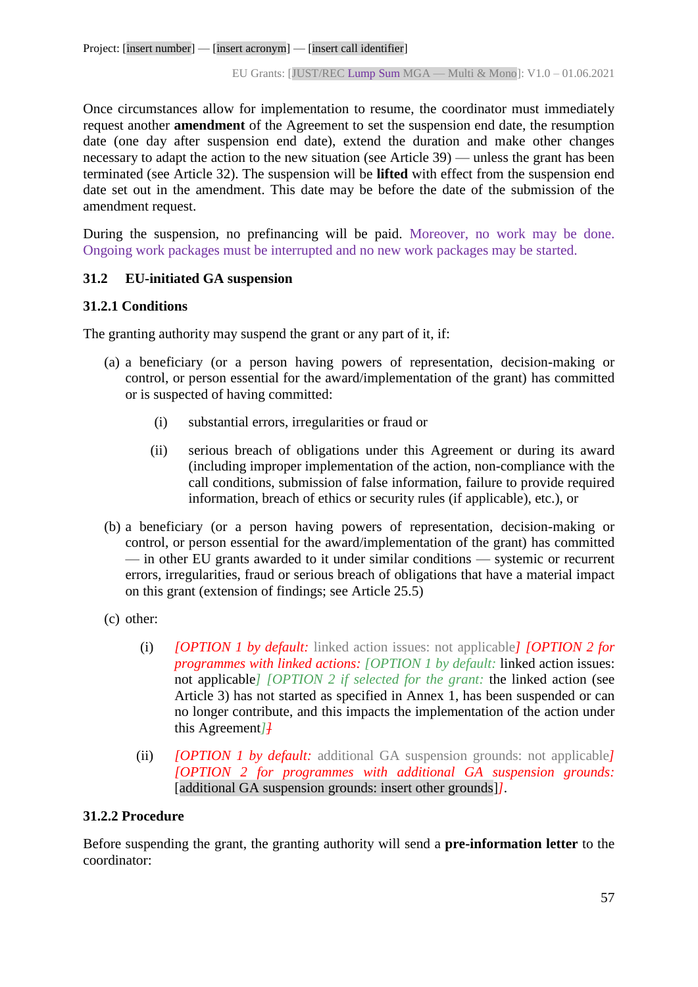Once circumstances allow for implementation to resume, the coordinator must immediately request another **amendment** of the Agreement to set the suspension end date, the resumption date (one day after suspension end date), extend the duration and make other changes necessary to adapt the action to the new situation (see Article 39) — unless the grant has been terminated (see Article 32). The suspension will be **lifted** with effect from the suspension end date set out in the amendment. This date may be before the date of the submission of the amendment request.

During the suspension, no prefinancing will be paid. Moreover, no work may be done. Ongoing work packages must be interrupted and no new work packages may be started.

## **31.2 EU-initiated GA suspension**

#### **31.2.1 Conditions**

The granting authority may suspend the grant or any part of it, if:

- (a) a beneficiary (or a person having powers of representation, decision-making or control, or person essential for the award/implementation of the grant) has committed or is suspected of having committed:
	- (i) substantial errors, irregularities or fraud or
	- (ii) serious breach of obligations under this Agreement or during its award (including improper implementation of the action, non-compliance with the call conditions, submission of false information, failure to provide required information, breach of ethics or security rules (if applicable), etc.), or
- (b) a beneficiary (or a person having powers of representation, decision-making or control, or person essential for the award/implementation of the grant) has committed — in other EU grants awarded to it under similar conditions — systemic or recurrent errors, irregularities, fraud or serious breach of obligations that have a material impact on this grant (extension of findings; see Article 25.5)
- (c) other:
	- (i) *[OPTION 1 by default:* linked action issues: not applicable*] [OPTION 2 for programmes with linked actions: [OPTION 1 by default:* linked action issues: not applicable*] [OPTION 2 if selected for the grant:* the linked action (see Article 3) has not started as specified in Annex 1, has been suspended or can no longer contribute, and this impacts the implementation of the action under this Agreement*]]*
	- (ii) *[OPTION 1 by default:* additional GA suspension grounds: not applicable*] [OPTION 2 for programmes with additional GA suspension grounds:* [additional GA suspension grounds: insert other grounds]*]*.

## **31.2.2 Procedure**

Before suspending the grant, the granting authority will send a **pre-information letter** to the coordinator: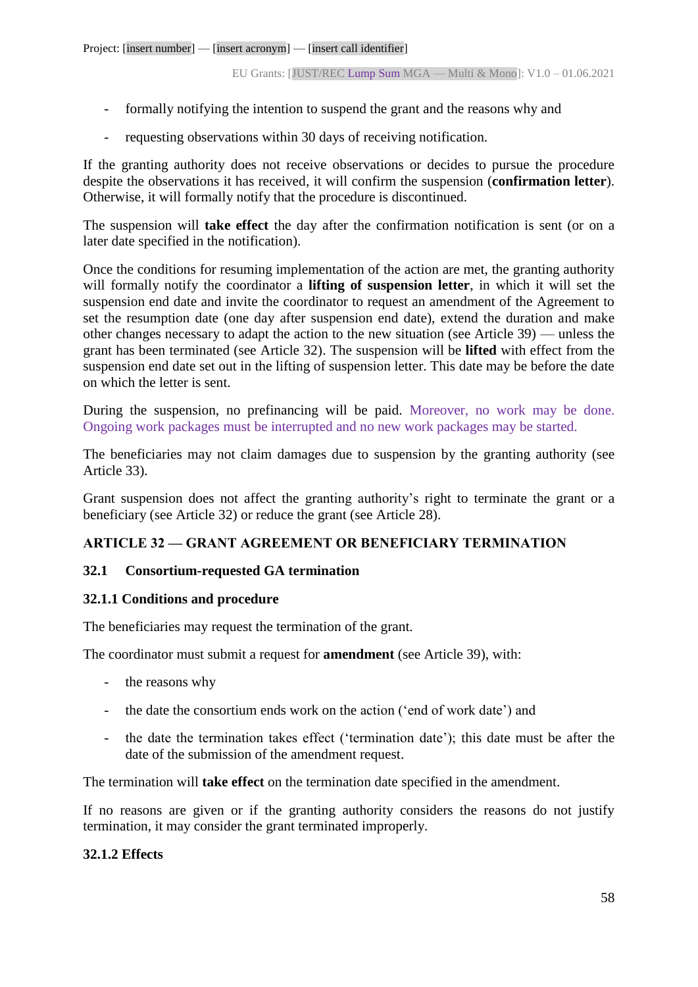- formally notifying the intention to suspend the grant and the reasons why and
- requesting observations within 30 days of receiving notification.

If the granting authority does not receive observations or decides to pursue the procedure despite the observations it has received, it will confirm the suspension (**confirmation letter**). Otherwise, it will formally notify that the procedure is discontinued.

The suspension will **take effect** the day after the confirmation notification is sent (or on a later date specified in the notification).

Once the conditions for resuming implementation of the action are met, the granting authority will formally notify the coordinator a **lifting of suspension letter**, in which it will set the suspension end date and invite the coordinator to request an amendment of the Agreement to set the resumption date (one day after suspension end date), extend the duration and make other changes necessary to adapt the action to the new situation (see Article 39) — unless the grant has been terminated (see Article 32). The suspension will be **lifted** with effect from the suspension end date set out in the lifting of suspension letter. This date may be before the date on which the letter is sent.

During the suspension, no prefinancing will be paid. Moreover, no work may be done. Ongoing work packages must be interrupted and no new work packages may be started.

The beneficiaries may not claim damages due to suspension by the granting authority (see Article 33).

Grant suspension does not affect the granting authority's right to terminate the grant or a beneficiary (see Article 32) or reduce the grant (see Article 28).

## **ARTICLE 32 — GRANT AGREEMENT OR BENEFICIARY TERMINATION**

## **32.1 Consortium-requested GA termination**

## **32.1.1 Conditions and procedure**

The beneficiaries may request the termination of the grant.

The coordinator must submit a request for **amendment** (see Article 39), with:

- the reasons why
- the date the consortium ends work on the action ('end of work date') and
- the date the termination takes effect ('termination date'); this date must be after the date of the submission of the amendment request.

The termination will **take effect** on the termination date specified in the amendment.

If no reasons are given or if the granting authority considers the reasons do not justify termination, it may consider the grant terminated improperly.

## **32.1.2 Effects**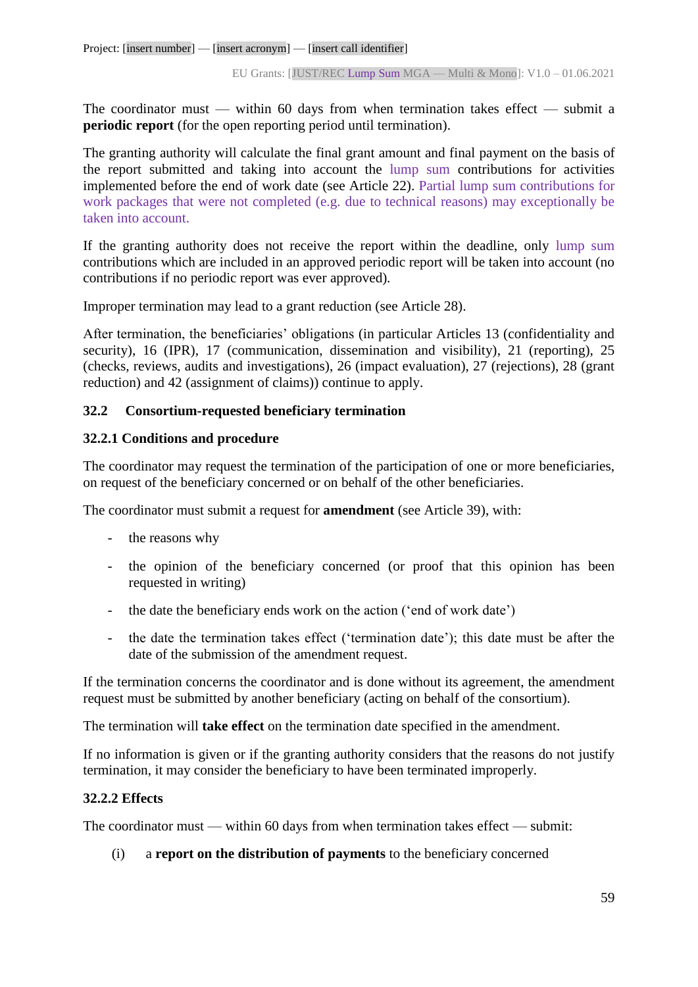The coordinator must — within 60 days from when termination takes effect — submit a **periodic report** (for the open reporting period until termination).

The granting authority will calculate the final grant amount and final payment on the basis of the report submitted and taking into account the lump sum contributions for activities implemented before the end of work date (see Article 22). Partial lump sum contributions for work packages that were not completed (e.g. due to technical reasons) may exceptionally be taken into account.

If the granting authority does not receive the report within the deadline, only lump sum contributions which are included in an approved periodic report will be taken into account (no contributions if no periodic report was ever approved)*.*

Improper termination may lead to a grant reduction (see Article 28).

After termination, the beneficiaries' obligations (in particular Articles 13 (confidentiality and security), 16 (IPR), 17 (communication, dissemination and visibility), 21 (reporting), 25 (checks, reviews, audits and investigations), 26 (impact evaluation), 27 (rejections), 28 (grant reduction) and 42 (assignment of claims)) continue to apply.

## **32.2 Consortium-requested beneficiary termination**

## **32.2.1 Conditions and procedure**

The coordinator may request the termination of the participation of one or more beneficiaries, on request of the beneficiary concerned or on behalf of the other beneficiaries.

The coordinator must submit a request for **amendment** (see Article 39), with:

- the reasons why
- the opinion of the beneficiary concerned (or proof that this opinion has been requested in writing)
- the date the beneficiary ends work on the action ('end of work date')
- the date the termination takes effect ('termination date'); this date must be after the date of the submission of the amendment request.

If the termination concerns the coordinator and is done without its agreement, the amendment request must be submitted by another beneficiary (acting on behalf of the consortium).

The termination will **take effect** on the termination date specified in the amendment.

If no information is given or if the granting authority considers that the reasons do not justify termination, it may consider the beneficiary to have been terminated improperly.

## **32.2.2 Effects**

The coordinator must — within 60 days from when termination takes effect — submit:

(i) a **report on the distribution of payments** to the beneficiary concerned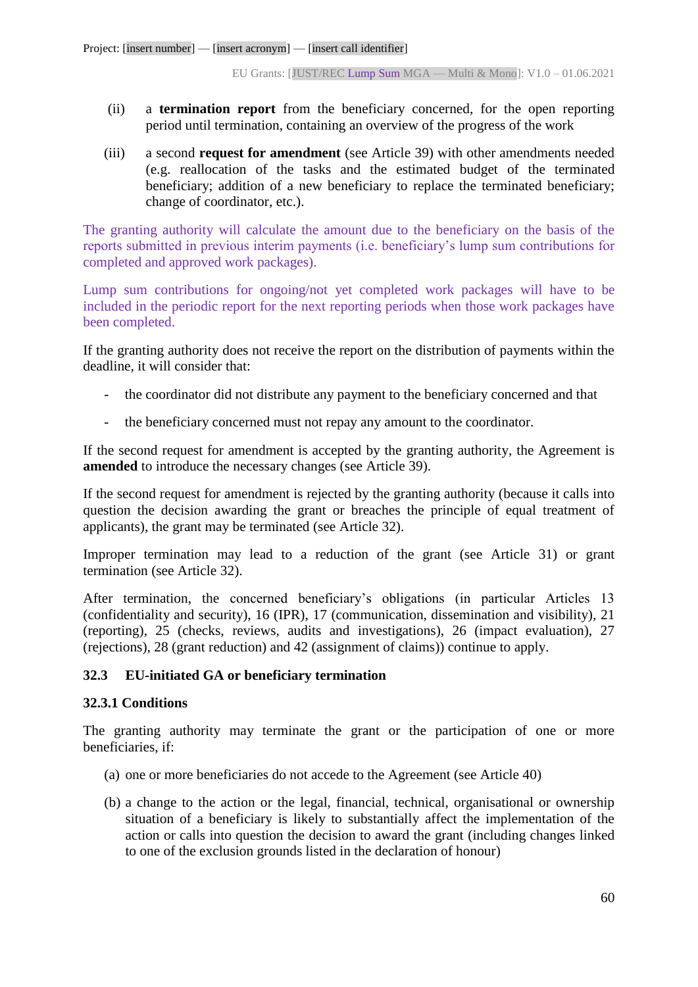- (ii) a **termination report** from the beneficiary concerned, for the open reporting period until termination, containing an overview of the progress of the work
- (iii) a second **request for amendment** (see Article 39) with other amendments needed (e.g. reallocation of the tasks and the estimated budget of the terminated beneficiary; addition of a new beneficiary to replace the terminated beneficiary; change of coordinator, etc.).

The granting authority will calculate the amount due to the beneficiary on the basis of the reports submitted in previous interim payments (i.e. beneficiary's lump sum contributions for completed and approved work packages).

Lump sum contributions for ongoing/not yet completed work packages will have to be included in the periodic report for the next reporting periods when those work packages have been completed.

If the granting authority does not receive the report on the distribution of payments within the deadline, it will consider that:

- the coordinator did not distribute any payment to the beneficiary concerned and that
- the beneficiary concerned must not repay any amount to the coordinator.

If the second request for amendment is accepted by the granting authority, the Agreement is **amended** to introduce the necessary changes (see Article 39).

If the second request for amendment is rejected by the granting authority (because it calls into question the decision awarding the grant or breaches the principle of equal treatment of applicants), the grant may be terminated (see Article 32).

Improper termination may lead to a reduction of the grant (see Article 31) or grant termination (see Article 32).

After termination, the concerned beneficiary's obligations (in particular Articles 13 (confidentiality and security), 16 (IPR), 17 (communication, dissemination and visibility), 21 (reporting), 25 (checks, reviews, audits and investigations), 26 (impact evaluation), 27 (rejections), 28 (grant reduction) and 42 (assignment of claims)) continue to apply.

## **32.3 EU-initiated GA or beneficiary termination**

## **32.3.1 Conditions**

The granting authority may terminate the grant or the participation of one or more beneficiaries, if:

- (a) one or more beneficiaries do not accede to the Agreement (see Article 40)
- (b) a change to the action or the legal, financial, technical, organisational or ownership situation of a beneficiary is likely to substantially affect the implementation of the action or calls into question the decision to award the grant (including changes linked to one of the exclusion grounds listed in the declaration of honour)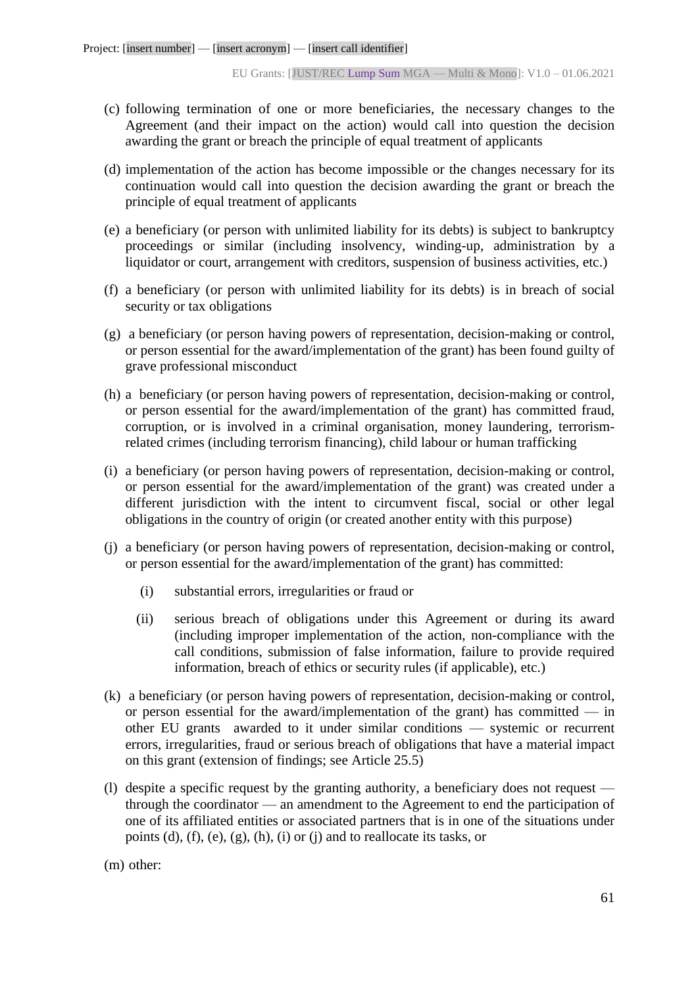- (c) following termination of one or more beneficiaries, the necessary changes to the Agreement (and their impact on the action) would call into question the decision awarding the grant or breach the principle of equal treatment of applicants
- (d) implementation of the action has become impossible or the changes necessary for its continuation would call into question the decision awarding the grant or breach the principle of equal treatment of applicants
- (e) a beneficiary (or person with unlimited liability for its debts) is subject to bankruptcy proceedings or similar (including insolvency, winding-up, administration by a liquidator or court, arrangement with creditors, suspension of business activities, etc.)
- (f) a beneficiary (or person with unlimited liability for its debts) is in breach of social security or tax obligations
- (g) a beneficiary (or person having powers of representation, decision-making or control, or person essential for the award/implementation of the grant) has been found guilty of grave professional misconduct
- (h) a beneficiary (or person having powers of representation, decision-making or control, or person essential for the award/implementation of the grant) has committed fraud, corruption, or is involved in a criminal organisation, money laundering, terrorismrelated crimes (including terrorism financing), child labour or human trafficking
- (i) a beneficiary (or person having powers of representation, decision-making or control, or person essential for the award/implementation of the grant) was created under a different jurisdiction with the intent to circumvent fiscal, social or other legal obligations in the country of origin (or created another entity with this purpose)
- (j) a beneficiary (or person having powers of representation, decision-making or control, or person essential for the award/implementation of the grant) has committed:
	- (i) substantial errors, irregularities or fraud or
	- (ii) serious breach of obligations under this Agreement or during its award (including improper implementation of the action, non-compliance with the call conditions, submission of false information, failure to provide required information, breach of ethics or security rules (if applicable), etc.)
- (k) a beneficiary (or person having powers of representation, decision-making or control, or person essential for the award/implementation of the grant) has committed — in other EU grants awarded to it under similar conditions — systemic or recurrent errors, irregularities, fraud or serious breach of obligations that have a material impact on this grant (extension of findings; see Article 25.5)
- (l) despite a specific request by the granting authority, a beneficiary does not request through the coordinator — an amendment to the Agreement to end the participation of one of its affiliated entities or associated partners that is in one of the situations under points (d), (f), (e), (g), (h), (i) or (j) and to reallocate its tasks, or

(m) other: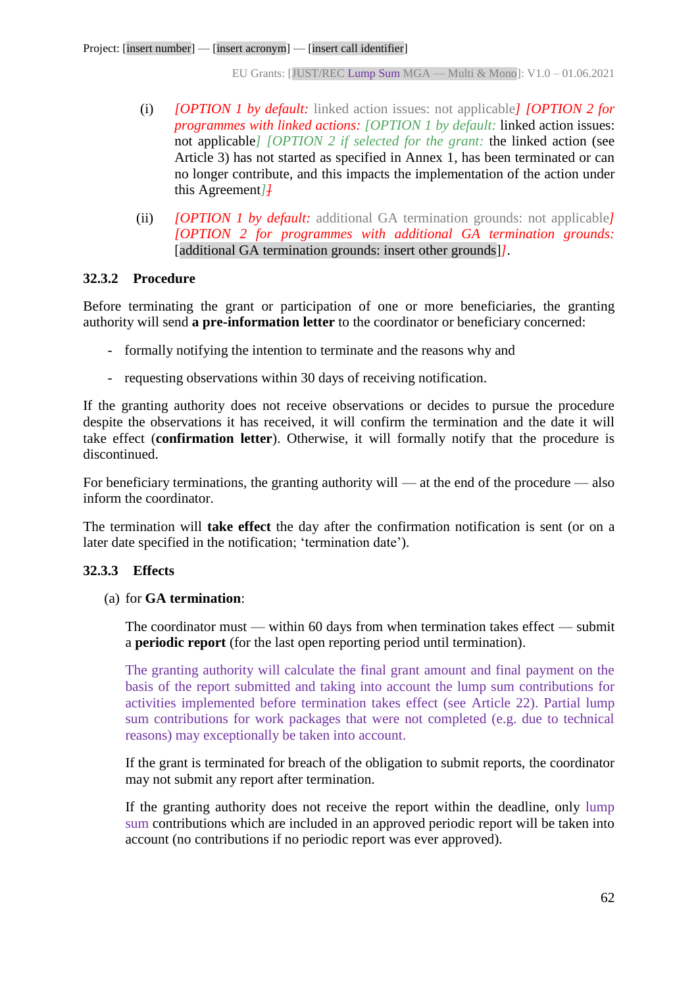- (i) *[OPTION 1 by default:* linked action issues: not applicable*] [OPTION 2 for programmes with linked actions: [OPTION 1 by default:* linked action issues: not applicable*] [OPTION 2 if selected for the grant:* the linked action (see Article 3) has not started as specified in Annex 1, has been terminated or can no longer contribute, and this impacts the implementation of the action under this Agreement*]]*
- (ii) *[OPTION 1 by default:* additional GA termination grounds: not applicable*] [OPTION 2 for programmes with additional GA termination grounds:* [additional GA termination grounds: insert other grounds]*]*.

#### **32.3.2 Procedure**

Before terminating the grant or participation of one or more beneficiaries, the granting authority will send **a pre-information letter** to the coordinator or beneficiary concerned:

- formally notifying the intention to terminate and the reasons why and
- requesting observations within 30 days of receiving notification.

If the granting authority does not receive observations or decides to pursue the procedure despite the observations it has received, it will confirm the termination and the date it will take effect (**confirmation letter**). Otherwise, it will formally notify that the procedure is discontinued.

For beneficiary terminations, the granting authority will — at the end of the procedure — also inform the coordinator.

The termination will **take effect** the day after the confirmation notification is sent (or on a later date specified in the notification; 'termination date').

#### **32.3.3 Effects**

(a) for **GA termination**:

The coordinator must — within 60 days from when termination takes effect — submit a **periodic report** (for the last open reporting period until termination).

The granting authority will calculate the final grant amount and final payment on the basis of the report submitted and taking into account the lump sum contributions for activities implemented before termination takes effect (see Article 22). Partial lump sum contributions for work packages that were not completed (e.g. due to technical reasons) may exceptionally be taken into account.

If the grant is terminated for breach of the obligation to submit reports, the coordinator may not submit any report after termination.

If the granting authority does not receive the report within the deadline, only lump sum contributions which are included in an approved periodic report will be taken into account (no contributions if no periodic report was ever approved).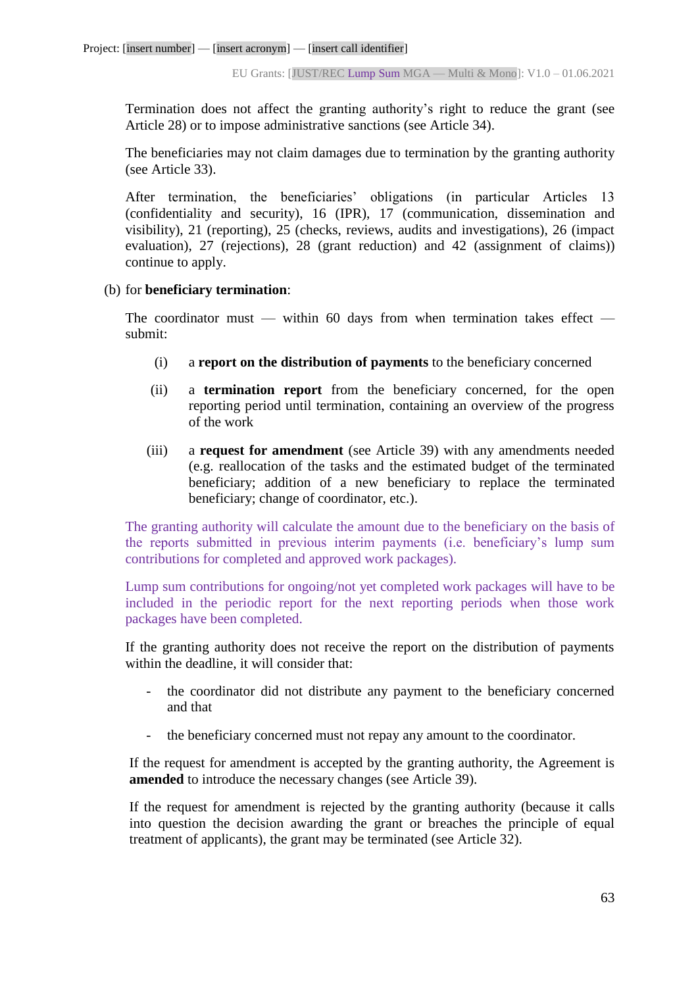Termination does not affect the granting authority's right to reduce the grant (see Article 28) or to impose administrative sanctions (see Article 34).

The beneficiaries may not claim damages due to termination by the granting authority (see Article 33).

After termination, the beneficiaries' obligations (in particular Articles 13 (confidentiality and security), 16 (IPR), 17 (communication, dissemination and visibility), 21 (reporting), 25 (checks, reviews, audits and investigations), 26 (impact evaluation), 27 (rejections), 28 (grant reduction) and 42 (assignment of claims)) continue to apply.

#### (b) for **beneficiary termination**:

The coordinator must — within 60 days from when termination takes effect submit:

- (i) a **report on the distribution of payments** to the beneficiary concerned
- (ii) a **termination report** from the beneficiary concerned, for the open reporting period until termination, containing an overview of the progress of the work
- (iii) a **request for amendment** (see Article 39) with any amendments needed (e.g. reallocation of the tasks and the estimated budget of the terminated beneficiary; addition of a new beneficiary to replace the terminated beneficiary; change of coordinator, etc.).

The granting authority will calculate the amount due to the beneficiary on the basis of the reports submitted in previous interim payments (i.e. beneficiary's lump sum contributions for completed and approved work packages).

Lump sum contributions for ongoing/not yet completed work packages will have to be included in the periodic report for the next reporting periods when those work packages have been completed.

If the granting authority does not receive the report on the distribution of payments within the deadline, it will consider that:

- the coordinator did not distribute any payment to the beneficiary concerned and that
- the beneficiary concerned must not repay any amount to the coordinator.

If the request for amendment is accepted by the granting authority, the Agreement is **amended** to introduce the necessary changes (see Article 39).

If the request for amendment is rejected by the granting authority (because it calls into question the decision awarding the grant or breaches the principle of equal treatment of applicants), the grant may be terminated (see Article 32).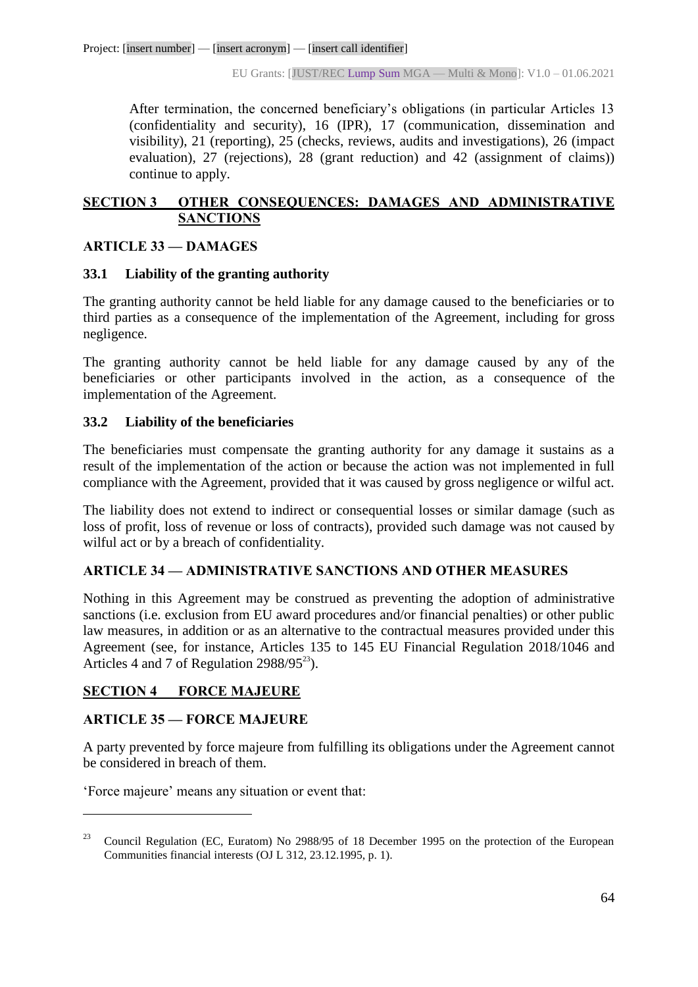After termination, the concerned beneficiary's obligations (in particular Articles 13 (confidentiality and security), 16 (IPR), 17 (communication, dissemination and visibility), 21 (reporting), 25 (checks, reviews, audits and investigations), 26 (impact evaluation), 27 (rejections), 28 (grant reduction) and 42 (assignment of claims)) continue to apply.

# **SECTION 3 OTHER CONSEQUENCES: DAMAGES AND ADMINISTRATIVE SANCTIONS**

## **ARTICLE 33 — DAMAGES**

## **33.1 Liability of the granting authority**

The granting authority cannot be held liable for any damage caused to the beneficiaries or to third parties as a consequence of the implementation of the Agreement, including for gross negligence.

The granting authority cannot be held liable for any damage caused by any of the beneficiaries or other participants involved in the action, as a consequence of the implementation of the Agreement.

## **33.2 Liability of the beneficiaries**

The beneficiaries must compensate the granting authority for any damage it sustains as a result of the implementation of the action or because the action was not implemented in full compliance with the Agreement, provided that it was caused by gross negligence or wilful act.

The liability does not extend to indirect or consequential losses or similar damage (such as loss of profit, loss of revenue or loss of contracts), provided such damage was not caused by wilful act or by a breach of confidentiality.

# **ARTICLE 34 — ADMINISTRATIVE SANCTIONS AND OTHER MEASURES**

Nothing in this Agreement may be construed as preventing the adoption of administrative sanctions (i.e. exclusion from EU award procedures and/or financial penalties) or other public law measures, in addition or as an alternative to the contractual measures provided under this Agreement (see, for instance, Articles 135 to 145 EU Financial Regulation 2018/1046 and Articles 4 and 7 of Regulation  $2988/95^{23}$ ).

## **SECTION 4 FORCE MAJEURE**

## **ARTICLE 35 — FORCE MAJEURE**

 $\overline{a}$ 

A party prevented by force majeure from fulfilling its obligations under the Agreement cannot be considered in breach of them.

'Force majeure' means any situation or event that:

<sup>&</sup>lt;sup>23</sup> Council Regulation (EC, Euratom) No 2988/95 of 18 December 1995 on the protection of the European Communities financial interests (OJ L 312, 23.12.1995, p. 1).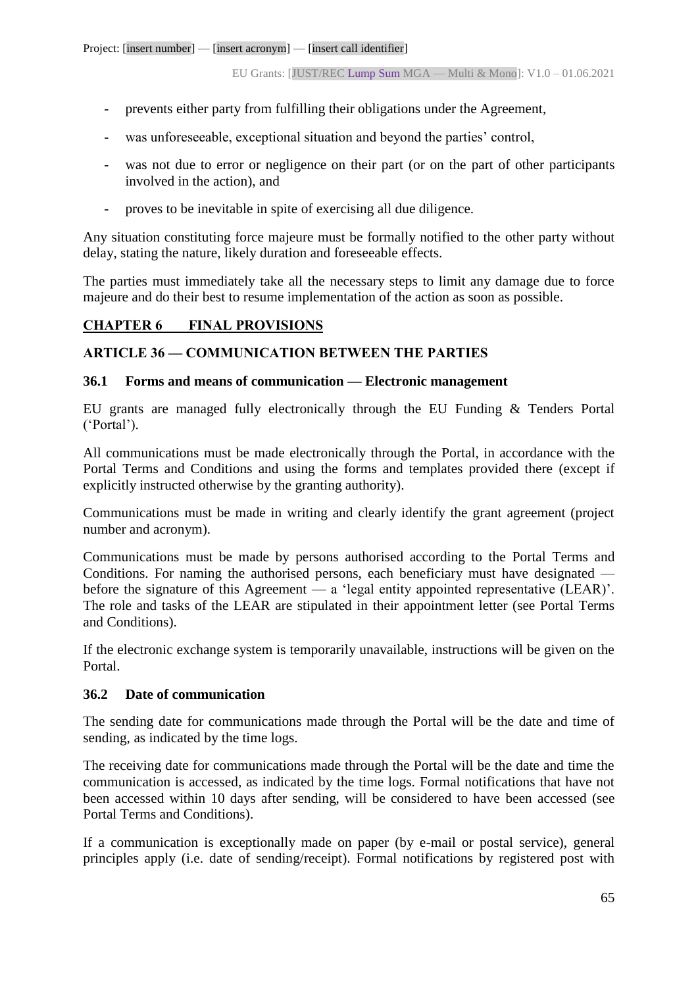- prevents either party from fulfilling their obligations under the Agreement,
- was unforeseeable, exceptional situation and beyond the parties' control,
- was not due to error or negligence on their part (or on the part of other participants involved in the action), and
- proves to be inevitable in spite of exercising all due diligence.

Any situation constituting force majeure must be formally notified to the other party without delay, stating the nature, likely duration and foreseeable effects.

The parties must immediately take all the necessary steps to limit any damage due to force majeure and do their best to resume implementation of the action as soon as possible.

# **CHAPTER 6 FINAL PROVISIONS**

## **ARTICLE 36 — COMMUNICATION BETWEEN THE PARTIES**

## **36.1 Forms and means of communication — Electronic management**

EU grants are managed fully electronically through the EU Funding & Tenders Portal ('Portal').

All communications must be made electronically through the Portal, in accordance with the Portal Terms and Conditions and using the forms and templates provided there (except if explicitly instructed otherwise by the granting authority).

Communications must be made in writing and clearly identify the grant agreement (project number and acronym).

Communications must be made by persons authorised according to the Portal Terms and Conditions. For naming the authorised persons, each beneficiary must have designated before the signature of this Agreement — a 'legal entity appointed representative (LEAR)'. The role and tasks of the LEAR are stipulated in their appointment letter (see Portal Terms and Conditions).

If the electronic exchange system is temporarily unavailable, instructions will be given on the Portal.

## **36.2 Date of communication**

The sending date for communications made through the Portal will be the date and time of sending, as indicated by the time logs.

The receiving date for communications made through the Portal will be the date and time the communication is accessed, as indicated by the time logs. Formal notifications that have not been accessed within 10 days after sending, will be considered to have been accessed (see Portal Terms and Conditions).

If a communication is exceptionally made on paper (by e-mail or postal service), general principles apply (i.e. date of sending/receipt). Formal notifications by registered post with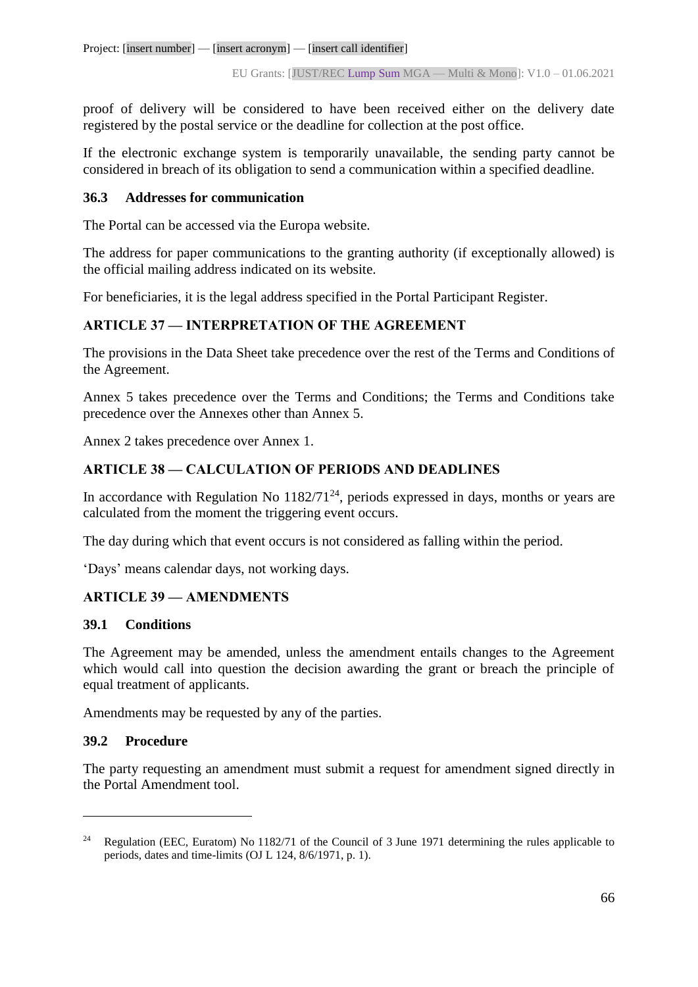proof of delivery will be considered to have been received either on the delivery date registered by the postal service or the deadline for collection at the post office.

If the electronic exchange system is temporarily unavailable, the sending party cannot be considered in breach of its obligation to send a communication within a specified deadline.

## **36.3 Addresses for communication**

The Portal can be accessed via the Europa website.

The address for paper communications to the granting authority (if exceptionally allowed) is the official mailing address indicated on its website.

For beneficiaries, it is the legal address specified in the Portal Participant Register.

## **ARTICLE 37 — INTERPRETATION OF THE AGREEMENT**

The provisions in the Data Sheet take precedence over the rest of the Terms and Conditions of the Agreement.

Annex 5 takes precedence over the Terms and Conditions; the Terms and Conditions take precedence over the Annexes other than Annex 5.

Annex 2 takes precedence over Annex 1.

# **ARTICLE 38 — CALCULATION OF PERIODS AND DEADLINES**

In accordance with Regulation No  $1182/71^{24}$ , periods expressed in days, months or years are calculated from the moment the triggering event occurs.

The day during which that event occurs is not considered as falling within the period.

'Days' means calendar days, not working days.

## **ARTICLE 39 — AMENDMENTS**

## **39.1 Conditions**

The Agreement may be amended, unless the amendment entails changes to the Agreement which would call into question the decision awarding the grant or breach the principle of equal treatment of applicants.

Amendments may be requested by any of the parties.

## **39.2 Procedure**

 $\overline{a}$ 

The party requesting an amendment must submit a request for amendment signed directly in the Portal Amendment tool.

<sup>&</sup>lt;sup>24</sup> Regulation (EEC, Euratom) No 1182/71 of the Council of 3 June 1971 determining the rules applicable to periods, dates and time-limits (OJ L 124, 8/6/1971, p. 1).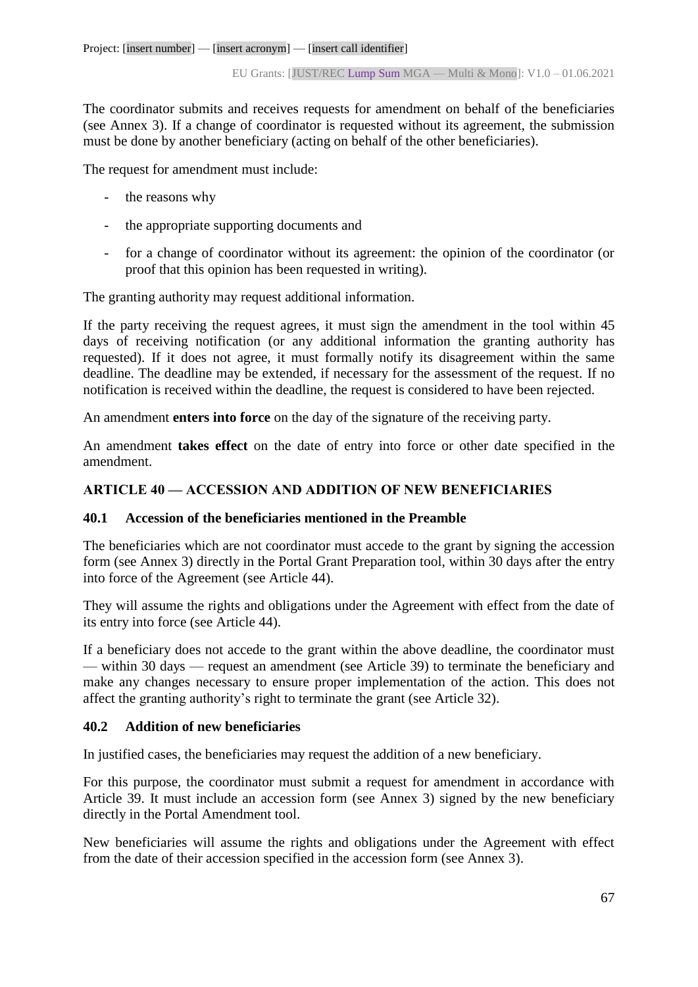The coordinator submits and receives requests for amendment on behalf of the beneficiaries (see Annex 3). If a change of coordinator is requested without its agreement, the submission must be done by another beneficiary (acting on behalf of the other beneficiaries).

The request for amendment must include:

- the reasons why
- the appropriate supporting documents and
- for a change of coordinator without its agreement: the opinion of the coordinator (or proof that this opinion has been requested in writing).

The granting authority may request additional information.

If the party receiving the request agrees, it must sign the amendment in the tool within 45 days of receiving notification (or any additional information the granting authority has requested). If it does not agree, it must formally notify its disagreement within the same deadline. The deadline may be extended, if necessary for the assessment of the request. If no notification is received within the deadline, the request is considered to have been rejected.

An amendment **enters into force** on the day of the signature of the receiving party.

An amendment **takes effect** on the date of entry into force or other date specified in the amendment.

#### **ARTICLE 40 — ACCESSION AND ADDITION OF NEW BENEFICIARIES**

#### **40.1 Accession of the beneficiaries mentioned in the Preamble**

The beneficiaries which are not coordinator must accede to the grant by signing the accession form (see Annex 3) directly in the Portal Grant Preparation tool, within 30 days after the entry into force of the Agreement (see Article 44).

They will assume the rights and obligations under the Agreement with effect from the date of its entry into force (see Article 44).

If a beneficiary does not accede to the grant within the above deadline, the coordinator must — within 30 days — request an amendment (see Article 39) to terminate the beneficiary and make any changes necessary to ensure proper implementation of the action. This does not affect the granting authority's right to terminate the grant (see Article 32).

#### **40.2 Addition of new beneficiaries**

In justified cases, the beneficiaries may request the addition of a new beneficiary.

For this purpose, the coordinator must submit a request for amendment in accordance with Article 39. It must include an accession form (see Annex 3) signed by the new beneficiary directly in the Portal Amendment tool.

New beneficiaries will assume the rights and obligations under the Agreement with effect from the date of their accession specified in the accession form (see Annex 3).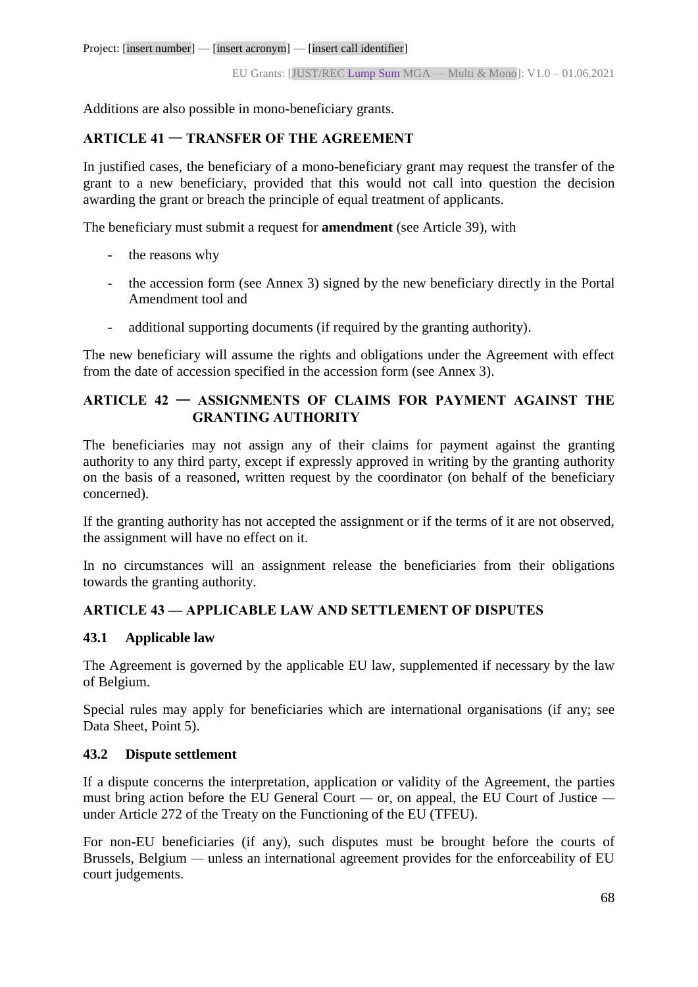Additions are also possible in mono-beneficiary grants.

# **ARTICLE 41** — **TRANSFER OF THE AGREEMENT**

In justified cases, the beneficiary of a mono-beneficiary grant may request the transfer of the grant to a new beneficiary, provided that this would not call into question the decision awarding the grant or breach the principle of equal treatment of applicants.

The beneficiary must submit a request for **amendment** (see Article 39), with

- the reasons why
- the accession form (see Annex 3) signed by the new beneficiary directly in the Portal Amendment tool and
- additional supporting documents (if required by the granting authority).

The new beneficiary will assume the rights and obligations under the Agreement with effect from the date of accession specified in the accession form (see Annex 3).

## **ARTICLE 42** — **ASSIGNMENTS OF CLAIMS FOR PAYMENT AGAINST THE GRANTING AUTHORITY**

The beneficiaries may not assign any of their claims for payment against the granting authority to any third party, except if expressly approved in writing by the granting authority on the basis of a reasoned, written request by the coordinator (on behalf of the beneficiary concerned).

If the granting authority has not accepted the assignment or if the terms of it are not observed, the assignment will have no effect on it.

In no circumstances will an assignment release the beneficiaries from their obligations towards the granting authority.

## **ARTICLE 43 — APPLICABLE LAW AND SETTLEMENT OF DISPUTES**

## **43.1 Applicable law**

The Agreement is governed by the applicable EU law, supplemented if necessary by the law of Belgium.

Special rules may apply for beneficiaries which are international organisations (if any; see Data Sheet, Point 5).

## **43.2 Dispute settlement**

If a dispute concerns the interpretation, application or validity of the Agreement, the parties must bring action before the EU General Court *—* or, on appeal, the EU Court of Justice  under Article 272 of the Treaty on the Functioning of the EU (TFEU).

For non-EU beneficiaries (if any), such disputes must be brought before the courts of Brussels, Belgium — unless an international agreement provides for the enforceability of EU court judgements.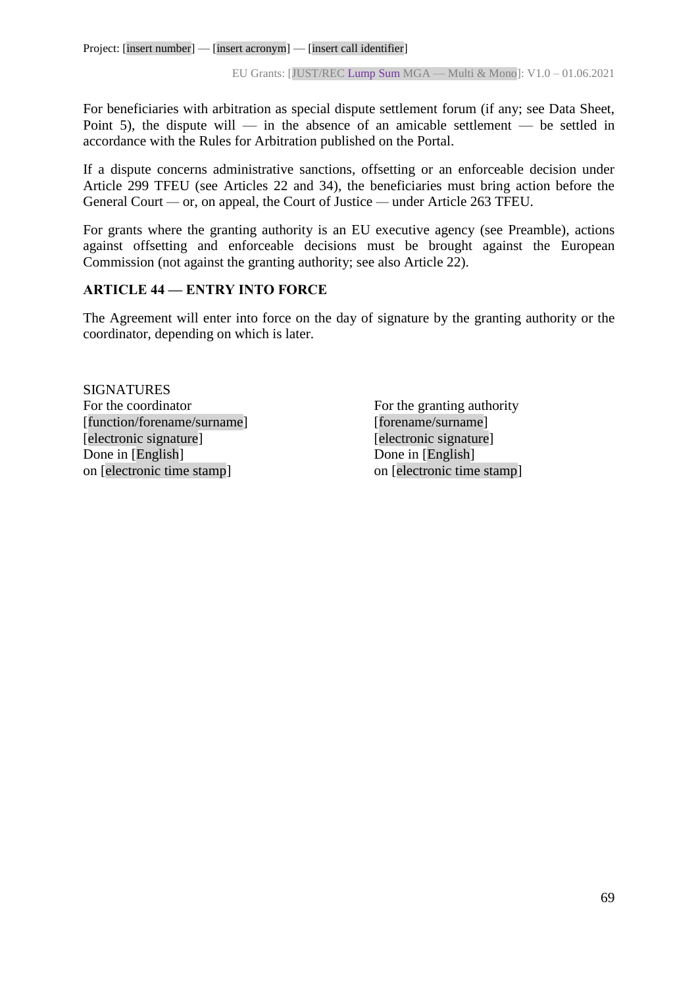For beneficiaries with arbitration as special dispute settlement forum (if any; see Data Sheet, Point 5), the dispute will — in the absence of an amicable settlement — be settled in accordance with the Rules for Arbitration published on the Portal.

If a dispute concerns administrative sanctions, offsetting or an enforceable decision under Article 299 TFEU (see Articles 22 and 34), the beneficiaries must bring action before the General Court *—* or, on appeal, the Court of Justice *—* under Article 263 TFEU.

For grants where the granting authority is an EU executive agency (see Preamble), actions against offsetting and enforceable decisions must be brought against the European Commission (not against the granting authority; see also Article 22).

## **ARTICLE 44 — ENTRY INTO FORCE**

The Agreement will enter into force on the day of signature by the granting authority or the coordinator, depending on which is later.

SIGNATURES For the coordinator For the granting authority [function/forename/surname] [forename/surname] [electronic signature] [electronic signature] Done in [English] Done in [English] on [electronic time stamp] on [electronic time stamp]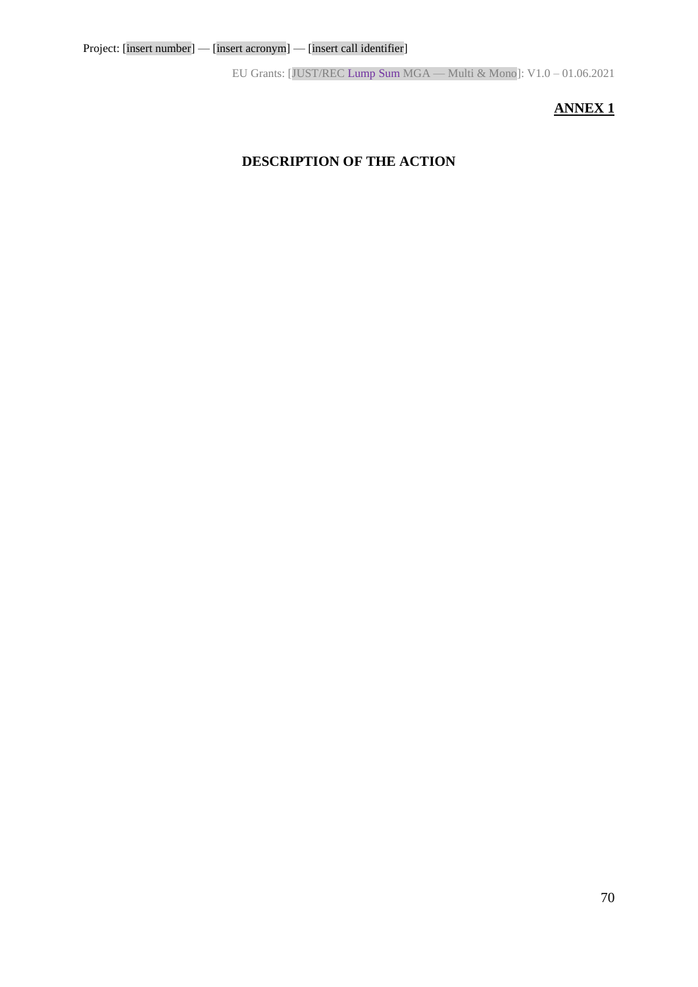# **ANNEX 1**

# **DESCRIPTION OF THE ACTION**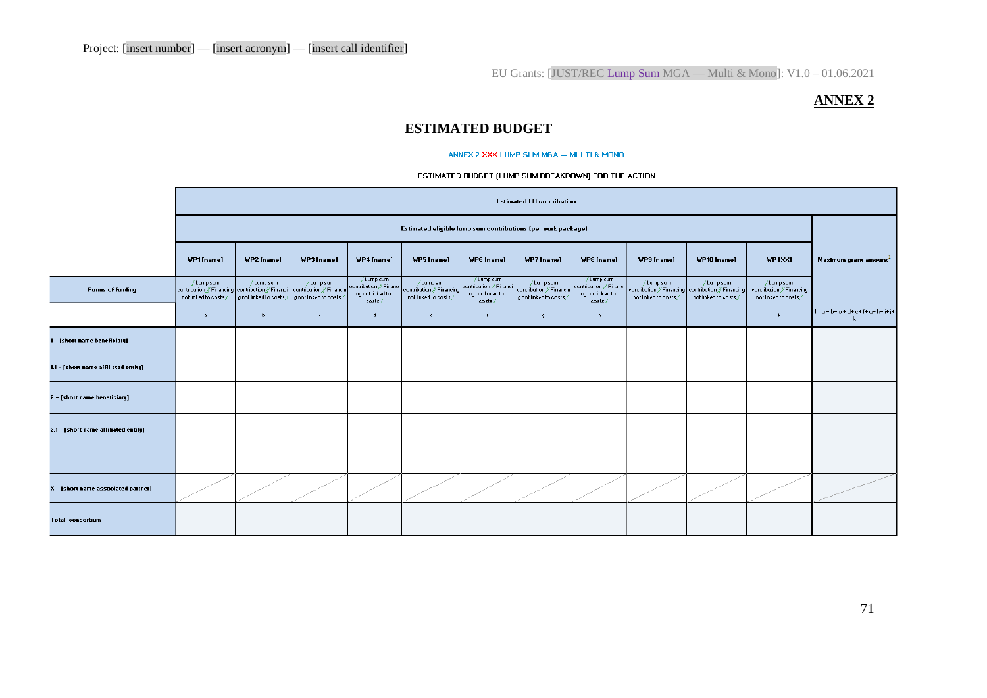## **ANNEX 2**

# **ESTIMATED BUDGET**

#### ANNEX 2 XXX LUMP SUM MGA - MULTI & MOND

#### ESTIMATED BUDGET (LUMP SUM BREAKDOWN) FOR THE ACTION

|                                      | <b>Estimated EU contribution</b><br>Estimated eligible lump sum contributions (per work package)                   |                                       |                                       |                                                                     |                                                                  |                                                                      |                                                                 |                                                                     |                                                                                            |                                     |                                                                 |                                               |
|--------------------------------------|--------------------------------------------------------------------------------------------------------------------|---------------------------------------|---------------------------------------|---------------------------------------------------------------------|------------------------------------------------------------------|----------------------------------------------------------------------|-----------------------------------------------------------------|---------------------------------------------------------------------|--------------------------------------------------------------------------------------------|-------------------------------------|-----------------------------------------------------------------|-----------------------------------------------|
|                                      |                                                                                                                    |                                       |                                       |                                                                     |                                                                  |                                                                      |                                                                 |                                                                     |                                                                                            |                                     |                                                                 |                                               |
|                                      | WP1[name]                                                                                                          | WP2 [name]                            | WP3 [name]                            | WP4 [name]                                                          | WP5 [name]                                                       | WP6 [name]                                                           | WP7 [name]                                                      | WP8 [name]                                                          | WP9 [name]                                                                                 | WP10 [name]                         | <b>VP [XX]</b>                                                  | Maximum grant amount <sup>1</sup>             |
| <b>Forms of funding</b>              | / Lump sum<br>contribution // Financing contribution // Financin contribution // Financin<br>not linked to costs / | / Lump sum<br>g not linked to costs / | / Lump sum<br>g not linked to costs / | /Lump sum<br>contribution // Financi<br>ng not linked to<br>costs / | / Lump sum<br>contribution // Financing<br>not linked to costs / | / Lump sum<br>contribution // Financi<br>ng not linked to<br>costs / | / Lump sum<br>contribution // Financin<br>g not linked to costs | /Lump sum<br>contribution // Financi<br>ng not linked to<br>costs / | / Lump sum<br>contribution // Financing contribution // Financing<br>not linked to costs / | / Lump sum<br>not linked to costs / | / Lump sum<br>contribution / Financing<br>not linked to costs / |                                               |
|                                      | $\mathbf{a}$                                                                                                       | $\mathbf{b}$                          | $\mathsf{C}$ .                        | $\mathbf d$                                                         | $\mathbf{c}$                                                     | $\mathbf{f}$                                                         | -9.                                                             | h                                                                   |                                                                                            |                                     | $\mathbf{k}$                                                    | $1 = a + b + c + d + e + f + g + h + i + j +$ |
| 1 - [short name beneficiary]         |                                                                                                                    |                                       |                                       |                                                                     |                                                                  |                                                                      |                                                                 |                                                                     |                                                                                            |                                     |                                                                 |                                               |
| 1.1 - [short name affiliated entity] |                                                                                                                    |                                       |                                       |                                                                     |                                                                  |                                                                      |                                                                 |                                                                     |                                                                                            |                                     |                                                                 |                                               |
| 2 - [short name beneficiary]         |                                                                                                                    |                                       |                                       |                                                                     |                                                                  |                                                                      |                                                                 |                                                                     |                                                                                            |                                     |                                                                 |                                               |
| 2.1 - [short name affiliated entity] |                                                                                                                    |                                       |                                       |                                                                     |                                                                  |                                                                      |                                                                 |                                                                     |                                                                                            |                                     |                                                                 |                                               |
|                                      |                                                                                                                    |                                       |                                       |                                                                     |                                                                  |                                                                      |                                                                 |                                                                     |                                                                                            |                                     |                                                                 |                                               |
| X - [short name associated partner]  |                                                                                                                    |                                       |                                       |                                                                     |                                                                  |                                                                      |                                                                 |                                                                     |                                                                                            |                                     |                                                                 |                                               |
| <b>Total consortium</b>              |                                                                                                                    |                                       |                                       |                                                                     |                                                                  |                                                                      |                                                                 |                                                                     |                                                                                            |                                     |                                                                 |                                               |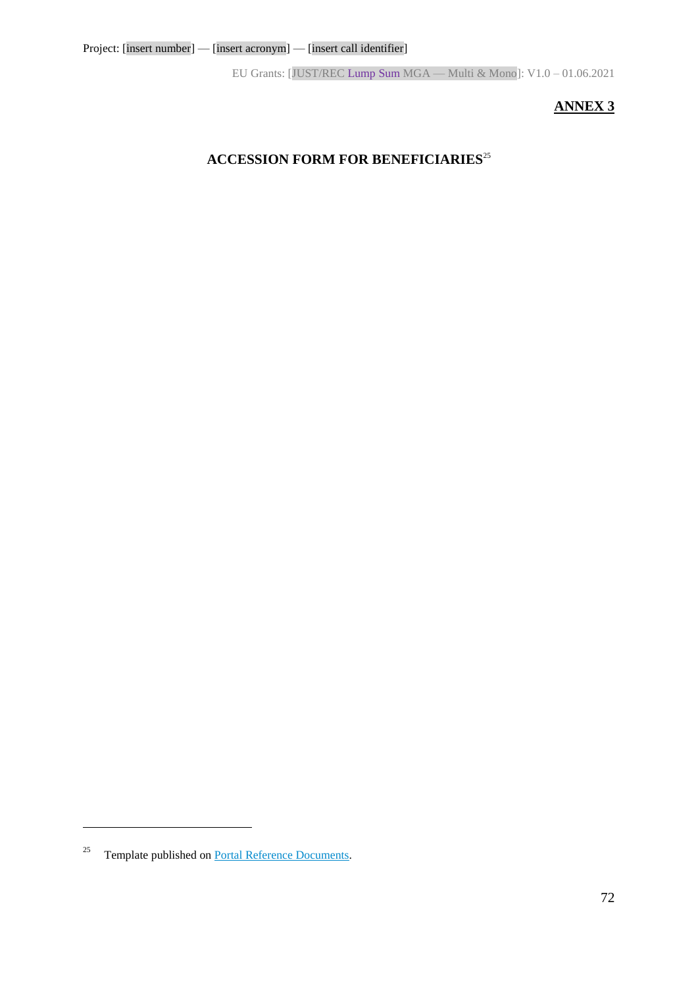# **ANNEX 3**

# **ACCESSION FORM FOR BENEFICIARIES**<sup>25</sup>

<u>.</u>

<sup>&</sup>lt;sup>25</sup> Template published on **Portal Reference Documents**.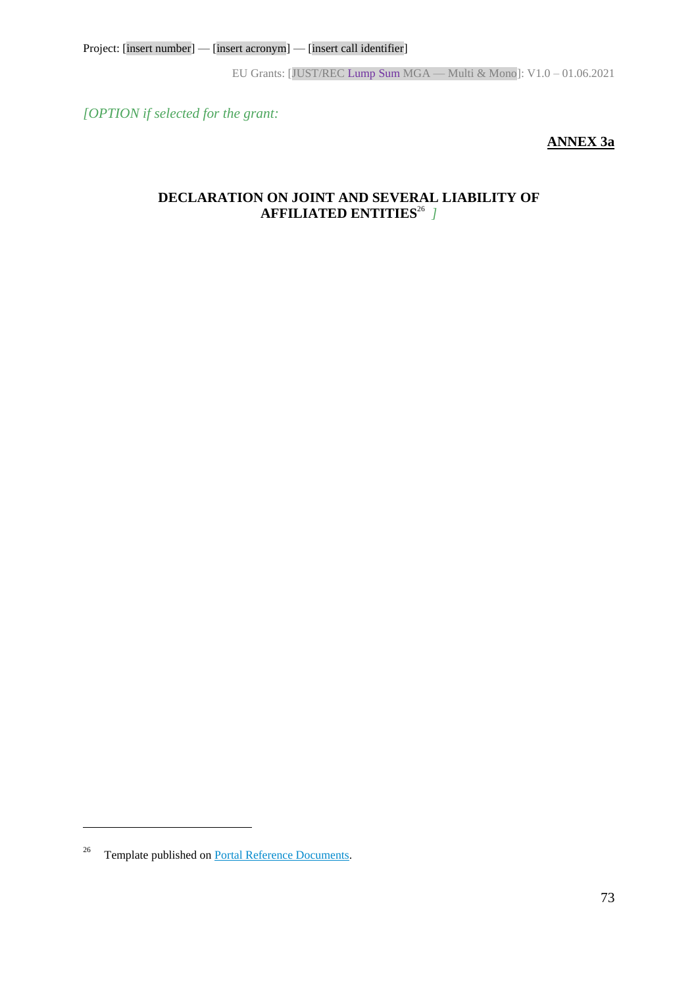EU Grants: [JUST/REC Lump Sum MGA — Multi & Mono]: V1.0 – 01.06.2021

*[OPTION if selected for the grant:*

# **ANNEX 3a**

# **DECLARATION ON JOINT AND SEVERAL LIABILITY OF AFFILIATED ENTITIES**<sup>26</sup> *]*

 $\overline{a}$ 

<sup>&</sup>lt;sup>26</sup> Template published on **Portal Reference Documents**.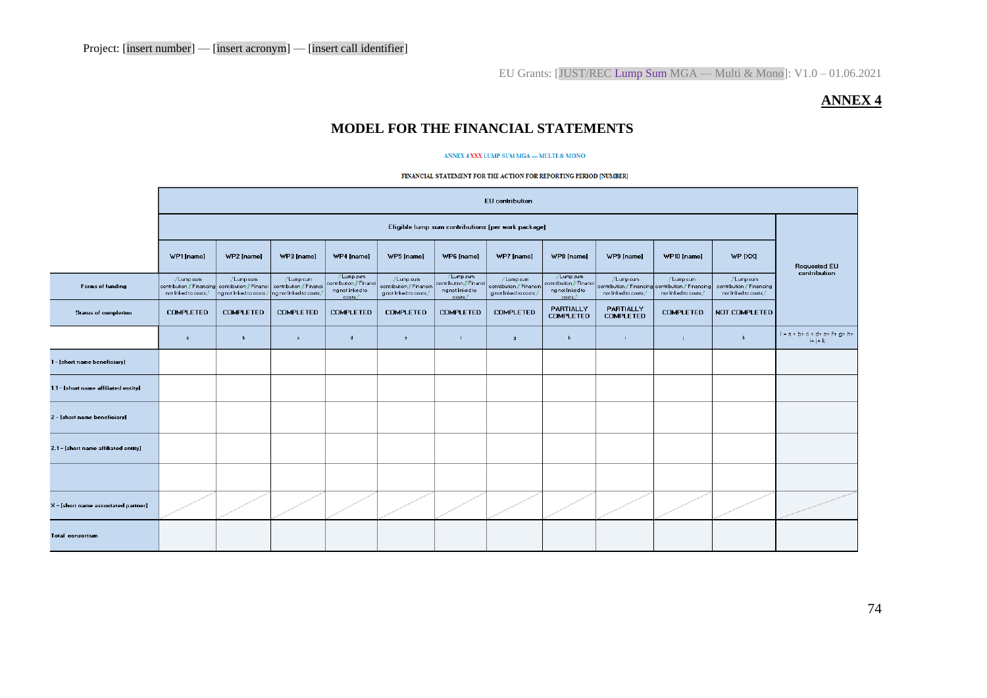EU Grants: [JUST/REC Lump Sum MGA — Multi & Mono]: V1.0 – 01.06.2021

### **ANNEX 4**

# **MODEL FOR THE FINANCIAL STATEMENTS**

#### ANNEX 4 XXX LUMP SUM MGA — MULTI & MONO

#### FINANCIAL STATEMENT FOR THE ACTION FOR REPORTING PERIOD [NUMBER]

|                                      | <b>EU</b> contribution                                                                                           |                                      |                                      |                                                                    |                                                                   |                                                                     |                                                                   |                                                                    |                                    |                                                                                          |                                                                 |                                                      |
|--------------------------------------|------------------------------------------------------------------------------------------------------------------|--------------------------------------|--------------------------------------|--------------------------------------------------------------------|-------------------------------------------------------------------|---------------------------------------------------------------------|-------------------------------------------------------------------|--------------------------------------------------------------------|------------------------------------|------------------------------------------------------------------------------------------|-----------------------------------------------------------------|------------------------------------------------------|
|                                      | Eligible lump sum contributions (per work package)                                                               |                                      |                                      |                                                                    |                                                                   |                                                                     |                                                                   |                                                                    |                                    |                                                                                          |                                                                 |                                                      |
|                                      | WP1 [name]                                                                                                       | WP2 [name]                           | WP3 [name]                           | WP4 [name]                                                         | WP5 [name]                                                        | WP6 [name]                                                          | WP7 [name]                                                        | WP8 [name]                                                         | WP9 [name]                         | WP10 [name]                                                                              | WP [XX]                                                         | <b>Requested EU</b><br>contribution                  |
| Forms of funding                     | / Lump sum<br>contribution // Financing contribution // Financi contribution // Financi<br>not linked to costs / | /Lump sum<br>ng not linked to costs/ | / Lump sum<br>ng not linked to costs | /Lump sum<br>contribution // Financi<br>ng not linked to<br>costs/ | / Lump sum<br>contribution // Financin<br>g not linked to costs / | / Lump sum<br>contribution // Financi<br>ng not linked to<br>costs/ | / Lump sum<br>contribution // Financin<br>g not linked to costs / | / Lump sum<br>contribution / Financi<br>ng not linked to<br>costs/ | / Lump sum<br>not linked to costs/ | / Lump sum<br>contribution / Financing contribution / Financing<br>not linked to costs / | / Lump sum<br>contribution / Financing<br>not linked to costs / |                                                      |
| <b>Status of completion</b>          | <b>COMPLETED</b>                                                                                                 | <b>COMPLETED</b>                     | <b>COMPLETED</b>                     | <b>COMPLETED</b>                                                   | <b>COMPLETED</b>                                                  | <b>COMPLETED</b>                                                    | <b>COMPLETED</b>                                                  | PARTIALLY<br><b>COMPLETED</b>                                      | PARTIALLY<br><b>COMPLETED</b>      | <b>COMPLETED</b>                                                                         | NOT COMPLETED                                                   |                                                      |
|                                      | $\ddot{a}$                                                                                                       | $\mathbf b$                          | $\mathbf{C}$                         | $\mathbf d$                                                        | $\epsilon$                                                        | $\ddot{r}$                                                          | $\mathbf{g}$                                                      | h.                                                                 | -i.                                |                                                                                          | $\mathbf{k}$                                                    | $1 = a + b + c + d + e + f + g + h +$<br>$i + j + k$ |
| 1 - [short name beneficiary]         |                                                                                                                  |                                      |                                      |                                                                    |                                                                   |                                                                     |                                                                   |                                                                    |                                    |                                                                                          |                                                                 |                                                      |
| 1.1 - [short name affiliated entity] |                                                                                                                  |                                      |                                      |                                                                    |                                                                   |                                                                     |                                                                   |                                                                    |                                    |                                                                                          |                                                                 |                                                      |
| 2 - [short name beneficiary]         |                                                                                                                  |                                      |                                      |                                                                    |                                                                   |                                                                     |                                                                   |                                                                    |                                    |                                                                                          |                                                                 |                                                      |
| 2.1 - [short name affiliated entity] |                                                                                                                  |                                      |                                      |                                                                    |                                                                   |                                                                     |                                                                   |                                                                    |                                    |                                                                                          |                                                                 |                                                      |
|                                      |                                                                                                                  |                                      |                                      |                                                                    |                                                                   |                                                                     |                                                                   |                                                                    |                                    |                                                                                          |                                                                 |                                                      |
| X - [short name associated partner]  |                                                                                                                  |                                      |                                      |                                                                    |                                                                   |                                                                     |                                                                   |                                                                    |                                    |                                                                                          |                                                                 |                                                      |
| <b>Total consortium</b>              |                                                                                                                  |                                      |                                      |                                                                    |                                                                   |                                                                     |                                                                   |                                                                    |                                    |                                                                                          |                                                                 |                                                      |